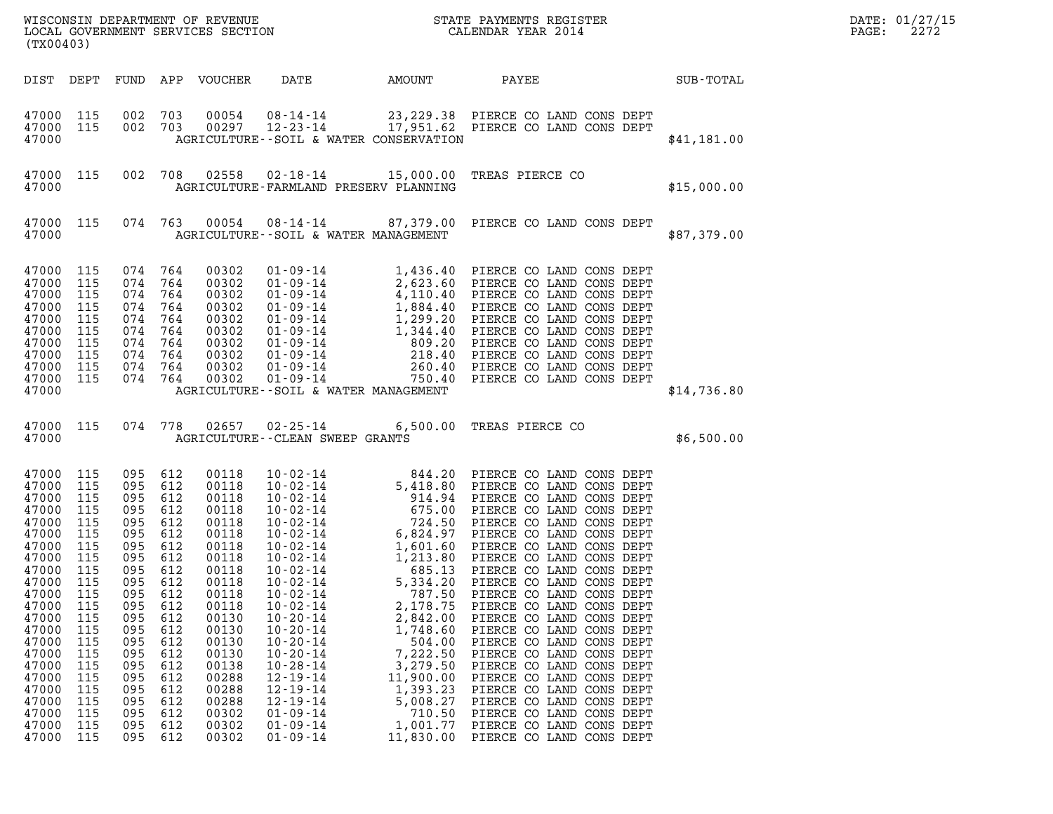| (TX00403)                                                                                                                                                                                                       |                                                                                                                                                        |                                                                                                                                                                                   |                                                                                                                            |                                                                                                                                                                                                             |                                                                                                                                                                                                                                                                            |                                                                                                                                                                            |                                                                                                                                                                                                                                                                                                                                                                                                                                                                                                                                                                                                                                                                                                    |             | DATE: 01/27/15<br>2272<br>$\mathtt{PAGE}$ : |
|-----------------------------------------------------------------------------------------------------------------------------------------------------------------------------------------------------------------|--------------------------------------------------------------------------------------------------------------------------------------------------------|-----------------------------------------------------------------------------------------------------------------------------------------------------------------------------------|----------------------------------------------------------------------------------------------------------------------------|-------------------------------------------------------------------------------------------------------------------------------------------------------------------------------------------------------------|----------------------------------------------------------------------------------------------------------------------------------------------------------------------------------------------------------------------------------------------------------------------------|----------------------------------------------------------------------------------------------------------------------------------------------------------------------------|----------------------------------------------------------------------------------------------------------------------------------------------------------------------------------------------------------------------------------------------------------------------------------------------------------------------------------------------------------------------------------------------------------------------------------------------------------------------------------------------------------------------------------------------------------------------------------------------------------------------------------------------------------------------------------------------------|-------------|---------------------------------------------|
|                                                                                                                                                                                                                 |                                                                                                                                                        |                                                                                                                                                                                   |                                                                                                                            | DIST DEPT FUND APP VOUCHER                                                                                                                                                                                  | DATE                                                                                                                                                                                                                                                                       | AMOUNT                                                                                                                                                                     | PAYEE<br><b>SUB-TOTAL</b>                                                                                                                                                                                                                                                                                                                                                                                                                                                                                                                                                                                                                                                                          |             |                                             |
| 47000 115<br>47000 115<br>47000                                                                                                                                                                                 |                                                                                                                                                        | 002 703<br>002 703                                                                                                                                                                |                                                                                                                            | 00054<br>00297                                                                                                                                                                                              | AGRICULTURE--SOIL & WATER CONSERVATION                                                                                                                                                                                                                                     |                                                                                                                                                                            | 08-14-14 23,229.38 PIERCE CO LAND CONS DEPT<br>12-23-14 17,951.62 PIERCE CO LAND CONS DEPT                                                                                                                                                                                                                                                                                                                                                                                                                                                                                                                                                                                                         | \$41,181.00 |                                             |
| 47000 115<br>47000                                                                                                                                                                                              |                                                                                                                                                        |                                                                                                                                                                                   |                                                                                                                            |                                                                                                                                                                                                             | AGRICULTURE-FARMLAND PRESERV PLANNING                                                                                                                                                                                                                                      |                                                                                                                                                                            | 002 708 02558 02-18-14 15,000.00 TREAS PIERCE CO                                                                                                                                                                                                                                                                                                                                                                                                                                                                                                                                                                                                                                                   | \$15,000.00 |                                             |
| 47000 115<br>47000                                                                                                                                                                                              |                                                                                                                                                        |                                                                                                                                                                                   |                                                                                                                            |                                                                                                                                                                                                             | AGRICULTURE--SOIL & WATER MANAGEMENT                                                                                                                                                                                                                                       |                                                                                                                                                                            | 074 763 00054 08-14-14 87,379.00 PIERCE CO LAND CONS DEPT                                                                                                                                                                                                                                                                                                                                                                                                                                                                                                                                                                                                                                          | \$87,379.00 |                                             |
| 47000 115<br>47000<br>47000<br>47000<br>47000<br>47000<br>47000<br>47000<br>47000<br>47000 115<br>47000                                                                                                         | 115<br>115<br>115<br>115<br>115<br>115<br>115<br>115                                                                                                   | 074<br>074 764<br>074<br>074 764<br>074<br>074 764<br>074 764<br>074 764<br>074 764<br>074 764                                                                                    | 764<br>764<br>764                                                                                                          | 00302<br>00302<br>00302<br>00302<br>00302<br>00302<br>00302<br>00302<br>00302<br>00302                                                                                                                      | AGRICULTURE--SOIL & WATER MANAGEMENT                                                                                                                                                                                                                                       |                                                                                                                                                                            |                                                                                                                                                                                                                                                                                                                                                                                                                                                                                                                                                                                                                                                                                                    | \$14,736.80 |                                             |
| 47000 115<br>47000                                                                                                                                                                                              |                                                                                                                                                        |                                                                                                                                                                                   |                                                                                                                            | 074 778 02657                                                                                                                                                                                               | AGRICULTURE--CLEAN SWEEP GRANTS                                                                                                                                                                                                                                            |                                                                                                                                                                            | 02-25-14 6,500.00 TREAS PIERCE CO                                                                                                                                                                                                                                                                                                                                                                                                                                                                                                                                                                                                                                                                  | \$6,500.00  |                                             |
| 47000 115<br>47000<br>47000<br>47000<br>47000<br>47000<br>47000<br>47000<br>47000<br>47000<br>47000<br>47000<br>47000<br>47000<br>47000<br>47000<br>47000<br>47000<br>47000<br>47000<br>47000<br>47000<br>47000 | 115<br>115<br>115<br>115<br>115<br>115<br>115<br>115<br>115<br>115<br>115<br>115<br>115<br>115<br>115<br>115<br>115<br>115<br>115<br>115<br>115<br>115 | 095 612<br>095<br>095<br>095<br>095 612<br>095<br>095 612<br>095 612<br>095 612<br>095<br>095<br>095<br>095<br>095<br>095<br>095<br>095<br>095<br>095<br>095<br>095<br>095<br>095 | 612<br>612<br>612<br>612<br>612<br>612<br>612<br>612<br>612<br>612<br>612<br>612<br>612<br>612<br>612<br>612<br>612<br>612 | 00118<br>00118<br>00118<br>00118<br>00118<br>00118<br>00118<br>00118<br>00118<br>00118<br>00118<br>00118<br>00130<br>00130<br>00130<br>00130<br>00138<br>00288<br>00288<br>00288<br>00302<br>00302<br>00302 | $10 - 02 - 14$<br>$10 - 02 - 14$<br>$10 - 02 - 14$<br>$10 - 02 - 14$<br>$10 - 20 - 14$<br>$10 - 20 - 14$<br>$10 - 20 - 14$<br>$10 - 20 - 14$<br>$10 - 28 - 14$<br>$12 - 19 - 14$<br>$12 - 19 - 14$<br>$12 - 19 - 14$<br>$01 - 09 - 14$<br>$01 - 09 - 14$<br>$01 - 09 - 14$ | 685.13<br>5,334.20<br>787.50<br>2,178.75<br>2,842.00<br>1,748.60<br>504.00<br>7,222.50<br>3,279.50<br>11,900.00<br>1,393.23<br>5,008.27<br>710.50<br>1,001.77<br>11,830.00 | 10-02-14<br>10-02-14<br>5,418.80<br>5,418.80<br>FIERCE CO LAND CONS DEPT<br>10-02-14<br>675.00<br>FIERCE CO LAND CONS DEPT<br>10-02-14<br>6,824.97<br>FIERCE CO LAND CONS DEPT<br>10-02-14<br>1,601.60<br>FIERCE CO LAND CONS DEPT<br>10-02-14<br>1,601.60<br><br>PIERCE CO LAND CONS DEPT<br>PIERCE CO LAND CONS DEPT<br>PIERCE CO LAND CONS DEPT<br>PIERCE CO LAND CONS DEPT<br>PIERCE CO LAND CONS DEPT<br>PIERCE CO LAND CONS DEPT<br>PIERCE CO LAND CONS DEPT<br>PIERCE CO LAND CONS DEPT<br>PIERCE CO LAND CONS DEPT<br>PIERCE CO LAND CONS DEPT<br>PIERCE CO LAND CONS DEPT<br>PIERCE CO LAND CONS DEPT<br>PIERCE CO LAND CONS DEPT<br>PIERCE CO LAND CONS DEPT<br>PIERCE CO LAND CONS DEPT |             |                                             |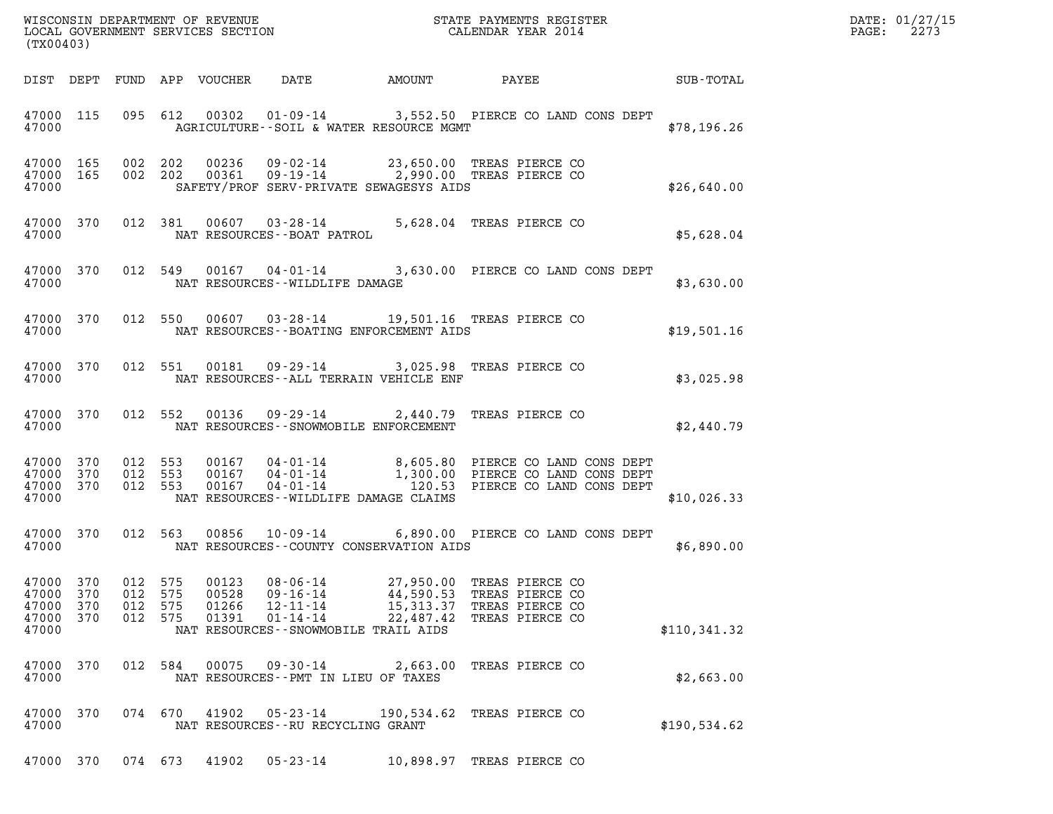| DATE: | 01/27/15 |
|-------|----------|
| PAGE: | 2273     |

| (TX00403)                                                                                                                                                                                                                                                                                                                                                                                                                       | $R = \frac{1}{2}$<br>DATE: 01/27/15<br>PAGE: 2273 |
|---------------------------------------------------------------------------------------------------------------------------------------------------------------------------------------------------------------------------------------------------------------------------------------------------------------------------------------------------------------------------------------------------------------------------------|---------------------------------------------------|
| DIST DEPT FUND APP VOUCHER DATE AMOUNT PAYEE SUB-TOTAL                                                                                                                                                                                                                                                                                                                                                                          |                                                   |
| 47000 115 095 612 00302 01-09-14 3,552.50 PIERCE CO LAND CONS DEPT<br>47000 <b>AGRICULTURE--SOIL &amp; WATER RESOURCE MGMT</b><br>\$78,196.26                                                                                                                                                                                                                                                                                   |                                                   |
| 002  202  00236  09-02-14  23,650.00 TREAS PIERCE CO<br>002  202  00361  09-19-14  2,990.00 TREAS PIERCE CO<br>47000 165<br>47000 165<br>\$26,640.00<br>SAFETY/PROF SERV-PRIVATE SEWAGESYS AIDS<br>47000                                                                                                                                                                                                                        |                                                   |
| 47000 370 012 381 00607 03-28-14 5,628.04 TREAS PIERCE CO<br>NAT RESOURCES - - BOAT PATROL<br>47000<br>\$5,628.04                                                                                                                                                                                                                                                                                                               |                                                   |
| 47000 370 012 549 00167 04-01-14 3,630.00 PIERCE CO LAND CONS DEPT<br>47000 NAT RESOURCES--WILDLIFE DAMAGE<br>\$3,630.00                                                                                                                                                                                                                                                                                                        |                                                   |
| 47000 370 012 550 00607 03-28-14 19,501.16 TREAS PIERCE CO<br>47000 NAT RESOURCES - BOATING ENFORCEMENT AIDS<br>\$19,501.16                                                                                                                                                                                                                                                                                                     |                                                   |
| 47000 370 012 551 00181 09-29-14 3,025.98 TREAS PIERCE CO<br>\$3,025.98<br>47000 NAT RESOURCES--ALL TERRAIN VEHICLE ENF                                                                                                                                                                                                                                                                                                         |                                                   |
| 47000 370 012 552 00136 09-29-14 2,440.79 TREAS PIERCE CO<br>47000 NAT RESOURCES - SNOWMOBILE ENFORCEMENT<br>\$2,440.79                                                                                                                                                                                                                                                                                                         |                                                   |
| 012 553 00167 04-01-14 8,605.80 PIERCE CO LAND CONS DEPT<br>012 553 00167 04-01-14 1,300.00 PIERCE CO LAND CONS DEPT<br>012 553 00167 04-01-14 120.53 PIERCE CO LAND CONS DEPT<br>47000 370<br>47000 370<br>47000 370<br>47000<br>NAT RESOURCES--WILDLIFE DAMAGE CLAIMS<br>\$10,026.33                                                                                                                                          |                                                   |
| 012 563 00856 10-09-14 6,890.00 PIERCE CO LAND CONS DEPT<br>47000 370<br>47000<br>NAT RESOURCES--COUNTY CONSERVATION AIDS<br>\$6,890.00                                                                                                                                                                                                                                                                                         |                                                   |
| 47000 370<br>012 575<br>00123<br>$08 - 06 - 14$<br>27,950.00<br>TREAS PIERCE CO<br>47000<br>575<br>00528<br>$09 - 16 - 14$<br>44,590.53<br>370<br>012<br>TREAS PIERCE CO<br>47000<br>370<br>012<br>575<br>01266<br>$12 - 11 - 14$<br>15, 313.37<br>TREAS PIERCE CO<br>47000<br>370<br>012<br>575<br>01391<br>$01 - 14 - 14$<br>22,487.42<br>TREAS PIERCE CO<br>47000<br>NAT RESOURCES - - SNOWMOBILE TRAIL AIDS<br>\$110,341.32 |                                                   |
| 47000<br>584<br>00075<br>09-30-14<br>TREAS PIERCE CO<br>370<br>012<br>2,663.00<br>47000<br>NAT RESOURCES -- PMT IN LIEU OF TAXES<br>\$2,663.00                                                                                                                                                                                                                                                                                  |                                                   |
| 47000<br>074 670<br>41902<br>370<br>05-23-14<br>190,534.62<br>TREAS PIERCE CO<br>47000<br>\$190,534.62<br>NAT RESOURCES--RU RECYCLING GRANT                                                                                                                                                                                                                                                                                     |                                                   |

47000 370 074 673 41902 05-23-14 10,898.97 TREAS PIERCE CO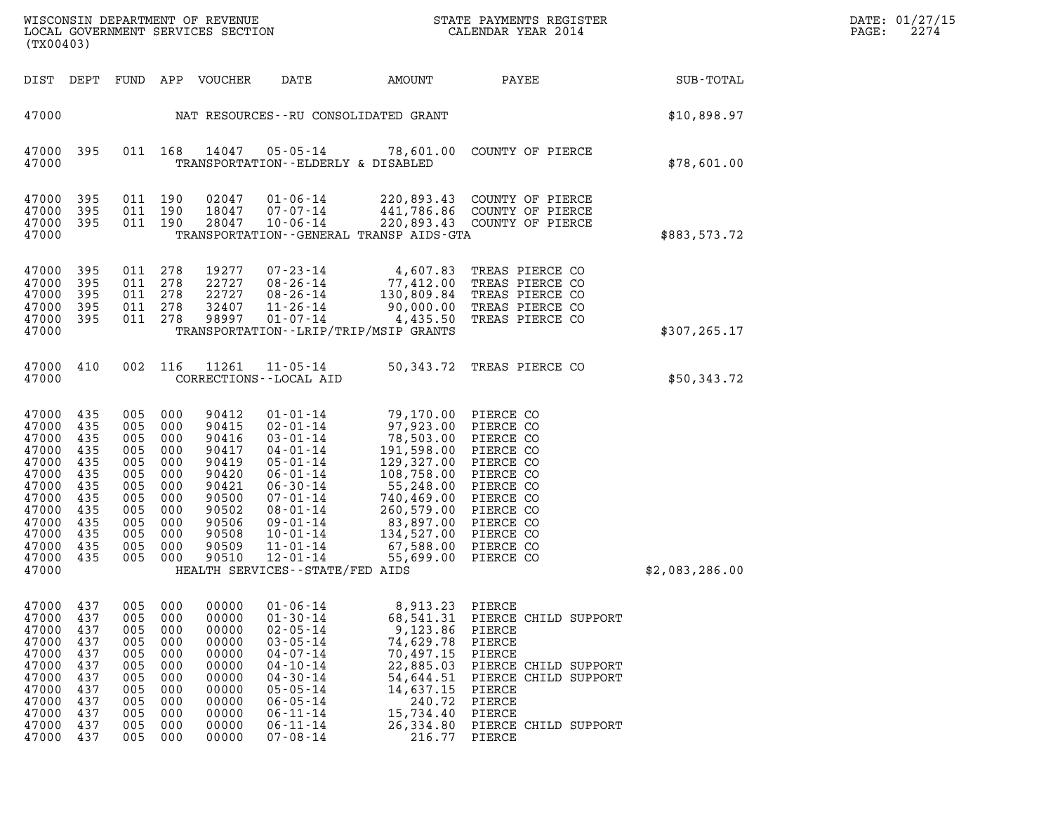| WISCONSIN DEPARTMENT OF REVENUE<br>LOCAL GOVERNMENT SERVICES SECTION<br>. | STATE PAYMENTS REGISTER<br>CALENDAR YEAR 2014 | DATE: 01/27/15<br>2274<br>PAGE: |
|---------------------------------------------------------------------------|-----------------------------------------------|---------------------------------|

| WISCONSIN DEPARTMENT OF REVENUE<br>LOCAL GOVERNMENT SERVICES SECTION FOR THE STATE PAYMENTS REGISTER<br>CALENDAR YEAR 2014<br>(TX00403) |                                                                                         |                                                      |                                                                                                             |                                                                                                                   |                                                                                                                                                     |                                                                                                                                                                                    |                                                                                                                                                      |                | DATE: 01/27/15<br>2274<br>$\mathtt{PAGE}$ : |
|-----------------------------------------------------------------------------------------------------------------------------------------|-----------------------------------------------------------------------------------------|------------------------------------------------------|-------------------------------------------------------------------------------------------------------------|-------------------------------------------------------------------------------------------------------------------|-----------------------------------------------------------------------------------------------------------------------------------------------------|------------------------------------------------------------------------------------------------------------------------------------------------------------------------------------|------------------------------------------------------------------------------------------------------------------------------------------------------|----------------|---------------------------------------------|
|                                                                                                                                         |                                                                                         |                                                      |                                                                                                             | DIST DEPT FUND APP VOUCHER                                                                                        | DATE                                                                                                                                                | AMOUNT                                                                                                                                                                             | PAYEE                                                                                                                                                | SUB-TOTAL      |                                             |
| 47000                                                                                                                                   |                                                                                         |                                                      |                                                                                                             |                                                                                                                   |                                                                                                                                                     | NAT RESOURCES--RU CONSOLIDATED GRANT                                                                                                                                               |                                                                                                                                                      | \$10,898.97    |                                             |
| 47000                                                                                                                                   | 47000 395                                                                               |                                                      |                                                                                                             |                                                                                                                   | TRANSPORTATION--ELDERLY & DISABLED                                                                                                                  |                                                                                                                                                                                    | 011  168  14047  05-05-14  78,601.00  COUNTY OF PIERCE                                                                                               | \$78,601.00    |                                             |
| 47000 395<br>47000<br>47000<br>47000                                                                                                    | 395<br>395                                                                              |                                                      | 011 190<br>011 190<br>011 190                                                                               | 02047<br>18047                                                                                                    | 01-06-14<br>07-07-14<br>28047 10-06-14                                                                                                              | TRANSPORTATION--GENERAL TRANSP AIDS-GTA                                                                                                                                            | 220,893.43 COUNTY OF PIERCE<br>441,786.86 COUNTY OF PIERCE<br>220,893.43 COUNTY OF PIERCE                                                            | \$883,573.72   |                                             |
| 47000<br>47000<br>47000<br>47000<br>47000<br>47000                                                                                      | - 395<br>395<br>395<br>395<br>395                                                       |                                                      | 011 278<br>011 278<br>011 278<br>011 278<br>011 278                                                         | 19277<br>22727<br>22727<br>32407<br>98997                                                                         | 11-26-14<br>$01 - 07 - 14$                                                                                                                          | 90,000.00<br>4,435.50<br>TRANSPORTATION - - LRIP/TRIP/MSIP GRANTS                                                                                                                  | 07-23-14 4,607.83 TREAS PIERCE CO<br>08-26-14 77,412.00 TREAS PIERCE CO<br>08-26-14 130,809.84 TREAS PIERCE CO<br>TREAS PIERCE CO<br>TREAS PIERCE CO | \$307, 265.17  |                                             |
| 47000 410<br>47000                                                                                                                      |                                                                                         |                                                      |                                                                                                             | 002 116 11261                                                                                                     | CORRECTIONS - - LOCAL AID                                                                                                                           |                                                                                                                                                                                    | 11-05-14 50,343.72 TREAS PIERCE CO                                                                                                                   | \$50,343.72    |                                             |
| 47000<br>47000<br>47000<br>47000<br>47000<br>47000<br>47000<br>47000<br>47000<br>47000<br>47000<br>47000<br>47000<br>47000              | 435<br>435<br>435<br>435<br>435<br>435<br>435<br>435<br>435<br>435<br>435<br>435<br>435 | 005<br>005<br>005<br>005<br>005<br>005<br>005<br>005 | 005 000<br>000<br>005 000<br>000<br>000<br>000<br>000<br>000<br>005 000<br>000<br>005 000<br>000<br>005 000 | 90412<br>90415<br>90416<br>90417<br>90419<br>90420<br>90421<br>90500<br>90502<br>90506<br>90508<br>90509<br>90510 | $02 - 01 - 14$<br>$03 - 01 - 14$<br>04-01-14<br>$05 - 01 - 14$<br>$06 - 01 - 14$<br>$06 - 30 - 14$<br>12-01-14<br>HEALTH SERVICES -- STATE/FED AIDS | 01-01-14 79,170.00 PIERCE CO<br>97,923.00 PIERCE CO<br>78,503.00 PIERCE CO.<br>191,598.00 PIERCE CO.<br>129,327.00<br>108,758.00<br>55,248.00<br>260,579.00 PIERCE CO<br>55,699.00 | PIERCE CO<br>PIERCE CO<br>PIERCE CO<br>PIERCE CO<br>PIERCE CO<br>PIERCE CO<br>PIERCE CO<br>PIERCE CO                                                 | \$2,083,286.00 |                                             |
| 47000<br>47000<br>47000<br>47000<br>47000<br>47000<br>47000<br>47000 437                                                                | 437<br>437<br>437<br>437<br>437<br>437<br>437                                           | 005<br>005<br>005<br>005<br>005<br>005<br>005        | 000<br>000<br>000<br>000<br>000<br>000<br>000<br>005 000                                                    | 00000<br>00000<br>00000<br>00000<br>00000<br>00000<br>00000<br>00000                                              | $01 - 06 - 14$<br>$01 - 30 - 14$<br>$02 - 05 - 14$<br>$03 - 05 - 14$<br>$04 - 07 - 14$<br>$04 - 10 - 14$<br>$04 - 30 - 14$<br>$05 - 05 - 14$        | 8,913.23 PIERCE<br>68,541.31<br>9,123.86<br>74,629.78<br>70,497.15<br>22,885.03<br>14.637.15 PIERCE                                                                                | PIERCE CHILD SUPPORT<br>PIERCE<br>PIERCE<br>PIERCE<br>PIERCE CHILD SUPPORT<br>54,644.51 PIERCE CHILD SUPPORT                                         |                |                                             |

| 4/000 | 437 | uus. | <u>UUU</u> | uuuu  | $01 - 06 - 14$ | 8,913.23  | PIERCE |                      |  |
|-------|-----|------|------------|-------|----------------|-----------|--------|----------------------|--|
| 47000 | 437 | 005  | 000        | 00000 | $01 - 30 - 14$ | 68,541.31 |        | PIERCE CHILD SUPPORT |  |
| 47000 | 437 | 005  | 000        | 00000 | $02 - 05 - 14$ | 9,123.86  | PIERCE |                      |  |
| 47000 | 437 | 005  | 000        | 00000 | $03 - 05 - 14$ | 74,629.78 | PIERCE |                      |  |
| 47000 | 437 | 005  | 000        | 00000 | 04 - 07 - 14   | 70,497.15 | PIERCE |                      |  |
| 47000 | 437 | 005  | 000        | 00000 | $04 - 10 - 14$ | 22,885.03 |        | PIERCE CHILD SUPPORT |  |
| 47000 | 437 | 005  | 000        | 00000 | $04 - 30 - 14$ | 54,644.51 |        | PIERCE CHILD SUPPORT |  |
| 47000 | 437 | 005  | 000        | 00000 | $05 - 05 - 14$ | 14,637.15 | PIERCE |                      |  |
| 47000 | 437 | 005  | 000        | 00000 | $06 - 05 - 14$ | 240.72    | PIERCE |                      |  |
| 47000 | 437 | 005  | 000        | 00000 | 06-11-14       | 15,734.40 | PIERCE |                      |  |
| 47000 | 437 | 005  | 000        | 00000 | 06-11-14       | 26,334.80 |        | PIERCE CHILD SUPPORT |  |
| 47000 | 437 | 005  | 000        | 00000 | $07 - 08 - 14$ | 216.77    | PIERCE |                      |  |
|       |     |      |            |       |                |           |        |                      |  |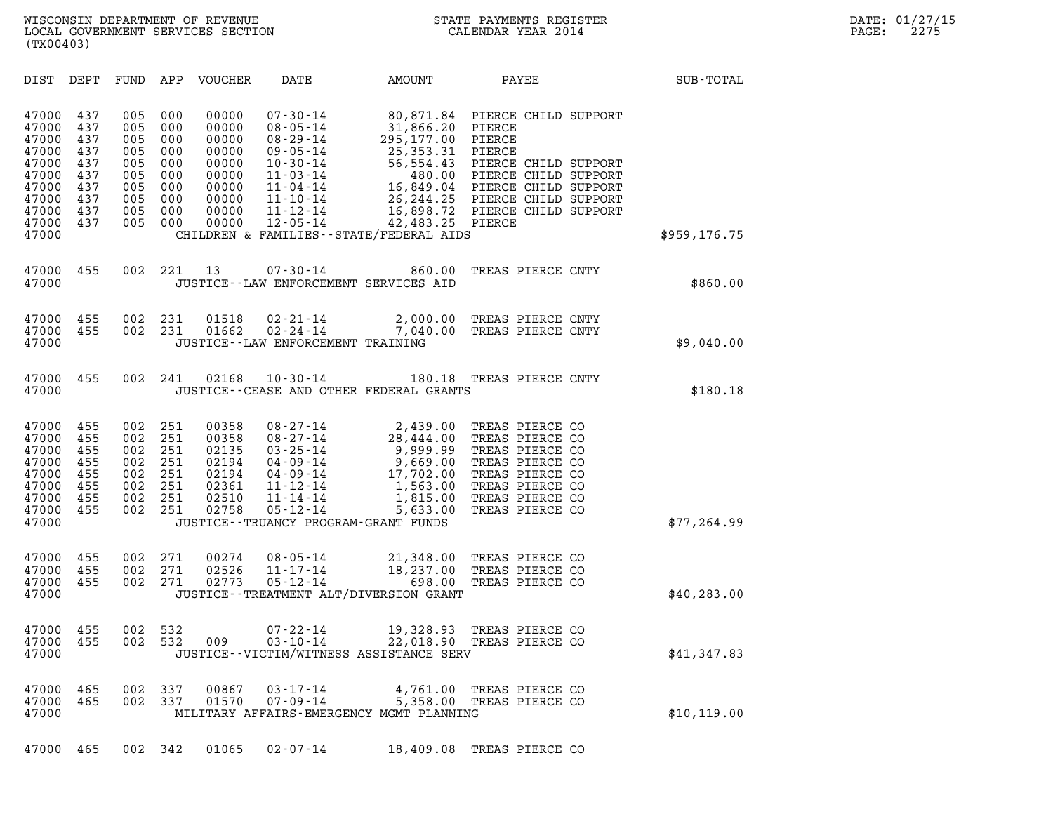| (TX00403)                                                                                                                                                             |                                                                    |                                                                    |                                                                                        |                                                                                                                                                                                  |                                                                                                                                                           |                                                                                                                                                                                                |              |
|-----------------------------------------------------------------------------------------------------------------------------------------------------------------------|--------------------------------------------------------------------|--------------------------------------------------------------------|----------------------------------------------------------------------------------------|----------------------------------------------------------------------------------------------------------------------------------------------------------------------------------|-----------------------------------------------------------------------------------------------------------------------------------------------------------|------------------------------------------------------------------------------------------------------------------------------------------------------------------------------------------------|--------------|
| DIST<br>DEPT                                                                                                                                                          | FUND                                                               | APP                                                                | <b>VOUCHER</b>                                                                         | DATE                                                                                                                                                                             | AMOUNT                                                                                                                                                    | PAYEE                                                                                                                                                                                          | SUB-TOTAL    |
| 437<br>47000<br>47000<br>437<br>47000<br>437<br>437<br>47000<br>47000<br>437<br>437<br>47000<br>47000<br>437<br>437<br>47000<br>47000<br>437<br>437<br>47000<br>47000 | 005<br>005<br>005<br>005<br>005<br>005<br>005<br>005<br>005<br>005 | 000<br>000<br>000<br>000<br>000<br>000<br>000<br>000<br>000<br>000 | 00000<br>00000<br>00000<br>00000<br>00000<br>00000<br>00000<br>00000<br>00000<br>00000 | $07 - 30 - 14$<br>$08 - 05 - 14$<br>$08 - 29 - 14$<br>$09 - 05 - 14$<br>$10 - 30 - 14$<br>$11 - 03 - 14$<br>$11 - 04 - 14$<br>$11 - 10 - 14$<br>$11 - 12 - 14$<br>$12 - 05 - 14$ | 80,871.84<br>31,866.20<br>295,177.00<br>25, 353. 31<br>56,554.43<br>480.00<br>16,849.04<br>42,483.25 PIERCE<br>CHILDREN & FAMILIES - - STATE/FEDERAL AIDS | PIERCE CHILD SUPPORT<br>PIERCE<br>PIERCE<br>PIERCE<br>PIERCE CHILD SUPPORT<br>PIERCE CHILD SUPPORT<br>PIERCE CHILD SUPPORT<br>26,244.25 PIERCE CHILD SUPPORT<br>16,898.72 PIERCE CHILD SUPPORT | \$959,176.75 |
| 47000<br>455<br>47000                                                                                                                                                 | 002                                                                | 221                                                                | 13                                                                                     | $07 - 30 - 14$                                                                                                                                                                   | 860.00<br>JUSTICE -- LAW ENFORCEMENT SERVICES AID                                                                                                         | TREAS PIERCE CNTY                                                                                                                                                                              | \$860.00     |
| 455<br>47000<br>47000<br>455<br>47000                                                                                                                                 | 002<br>002                                                         | 231<br>231                                                         | 01518<br>01662                                                                         | $02 - 21 - 14$<br>$02 - 24 - 14$<br>JUSTICE--LAW ENFORCEMENT TRAINING                                                                                                            | 2,000.00<br>7,040.00                                                                                                                                      | TREAS PIERCE CNTY<br>TREAS PIERCE CNTY                                                                                                                                                         | \$9,040.00   |
| 455<br>47000<br>47000                                                                                                                                                 | 002                                                                | 241                                                                | 02168                                                                                  | $10 - 30 - 14$                                                                                                                                                                   | 180.18<br>JUSTICE -- CEASE AND OTHER FEDERAL GRANTS                                                                                                       | TREAS PIERCE CNTY                                                                                                                                                                              | \$180.18     |
| 455<br>47000<br>455<br>47000<br>47000<br>455<br>455<br>47000<br>47000<br>455<br>47000<br>455<br>47000<br>455<br>47000<br>455<br>47000                                 | 002<br>002<br>002<br>002<br>002<br>002<br>002<br>002               | 251<br>251<br>251<br>251<br>251<br>251<br>251<br>251               | 00358<br>00358<br>02135<br>02194<br>02194<br>02361<br>02510<br>02758                   | $08 - 27 - 14$<br>$08 - 27 - 14$<br>$03 - 25 - 14$<br>$04 - 09 - 14$<br>$04 - 09 - 14$<br>$11 - 12 - 14$<br>$11 - 14 - 14$<br>$05 - 12 - 14$                                     | 2,439.00<br>28,444.00<br>9,999.99<br>9,669.00<br>17,702.00<br>1,563.00<br>1,815.00<br>5,633.00<br>JUSTICE - - TRUANCY PROGRAM - GRANT FUNDS               | TREAS PIERCE CO<br>TREAS PIERCE CO<br>TREAS PIERCE CO<br>TREAS PIERCE CO<br>TREAS PIERCE CO<br>TREAS PIERCE CO<br>TREAS PIERCE CO<br>TREAS PIERCE CO                                           | \$77, 264.99 |
| 455<br>47000<br>47000<br>455<br>47000<br>455<br>47000                                                                                                                 | 002<br>002<br>002                                                  | 271<br>271<br>271                                                  | 00274<br>02526<br>02773                                                                | $08 - 05 - 14$<br>$11 - 17 - 14$<br>$05 - 12 - 14$                                                                                                                               | 21,348.00<br>18,237.00<br>698.00<br>JUSTICE - - TREATMENT ALT/DIVERSION GRANT                                                                             | TREAS PIERCE CO<br>TREAS PIERCE CO<br>TREAS PIERCE CO                                                                                                                                          | \$40, 283.00 |
| 455<br>47000<br>47000<br>455<br>47000                                                                                                                                 | 002<br>002                                                         | 532<br>- 532                                                       | 009                                                                                    | $07 - 22 - 14$<br>$03 - 10 - 14$                                                                                                                                                 | 19,328.93<br>JUSTICE - - VICTIM/WITNESS ASSISTANCE SERV                                                                                                   | TREAS PIERCE CO<br>22,018.90 TREAS PIERCE CO                                                                                                                                                   | \$41,347.83  |
| 47000<br>465<br>47000<br>465<br>47000                                                                                                                                 | 002<br>002                                                         | 337<br>337                                                         | 00867<br>01570                                                                         | $03 - 17 - 14$<br>$07 - 09 - 14$                                                                                                                                                 | 4,761.00<br>MILITARY AFFAIRS-EMERGENCY MGMT PLANNING                                                                                                      | TREAS PIERCE CO<br>5,358.00 TREAS PIERCE CO                                                                                                                                                    | \$10, 119.00 |
| 47000 465                                                                                                                                                             |                                                                    | 002 342                                                            | 01065                                                                                  | 02-07-14                                                                                                                                                                         |                                                                                                                                                           | 18,409.08 TREAS PIERCE CO                                                                                                                                                                      |              |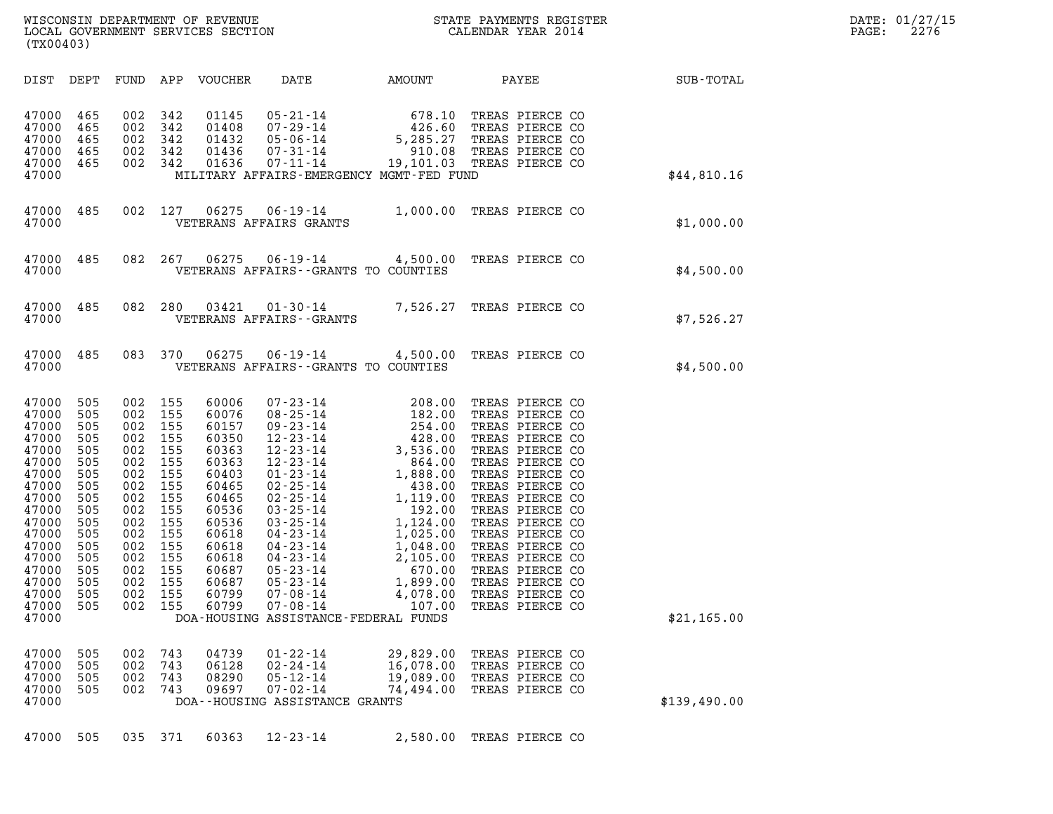| WISCONSIN DEPARTMENT OF REVENUE<br>LOCAL GOVERNMENT SERVICES SECTION<br>(TX00403) | STATE PAYMENTS REGISTER<br>CALENDAR YEAR 2014 | DATE: 01/27/15<br>2276<br>PAGE: |
|-----------------------------------------------------------------------------------|-----------------------------------------------|---------------------------------|

| (TX00403)                                                                                                                                                                                                                                                                                             |                                                                                                                            |                                                                                                                            |                                                                                                                                                                |                                                                                                                                                                                                                                                                                                                                                                          |                                                                                                                                                                                                    |                                                                                                                                                                                                                                                                                                                                                    |              |
|-------------------------------------------------------------------------------------------------------------------------------------------------------------------------------------------------------------------------------------------------------------------------------------------------------|----------------------------------------------------------------------------------------------------------------------------|----------------------------------------------------------------------------------------------------------------------------|----------------------------------------------------------------------------------------------------------------------------------------------------------------|--------------------------------------------------------------------------------------------------------------------------------------------------------------------------------------------------------------------------------------------------------------------------------------------------------------------------------------------------------------------------|----------------------------------------------------------------------------------------------------------------------------------------------------------------------------------------------------|----------------------------------------------------------------------------------------------------------------------------------------------------------------------------------------------------------------------------------------------------------------------------------------------------------------------------------------------------|--------------|
| DEPT<br>DIST                                                                                                                                                                                                                                                                                          | FUND                                                                                                                       | APP                                                                                                                        | VOUCHER                                                                                                                                                        | DATE                                                                                                                                                                                                                                                                                                                                                                     | AMOUNT                                                                                                                                                                                             | PAYEE                                                                                                                                                                                                                                                                                                                                              | SUB-TOTAL    |
| 465<br>47000<br>47000<br>465<br>47000<br>465<br>465<br>47000<br>47000<br>465<br>47000                                                                                                                                                                                                                 | 002<br>002<br>002<br>002<br>002                                                                                            | 342<br>342<br>342<br>342<br>342                                                                                            | 01145<br>01408<br>01432<br>01436<br>01636                                                                                                                      | $05 - 21 - 14$<br>$07 - 29 - 14$<br>$05 - 06 - 14$<br>$07 - 31 - 14$<br>$07 - 11 - 14$                                                                                                                                                                                                                                                                                   | 678.10<br>426.60<br>5,285.27<br>910.08<br>19,101.03<br>MILITARY AFFAIRS-EMERGENCY MGMT-FED FUND                                                                                                    | TREAS PIERCE CO<br>TREAS PIERCE CO<br>TREAS PIERCE CO<br>TREAS PIERCE CO<br>TREAS PIERCE CO                                                                                                                                                                                                                                                        | \$44,810.16  |
| 485<br>47000<br>47000                                                                                                                                                                                                                                                                                 | 002                                                                                                                        | 127                                                                                                                        | 06275                                                                                                                                                          | $06 - 19 - 14$<br>VETERANS AFFAIRS GRANTS                                                                                                                                                                                                                                                                                                                                | 1,000.00                                                                                                                                                                                           | TREAS PIERCE CO                                                                                                                                                                                                                                                                                                                                    | \$1,000.00   |
| 485<br>47000<br>47000                                                                                                                                                                                                                                                                                 | 082                                                                                                                        | 267                                                                                                                        | 06275                                                                                                                                                          | $06 - 19 - 14$<br>VETERANS AFFAIRS -- GRANTS TO COUNTIES                                                                                                                                                                                                                                                                                                                 | 4,500.00                                                                                                                                                                                           | TREAS PIERCE CO                                                                                                                                                                                                                                                                                                                                    | \$4,500.00   |
| 47000<br>485<br>47000                                                                                                                                                                                                                                                                                 | 082                                                                                                                        | 280                                                                                                                        | 03421                                                                                                                                                          | $01 - 30 - 14$<br>VETERANS AFFAIRS - - GRANTS                                                                                                                                                                                                                                                                                                                            | 7,526.27                                                                                                                                                                                           | TREAS PIERCE CO                                                                                                                                                                                                                                                                                                                                    | \$7,526.27   |
| 47000<br>485<br>47000                                                                                                                                                                                                                                                                                 | 083                                                                                                                        | 370                                                                                                                        | 06275                                                                                                                                                          | $06 - 19 - 14$<br>VETERANS AFFAIRS -- GRANTS TO COUNTIES                                                                                                                                                                                                                                                                                                                 | 4,500.00                                                                                                                                                                                           | TREAS PIERCE CO                                                                                                                                                                                                                                                                                                                                    | \$4,500.00   |
| 505<br>47000<br>47000<br>505<br>47000<br>505<br>47000<br>505<br>47000<br>505<br>47000<br>505<br>47000<br>505<br>505<br>47000<br>47000<br>505<br>47000<br>505<br>47000<br>505<br>505<br>47000<br>47000<br>505<br>47000<br>505<br>47000<br>505<br>505<br>47000<br>47000<br>505<br>505<br>47000<br>47000 | 002<br>002<br>002<br>002<br>002<br>002<br>002<br>002<br>002<br>002<br>002<br>002<br>002<br>002<br>002<br>002<br>002<br>002 | 155<br>155<br>155<br>155<br>155<br>155<br>155<br>155<br>155<br>155<br>155<br>155<br>155<br>155<br>155<br>155<br>155<br>155 | 60006<br>60076<br>60157<br>60350<br>60363<br>60363<br>60403<br>60465<br>60465<br>60536<br>60536<br>60618<br>60618<br>60618<br>60687<br>60687<br>60799<br>60799 | $07 - 23 - 14$<br>$08 - 25 - 14$<br>$09 - 23 - 14$<br>$12 - 23 - 14$<br>$12 - 23 - 14$<br>$12 - 23 - 14$<br>$01 - 23 - 14$<br>$02 - 25 - 14$<br>$02 - 25 - 14$<br>$03 - 25 - 14$<br>$03 - 25 - 14$<br>$04 - 23 - 14$<br>$04 - 23 - 14$<br>$04 - 23 - 14$<br>$05 - 23 - 14$<br>$05 - 23 - 14$<br>$07 - 08 - 14$<br>$07 - 08 - 14$<br>DOA-HOUSING ASSISTANCE-FEDERAL FUNDS | 208.00<br>182.00<br>254.00<br>428.00<br>3,536.00<br>864.00<br>1,888.00<br>438.00<br>1,119.00<br>192.00<br>1,124.00<br>1,025.00<br>1,048.00<br>2,105.00<br>670.00<br>1,899.00<br>4,078.00<br>107.00 | TREAS PIERCE CO<br>TREAS PIERCE CO<br>TREAS PIERCE CO<br>TREAS PIERCE CO<br>TREAS PIERCE CO<br>TREAS PIERCE CO<br>TREAS PIERCE CO<br>TREAS PIERCE CO<br>TREAS PIERCE CO<br>TREAS PIERCE CO<br>TREAS PIERCE CO<br>TREAS PIERCE CO<br>TREAS PIERCE CO<br>TREAS PIERCE CO<br>TREAS PIERCE CO<br>TREAS PIERCE CO<br>TREAS PIERCE CO<br>TREAS PIERCE CO | \$21,165.00  |
| 47000<br>505<br>47000<br>505<br>47000<br>505<br>47000<br>505<br>47000                                                                                                                                                                                                                                 | 002<br>002<br>002<br>002                                                                                                   | 743<br>743<br>743<br>743                                                                                                   | 04739<br>06128<br>08290<br>09697                                                                                                                               | $01 - 22 - 14$<br>$02 - 24 - 14$<br>$05 - 12 - 14$<br>$07 - 02 - 14$<br>DOA--HOUSING ASSISTANCE GRANTS                                                                                                                                                                                                                                                                   | 29,829.00<br>16,078.00<br>19,089.00<br>74,494.00                                                                                                                                                   | TREAS PIERCE CO<br>TREAS PIERCE CO<br>TREAS PIERCE CO<br>TREAS PIERCE CO                                                                                                                                                                                                                                                                           | \$139,490.00 |
| 47000<br>505                                                                                                                                                                                                                                                                                          |                                                                                                                            | 035 371                                                                                                                    | 60363                                                                                                                                                          | $12 - 23 - 14$                                                                                                                                                                                                                                                                                                                                                           | 2,580.00                                                                                                                                                                                           | TREAS PIERCE CO                                                                                                                                                                                                                                                                                                                                    |              |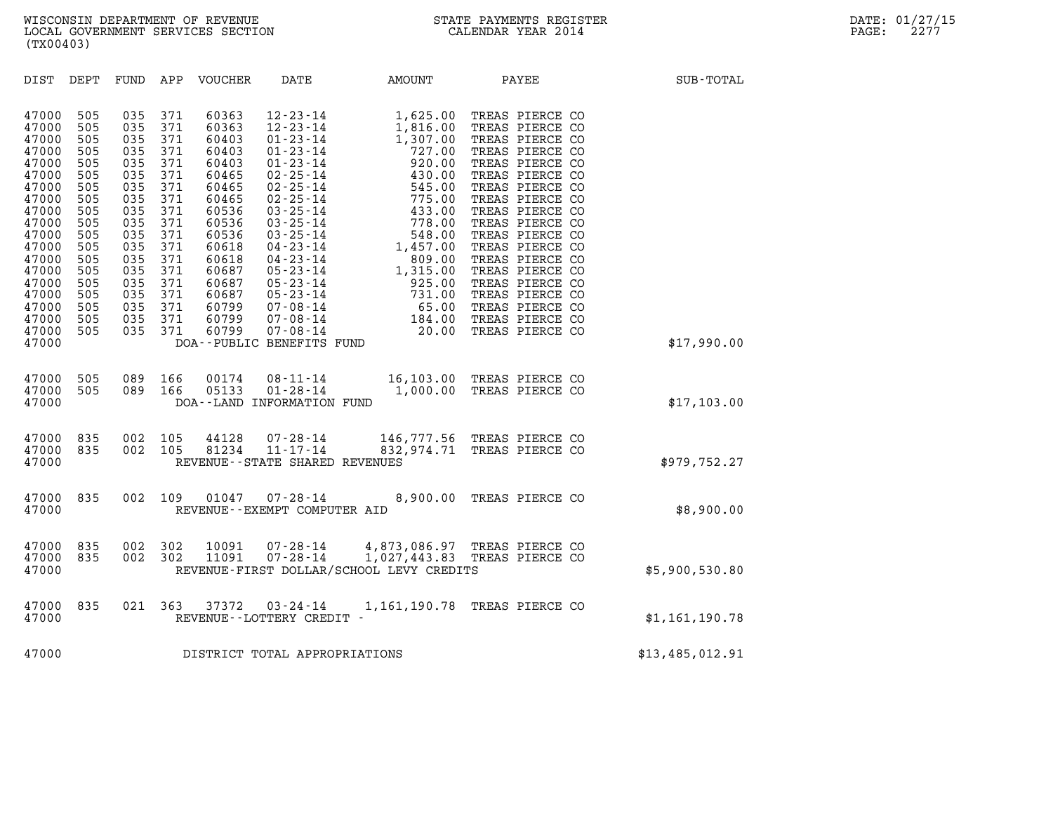| (TX00403)                                                                                                                                                                        |                                                                                                                                   |                                                                                                                                   |                                                                                                                                   |                                                                                                                                                                         |                                   |                                          |                                                                                                  |                 |
|----------------------------------------------------------------------------------------------------------------------------------------------------------------------------------|-----------------------------------------------------------------------------------------------------------------------------------|-----------------------------------------------------------------------------------------------------------------------------------|-----------------------------------------------------------------------------------------------------------------------------------|-------------------------------------------------------------------------------------------------------------------------------------------------------------------------|-----------------------------------|------------------------------------------|--------------------------------------------------------------------------------------------------|-----------------|
| DIST                                                                                                                                                                             | DEPT                                                                                                                              |                                                                                                                                   |                                                                                                                                   | FUND APP VOUCHER                                                                                                                                                        |                                   |                                          | DATE AMOUNT PAYEE                                                                                | SUB-TOTAL       |
| 47000<br>47000<br>47000<br>47000<br>47000<br>47000<br>47000<br>47000<br>47000<br>47000<br>47000<br>47000<br>47000<br>47000<br>47000<br>47000<br>47000<br>47000<br>47000<br>47000 | 505<br>505<br>505<br>505<br>505<br>505<br>505<br>505<br>505<br>505<br>505<br>505<br>505<br>505<br>505<br>505<br>505<br>505<br>505 | 035<br>035<br>035<br>035<br>035<br>035<br>035<br>035<br>035<br>035<br>035<br>035<br>035<br>035<br>035<br>035<br>035<br>035<br>035 | 371<br>371<br>371<br>371<br>371<br>371<br>371<br>371<br>371<br>371<br>371<br>371<br>371<br>371<br>371<br>371<br>371<br>371<br>371 | 60363<br>60363<br>60403<br>60403<br>60403<br>60465<br>60465<br>60465<br>60536<br>60536<br>60536<br>60618<br>60618<br>60687<br>60687<br>60687<br>60799<br>60799<br>60799 | DOA--PUBLIC BENEFITS FUND         |                                          |                                                                                                  | \$17,990.00     |
| 47000<br>47000<br>47000                                                                                                                                                          | 505<br>505                                                                                                                        |                                                                                                                                   | 089 166<br>089 166                                                                                                                |                                                                                                                                                                         | DOA--LAND INFORMATION FUND        |                                          | 00174  08-11-14  16,103.00 TREAS PIERCE CO<br>05133  01-28-14  1,000.00 TREAS PIERCE CO          | \$17,103.00     |
| 47000<br>47000<br>47000                                                                                                                                                          | 835<br>835                                                                                                                        | 002<br>002                                                                                                                        | 105<br>105                                                                                                                        |                                                                                                                                                                         | REVENUE - - STATE SHARED REVENUES |                                          | 44128  07-28-14  146,777.56 TREAS PIERCE CO<br>81234  11-17-14  832,974.71 TREAS PIERCE CO       | \$979,752.27    |
| 47000<br>47000                                                                                                                                                                   | 835                                                                                                                               | 002                                                                                                                               | 109                                                                                                                               |                                                                                                                                                                         | REVENUE--EXEMPT COMPUTER AID      |                                          | 01047  07-28-14  8,900.00 TREAS PIERCE CO                                                        | \$8,900.00      |
| 47000<br>47000<br>47000                                                                                                                                                          | 835<br>835                                                                                                                        | 002<br>002                                                                                                                        | 302<br>302                                                                                                                        |                                                                                                                                                                         |                                   | REVENUE-FIRST DOLLAR/SCHOOL LEVY CREDITS | 10091  07-28-14  4,873,086.97  TREAS PIERCE CO<br>11091  07-28-14  1,027,443.83  TREAS PIERCE CO | \$5,900,530.80  |
| 47000<br>47000                                                                                                                                                                   | 835                                                                                                                               | 021                                                                                                                               | 363                                                                                                                               |                                                                                                                                                                         | REVENUE - - LOTTERY CREDIT -      |                                          | 37372  03-24-14  1,161,190.78  TREAS PIERCE CO                                                   | \$1,161,190.78  |
| 47000                                                                                                                                                                            |                                                                                                                                   |                                                                                                                                   |                                                                                                                                   |                                                                                                                                                                         | DISTRICT TOTAL APPROPRIATIONS     |                                          |                                                                                                  | \$13,485,012.91 |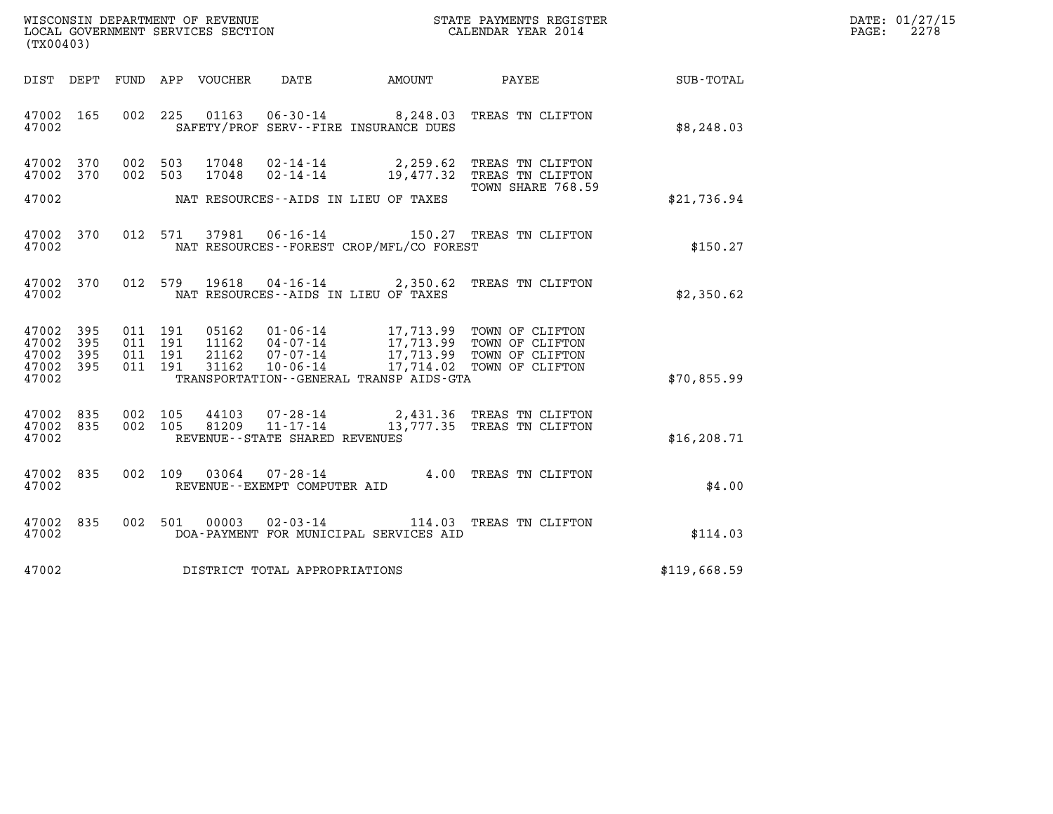| WISCONSIN DEPARTMENT OF REVENUE   | STATE PAYMENTS REGISTER | DATE: 01/27/15 |
|-----------------------------------|-------------------------|----------------|
| LOCAL GOVERNMENT SERVICES SECTION | CALENDAR YEAR 2014      | 2278<br>PAGE:  |

| (TX00403)                                                             |                                                   | WISCONSIN DEPARTMENT OF REVENUE<br>LOCAL GOVERNMENT SERVICES SECTION                                                                               |                         | STATE PAYMENTS REGISTER<br>CALENDAR YEAR 2014                                                          |              |
|-----------------------------------------------------------------------|---------------------------------------------------|----------------------------------------------------------------------------------------------------------------------------------------------------|-------------------------|--------------------------------------------------------------------------------------------------------|--------------|
| DIST<br>DEPT                                                          | FUND                                              | APP VOUCHER<br>DATE                                                                                                                                | <b>AMOUNT</b>           | PAYEE                                                                                                  | SUB-TOTAL    |
| 47002<br>165<br>47002                                                 | 002<br>225                                        | 01163<br>SAFETY/PROF SERV--FIRE INSURANCE DUES                                                                                                     |                         | 06-30-14 8,248.03 TREAS TN CLIFTON                                                                     | \$8, 248.03  |
| 47002<br>370<br>47002<br>370                                          | 002 503<br>002<br>503                             | 17048<br>$02 - 14 - 14$<br>$02 - 14 - 14$<br>17048                                                                                                 | 2,259.62<br>19,477.32   | TREAS TN CLIFTON<br>TREAS TN CLIFTON<br>TOWN SHARE 768.59                                              |              |
| 47002                                                                 |                                                   | NAT RESOURCES--AIDS IN LIEU OF TAXES                                                                                                               |                         |                                                                                                        | \$21,736.94  |
| 47002<br>370<br>47002                                                 | 012<br>571                                        | $06 - 16 - 14$<br>37981<br>NAT RESOURCES - - FOREST CROP/MFL/CO FOREST                                                                             |                         | 150.27 TREAS TN CLIFTON                                                                                | \$150.27     |
| 47002<br>370<br>47002                                                 | 012<br>579                                        | 19618<br>NAT RESOURCES -- AIDS IN LIEU OF TAXES                                                                                                    | $04 - 16 - 14$ 2,350.62 | TREAS TN CLIFTON                                                                                       | \$2,350.62   |
| 395<br>47002<br>395<br>47002<br>47002<br>395<br>395<br>47002<br>47002 | 011 191<br>011<br>191<br>011<br>191<br>011<br>191 | 05162<br>01-06-14<br>$04 - 07 - 14$<br>11162<br>$07 - 07 - 14$<br>21162<br>31162<br>$10 - 06 - 14$<br>TRANSPORTATION - - GENERAL TRANSP AIDS - GTA | 17,714.02               | 17,713.99 TOWN OF CLIFTON<br>17,713.99 TOWN OF CLIFTON<br>17,713.99 TOWN OF CLIFTON<br>TOWN OF CLIFTON | \$70,855.99  |
| 835<br>47002<br>47002<br>835<br>47002                                 | 002<br>105<br>002<br>105                          | 44103<br>$07 - 28 - 14$<br>$11 - 17 - 14$<br>81209<br>REVENUE - - STATE SHARED REVENUES                                                            |                         | 2,431.36 TREAS TN CLIFTON<br>13,777.35 TREAS TN CLIFTON                                                | \$16, 208.71 |
| 835<br>47002<br>47002                                                 | 002<br>109                                        | 03064<br>$07 - 28 - 14$<br>REVENUE--EXEMPT COMPUTER AID                                                                                            | 4.00                    | TREAS TN CLIFTON                                                                                       | \$4.00       |
| 47002<br>835<br>47002                                                 | 002<br>501                                        | 00003<br>$02 - 03 - 14$<br>DOA-PAYMENT FOR MUNICIPAL SERVICES AID                                                                                  | 114.03                  | TREAS TN CLIFTON                                                                                       | \$114.03     |
| 47002                                                                 |                                                   | DISTRICT TOTAL APPROPRIATIONS                                                                                                                      |                         |                                                                                                        | \$119,668.59 |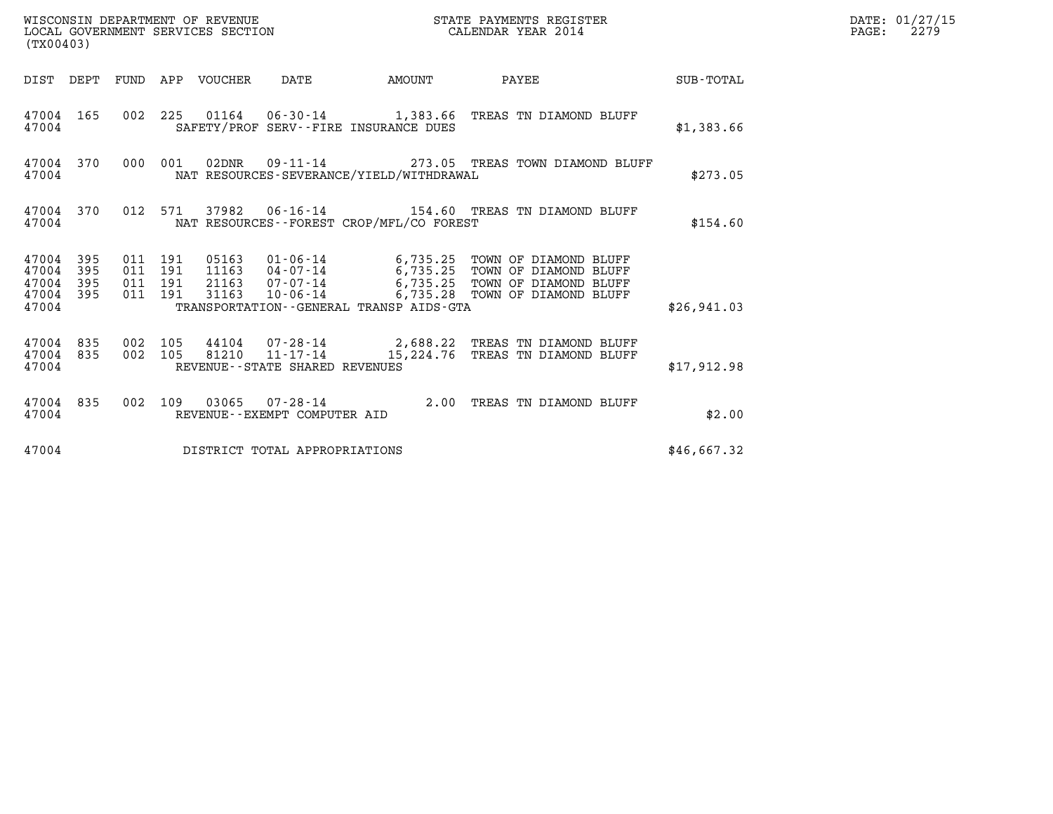| (TX00403)                                             |     |                                          |  |                                |                                          |                                                                                                                                                                                                              |             | DATE: 01/27/15<br>$\mathtt{PAGE:}$<br>2279 |
|-------------------------------------------------------|-----|------------------------------------------|--|--------------------------------|------------------------------------------|--------------------------------------------------------------------------------------------------------------------------------------------------------------------------------------------------------------|-------------|--------------------------------------------|
|                                                       |     |                                          |  |                                |                                          | DIST DEPT FUND APP VOUCHER DATE AMOUNT PAYEE TOTAL                                                                                                                                                           |             |                                            |
| 47004 165<br>47004                                    |     |                                          |  |                                | SAFETY/PROF SERV--FIRE INSURANCE DUES    | 002 225 01164 06-30-14 1,383.66 TREAS TN DIAMOND BLUFF                                                                                                                                                       | \$1,383.66  |                                            |
| 47004 370<br>47004                                    |     |                                          |  |                                | NAT RESOURCES-SEVERANCE/YIELD/WITHDRAWAL | 000 001 02DNR  09-11-14  273.05 TREAS TOWN DIAMOND BLUFF                                                                                                                                                     | \$273.05    |                                            |
| 47004 370<br>47004                                    |     |                                          |  |                                | NAT RESOURCES--FOREST CROP/MFL/CO FOREST | 012 571 37982 06-16-14 154.60 TREAS TN DIAMOND BLUFF                                                                                                                                                         | \$154.60    |                                            |
| 47004 395<br>47004<br>47004 395<br>47004 395<br>47004 | 395 | 011 191<br>011 191<br>011 191<br>011 191 |  |                                | TRANSPORTATION--GENERAL TRANSP AIDS-GTA  | 05163  01-06-14  6,735.25  TOWN OF DIAMOND BLUFF<br>11163  04-07-14  6,735.25  TOWN OF DIAMOND BLUFF<br>21163  07-07-14  6,735.25  TOWN OF DIAMOND BLUFF<br>31163  10-06-14  6,735.28  TOWN OF DIAMOND BLUFF | \$26,941.03 |                                            |
| 47004 835 002 105<br>47004 835<br>47004               |     |                                          |  | REVENUE--STATE SHARED REVENUES |                                          | 002 105 44104 07-28-14 2,688.22 TREAS TN DIAMOND BLUFF 002 105 81210 11-17-14 15,224.76 TREAS TN DIAMOND BLUFF                                                                                               | \$17,912.98 |                                            |
| 47004                                                 |     |                                          |  | REVENUE--EXEMPT COMPUTER AID   |                                          | 47004 835 002 109 03065 07-28-14 2.00 TREAS TN DIAMOND BLUFF                                                                                                                                                 | \$2.00      |                                            |
| 47004                                                 |     |                                          |  | DISTRICT TOTAL APPROPRIATIONS  |                                          |                                                                                                                                                                                                              | \$46,667.32 |                                            |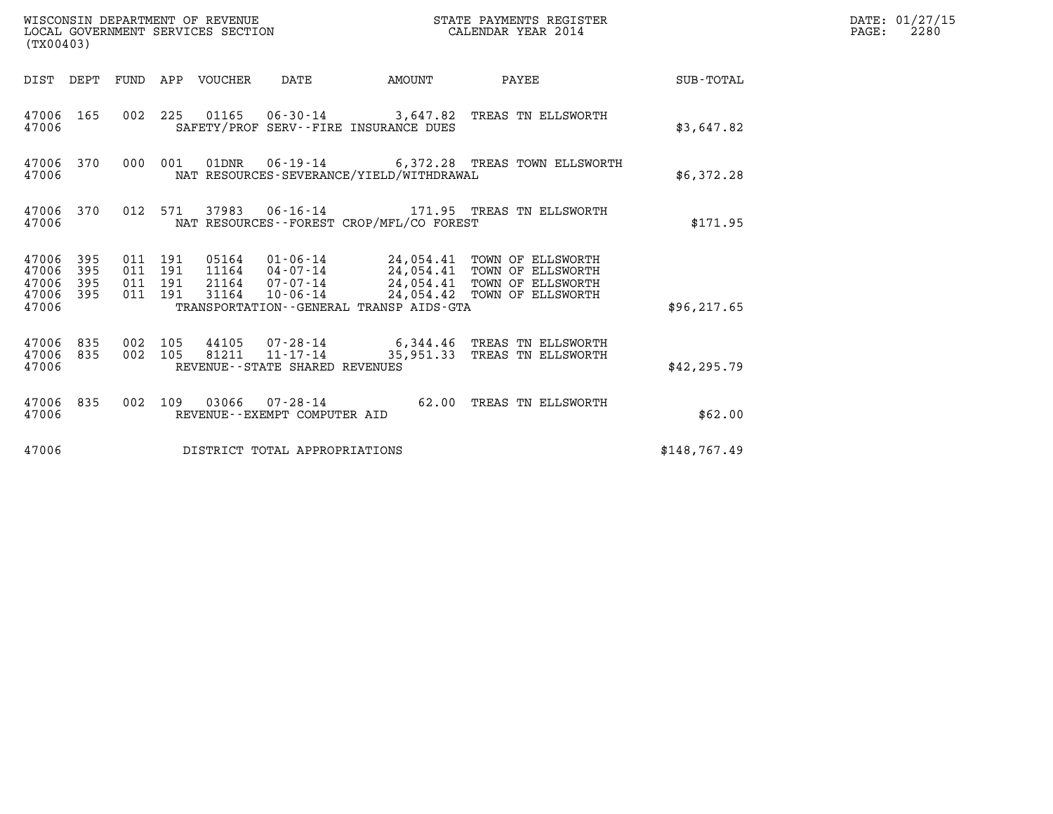| (TX00403)                                 |                          |                                          |         | WISCONSIN DEPARTMENT OF REVENUE<br>LOCAL GOVERNMENT SERVICES SECTION |                                                     |                                             | STATE PAYMENTS REGISTER<br>CALENDAR YEAR 2014                                                                                                                |              | DATE: 01/27/15<br>$\mathtt{PAGE:}$<br>2280 |
|-------------------------------------------|--------------------------|------------------------------------------|---------|----------------------------------------------------------------------|-----------------------------------------------------|---------------------------------------------|--------------------------------------------------------------------------------------------------------------------------------------------------------------|--------------|--------------------------------------------|
|                                           |                          |                                          |         | DIST DEPT FUND APP VOUCHER                                           | DATE                                                | AMOUNT                                      | PAYEE                                                                                                                                                        | SUB-TOTAL    |                                            |
| 47006                                     | 47006 165                |                                          |         |                                                                      |                                                     | SAFETY/PROF SERV--FIRE INSURANCE DUES       | 002 225 01165 06-30-14 3,647.82 TREAS TN ELLSWORTH                                                                                                           | \$3,647.82   |                                            |
| 47006                                     | 47006 370                | 000 001                                  |         |                                                                      |                                                     | NAT RESOURCES-SEVERANCE/YIELD/WITHDRAWAL    | 01DNR  06-19-14  6,372.28 TREAS TOWN ELLSWORTH                                                                                                               | \$6,372.28   |                                            |
| 47006                                     | 47006 370                |                                          | 012 571 |                                                                      |                                                     | NAT RESOURCES - - FOREST CROP/MFL/CO FOREST |                                                                                                                                                              | \$171.95     |                                            |
| 47006<br>47006<br>47006<br>47006<br>47006 | 395<br>395<br>395<br>395 | 011 191<br>011 191<br>011 191<br>011 191 |         | 31164                                                                | 21164 07-07-14<br>10-06-14                          | TRANSPORTATION--GENERAL TRANSP AIDS-GTA     | 05164  01-06-14  24,054.41  TOWN OF ELLSWORTH<br>11164  04-07-14  24,054.41  TOWN OF ELLSWORTH<br>24,054.41 TOWN OF ELLSWORTH<br>24,054.42 TOWN OF ELLSWORTH | \$96, 217.65 |                                            |
| 47006<br>47006<br>47006                   | 835<br>835               | 002 105<br>002 105                       |         |                                                                      | 81211 11-17-14<br>REVENUE - - STATE SHARED REVENUES |                                             | 44105 07-28-14 6,344.46 TREAS TN ELLSWORTH<br>35,951.33 TREAS TN ELLSWORTH                                                                                   | \$42, 295.79 |                                            |
| 47006                                     | 47006 835                |                                          |         |                                                                      | REVENUE - - EXEMPT COMPUTER AID                     |                                             | 002 109 03066 07-28-14 62.00 TREAS TN ELLSWORTH                                                                                                              | \$62.00      |                                            |
| 47006                                     |                          |                                          |         |                                                                      | DISTRICT TOTAL APPROPRIATIONS                       |                                             |                                                                                                                                                              | \$148,767.49 |                                            |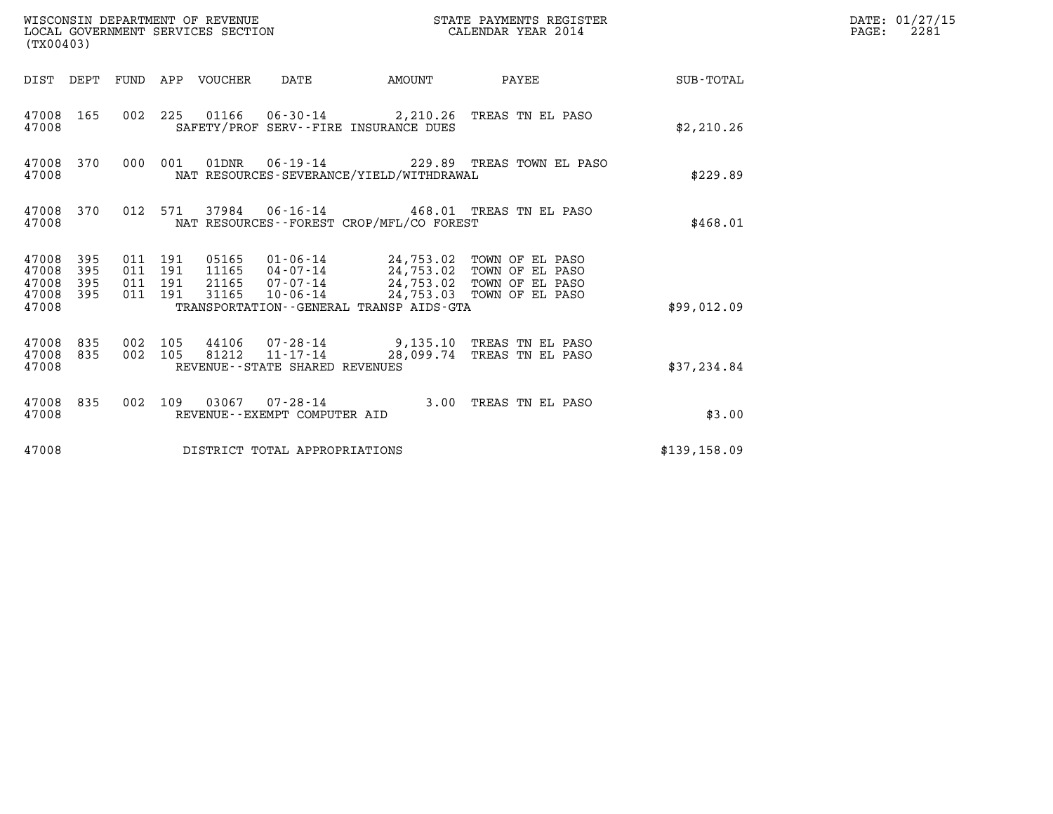| WISCONSIN DEPARTMENT OF REVENUE<br>STATE PAYMENTS REGISTER<br>LOCAL GOVERNMENT SERVICES SECTION<br>CALENDAR YEAR 2014<br>(TX00403) |                     |                                          |  |                                 |                                                  |                                              |                                                                                                                                                                              |              | DATE: 01/27/15<br>$\mathtt{PAGE:}$<br>2281 |
|------------------------------------------------------------------------------------------------------------------------------------|---------------------|------------------------------------------|--|---------------------------------|--------------------------------------------------|----------------------------------------------|------------------------------------------------------------------------------------------------------------------------------------------------------------------------------|--------------|--------------------------------------------|
|                                                                                                                                    |                     |                                          |  | DIST DEPT FUND APP VOUCHER DATE |                                                  | <b>AMOUNT</b>                                | PAYEE SUB-TOTAL                                                                                                                                                              |              |                                            |
| 47008 165<br>47008                                                                                                                 |                     |                                          |  |                                 |                                                  | SAFETY/PROF SERV--FIRE INSURANCE DUES        | 002 225 01166 06-30-14 2,210.26 TREAS TN EL PASO                                                                                                                             | \$2,210.26   |                                            |
| 47008 370<br>47008                                                                                                                 |                     | 000 001                                  |  |                                 |                                                  | NAT RESOURCES-SEVERANCE/YIELD/WITHDRAWAL     | 01DNR  06-19-14  229.89 TREAS TOWN EL PASO                                                                                                                                   | \$229.89     |                                            |
| 47008 370<br>47008                                                                                                                 |                     |                                          |  |                                 |                                                  | NAT RESOURCES--FOREST CROP/MFL/CO FOREST     | 012 571 37984 06-16-14 468.01 TREAS TN EL PASO                                                                                                                               | \$468.01     |                                            |
| 47008<br>47008<br>47008<br>47008 395<br>47008                                                                                      | - 395<br>395<br>395 | 011 191<br>011 191<br>011 191<br>011 191 |  | 31165                           |                                                  | TRANSPORTATION - - GENERAL TRANSP AIDS - GTA | 05165  01-06-14  24,753.02  TOWN OF EL PASO<br>11165  04-07-14  24,753.02  TOWN OF EL PASO<br>21165 07-07-14 24,753.02 TOWN OF EL PASO<br>10-06-14 24,753.03 TOWN OF EL PASO | \$99,012.09  |                                            |
| 47008 835<br>47008 835<br>47008                                                                                                    |                     | 002 105<br>002 105                       |  |                                 | 81212 11-17-14<br>REVENUE--STATE SHARED REVENUES |                                              | 44106 07-28-14 9,135.10 TREAS TN EL PASO<br>28,099.74 TREAS TN EL PASO                                                                                                       | \$37,234.84  |                                            |
| 47008 835<br>47008                                                                                                                 |                     |                                          |  |                                 | REVENUE--EXEMPT COMPUTER AID                     |                                              | 002 109 03067 07-28-14 3.00 TREAS TN EL PASO                                                                                                                                 | \$3.00       |                                            |
| 47008                                                                                                                              |                     |                                          |  |                                 | DISTRICT TOTAL APPROPRIATIONS                    |                                              |                                                                                                                                                                              | \$139,158.09 |                                            |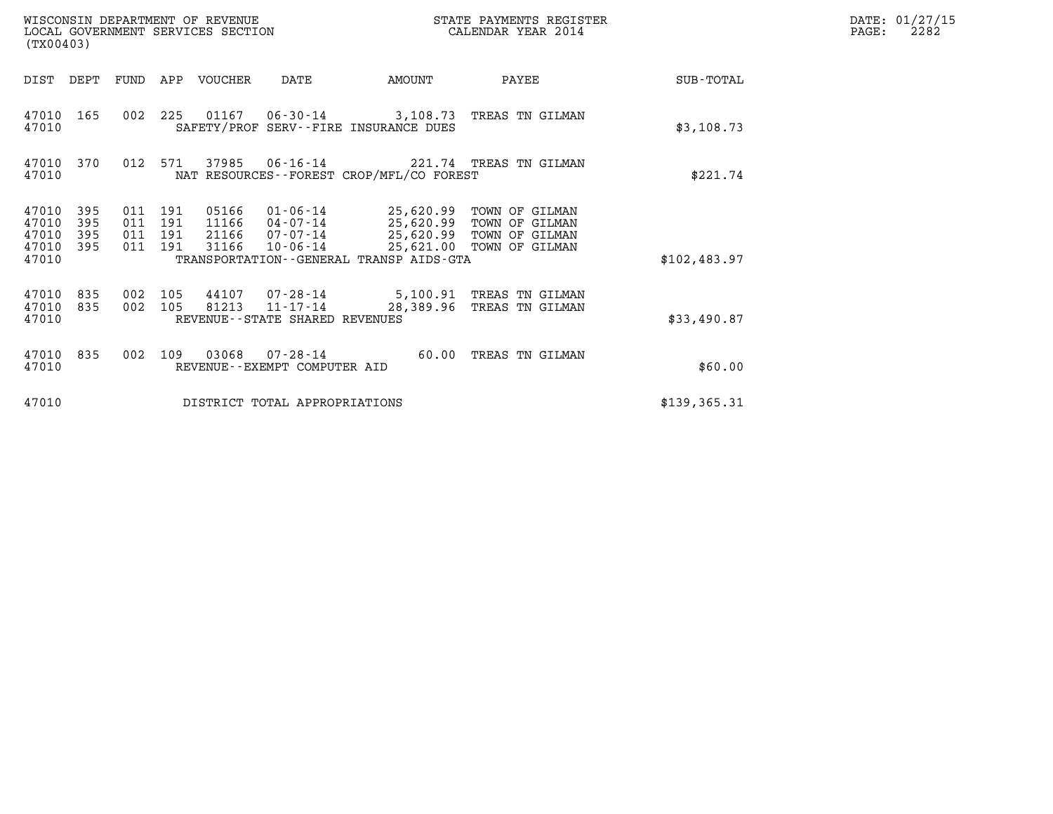| WISCONSIN DEPARTMENT OF REVENUE<br>LOCAL GOVERNMENT SERVICES SECTION<br>(TX00403) |                          |                                      |            |                                  |                                                              | STATE PAYMENTS REGISTER<br>CALENDAR YEAR 2014 |                                                                                                                       |               | DATE: 01/27/15<br>PAGE:<br>2282 |
|-----------------------------------------------------------------------------------|--------------------------|--------------------------------------|------------|----------------------------------|--------------------------------------------------------------|-----------------------------------------------|-----------------------------------------------------------------------------------------------------------------------|---------------|---------------------------------|
| DIST DEPT                                                                         |                          | FUND                                 |            | APP VOUCHER                      | DATE                                                         | AMOUNT                                        | PAYEE                                                                                                                 | SUB-TOTAL     |                                 |
| 47010<br>47010                                                                    | 165                      |                                      | 002 225    |                                  |                                                              | SAFETY/PROF SERV--FIRE INSURANCE DUES         | 01167  06-30-14  3,108.73  TREAS TN GILMAN                                                                            | \$3,108.73    |                                 |
| 47010<br>47010                                                                    | 370                      | 012                                  | 571        | 37985                            | $06 - 16 - 14$                                               | NAT RESOURCES--FOREST CROP/MFL/CO FOREST      | 221.74 TREAS TN GILMAN                                                                                                | \$221.74      |                                 |
| 47010<br>47010<br>47010<br>47010<br>47010                                         | 395<br>395<br>395<br>395 | 011 191<br>011<br>011 191<br>011 191 | 191        | 05166<br>11166<br>21166<br>31166 | 04-07-14<br>07-07-14<br>10-06-14                             | TRANSPORTATION--GENERAL TRANSP AIDS-GTA       | 01-06-14 25,620.99 TOWN OF GILMAN<br>25,620.99 TOWN OF GILMAN<br>25,620.99 TOWN OF GILMAN<br>25,621.00 TOWN OF GILMAN | \$102,483.97  |                                 |
| 47010<br>47010<br>47010                                                           | 835<br>835               | 002<br>002                           | 105<br>105 | 44107<br>81213                   | 07-28-14<br>$11 - 17 - 14$<br>REVENUE--STATE SHARED REVENUES | 28,389.96                                     | 5,100.91 TREAS TN GILMAN<br>TREAS TN GILMAN                                                                           | \$33,490.87   |                                 |
| 47010<br>47010                                                                    | 835                      | 002                                  | 109        | 03068                            | 07-28-14<br>REVENUE - - EXEMPT COMPUTER AID                  | 60.00                                         | TREAS TN GILMAN                                                                                                       | \$60.00       |                                 |
| 47010                                                                             |                          |                                      |            |                                  | DISTRICT TOTAL APPROPRIATIONS                                |                                               |                                                                                                                       | \$139, 365.31 |                                 |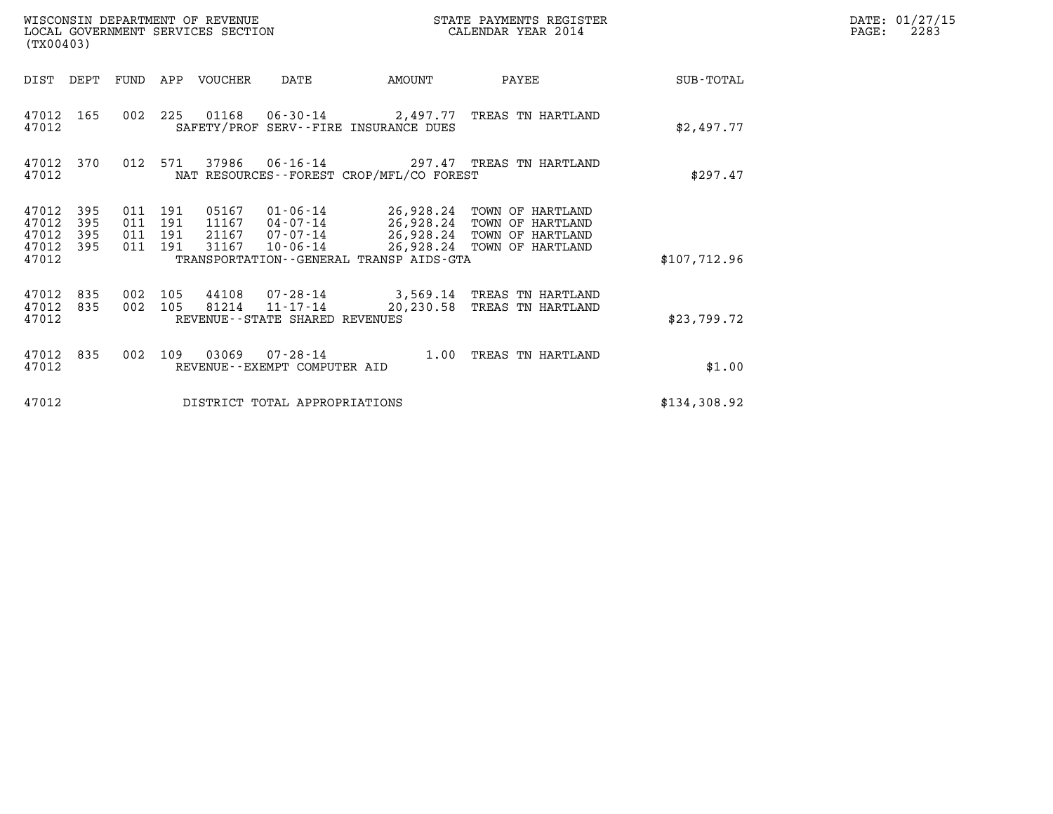| (TX00403)                                                             | WISCONSIN DEPARTMENT OF REVENUE<br>LOCAL GOVERNMENT SERVICES SECTION            |                                                                                         | STATE PAYMENTS REGISTER<br>CALENDAR YEAR 2014                                                                        |              | DATE: 01/27/15<br>PAGE:<br>2283 |
|-----------------------------------------------------------------------|---------------------------------------------------------------------------------|-----------------------------------------------------------------------------------------|----------------------------------------------------------------------------------------------------------------------|--------------|---------------------------------|
| DIST DEPT                                                             | FUND<br>APP VOUCHER                                                             | DATE<br>AMOUNT                                                                          | PAYEE                                                                                                                | SUB-TOTAL    |                                 |
| 47012<br>165<br>47012                                                 | 002 225                                                                         | 01168  06-30-14  2,497.77  TREAS TN HARTLAND<br>SAFETY/PROF SERV--FIRE INSURANCE DUES   |                                                                                                                      | \$2.497.77   |                                 |
| 47012 370<br>47012                                                    | 012<br>37986<br>571                                                             | $06 - 16 - 14$<br>NAT RESOURCES--FOREST CROP/MFL/CO FOREST                              | 297.47 TREAS TN HARTLAND                                                                                             | \$297.47     |                                 |
| 47012<br>395<br>47012<br>395<br>47012<br>395<br>47012<br>395<br>47012 | 011 191<br>05167<br>011<br>191<br>11167<br>011 191<br>21167<br>011 191<br>31167 | 01-06-14<br>04-07-14<br>07-07-14<br>10-06-14<br>TRANSPORTATION--GENERAL TRANSP AIDS-GTA | 26,928.24 TOWN OF HARTLAND<br>26,928.24 TOWN OF HARTLAND<br>26,928.24 TOWN OF HARTLAND<br>26,928.24 TOWN OF HARTLAND | \$107,712.96 |                                 |
| 47012<br>835<br>47012<br>835<br>47012                                 | 002<br>105<br>44108<br>002<br>105<br>81214                                      | 07-28-14<br>$11 - 17 - 14$<br>20,230.58<br>REVENUE - - STATE SHARED REVENUES            | 3,569.14 TREAS TN HARTLAND<br>TREAS TN HARTLAND                                                                      | \$23,799.72  |                                 |
| 47012<br>835<br>47012                                                 | 002<br>109<br>03069                                                             | 07-28-14<br>1.00<br>REVENUE--EXEMPT COMPUTER AID                                        | TREAS TN HARTLAND                                                                                                    | \$1.00       |                                 |
| 47012                                                                 |                                                                                 | DISTRICT TOTAL APPROPRIATIONS                                                           |                                                                                                                      | \$134,308.92 |                                 |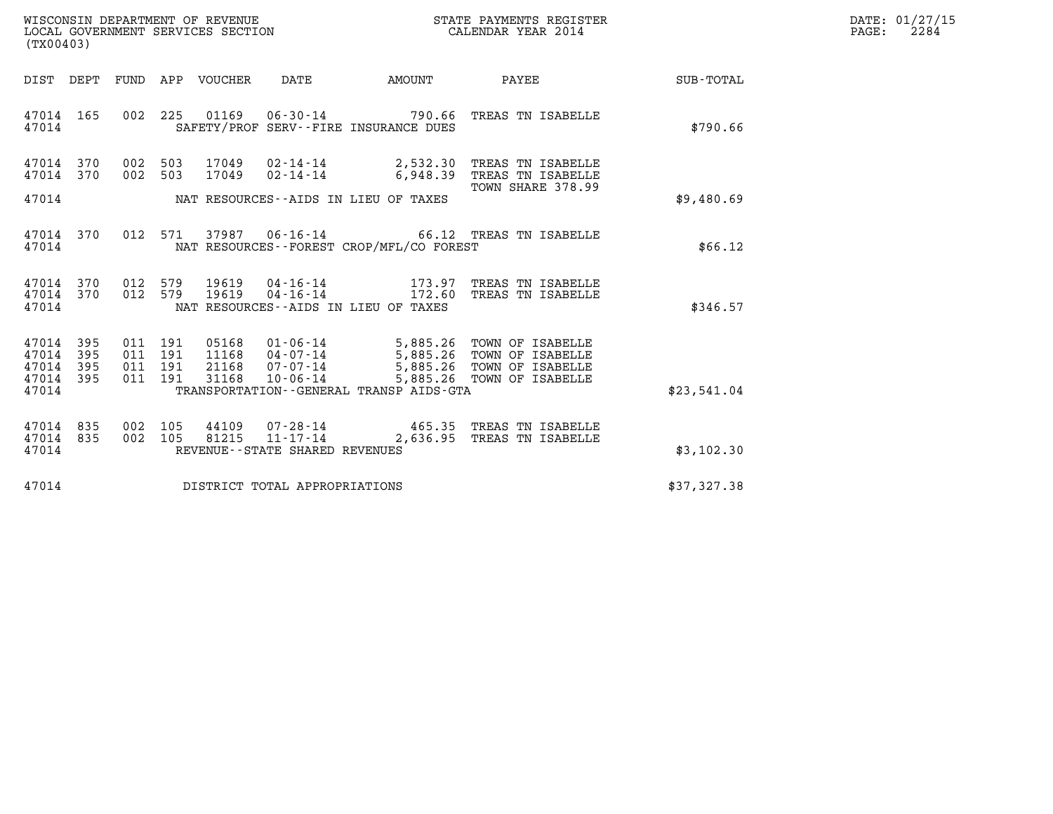| WISCONSIN DEPARTMENT OF REVENUE   | STATE PAYMENTS REGISTER | DATE: 01/27/15 |
|-----------------------------------|-------------------------|----------------|
| LOCAL GOVERNMENT SERVICES SECTION | CALENDAR YEAR 2014      | 2284<br>PAGE:  |

| (TX00403)                                                             |                                                                                          |                                                                                                     |                                              |                                                                              |                  |
|-----------------------------------------------------------------------|------------------------------------------------------------------------------------------|-----------------------------------------------------------------------------------------------------|----------------------------------------------|------------------------------------------------------------------------------|------------------|
| DEPT<br>DIST                                                          | FUND<br>APP<br><b>VOUCHER</b>                                                            | <b>DATE</b>                                                                                         | AMOUNT                                       | PAYEE                                                                        | <b>SUB-TOTAL</b> |
| 165<br>47014<br>47014                                                 | 002<br>225<br>01169                                                                      | $06 - 30 - 14$<br>SAFETY/PROF SERV--FIRE INSURANCE DUES                                             | 790.66                                       | TREAS TN ISABELLE                                                            | \$790.66         |
| 370<br>47014<br>370<br>47014<br>47014                                 | 17049<br>002<br>503<br>002<br>503<br>17049                                               | $02 - 14 - 14$<br>$02 - 14 - 14$<br>NAT RESOURCES -- AIDS IN LIEU OF TAXES                          | 2,532.30<br>6,948.39                         | TREAS TN ISABELLE<br>TREAS TN ISABELLE<br>TOWN SHARE 378.99                  | \$9,480.69       |
| 370<br>47014<br>47014                                                 | 37987<br>012<br>571                                                                      | $06 - 16 - 14$<br>NAT RESOURCES - - FOREST CROP/MFL/CO FOREST                                       |                                              | 66.12 TREAS TN ISABELLE                                                      | \$66.12          |
| 47014<br>370<br>370<br>47014<br>47014                                 | 012<br>579<br>19619<br>579<br>012<br>19619                                               | $04 - 16 - 14$<br>$04 - 16 - 14$<br>NAT RESOURCES -- AIDS IN LIEU OF TAXES                          | 173.97<br>172.60                             | TREAS TN ISABELLE<br>TREAS TN ISABELLE                                       | \$346.57         |
| 47014<br>395<br>395<br>47014<br>47014<br>395<br>47014<br>395<br>47014 | 011<br>191<br>05168<br>11168<br>011<br>191<br>21168<br>011<br>191<br>191<br>31168<br>011 | 01-06-14<br>04-07-14<br>$07 - 07 - 14$<br>$10 - 06 - 14$<br>TRANSPORTATION--GENERAL TRANSP AIDS-GTA | 5,885.26<br>5,885.26<br>5,885.26<br>5,885.26 | TOWN OF ISABELLE<br>TOWN OF ISABELLE<br>TOWN OF ISABELLE<br>TOWN OF ISABELLE | \$23,541.04      |
| 47014<br>835<br>47014<br>835<br>47014                                 | 002<br>105<br>44109<br>002<br>81215<br>105                                               | 07-28-14<br>$11 - 17 - 14$<br>REVENUE - - STATE SHARED REVENUES                                     | 465.35<br>2,636.95                           | TREAS TN ISABELLE<br>TREAS TN ISABELLE                                       | \$3,102.30       |
| 47014                                                                 |                                                                                          | DISTRICT TOTAL APPROPRIATIONS                                                                       |                                              |                                                                              | \$37,327.38      |

LOCAL GOVERNMENT SERVICES SECTION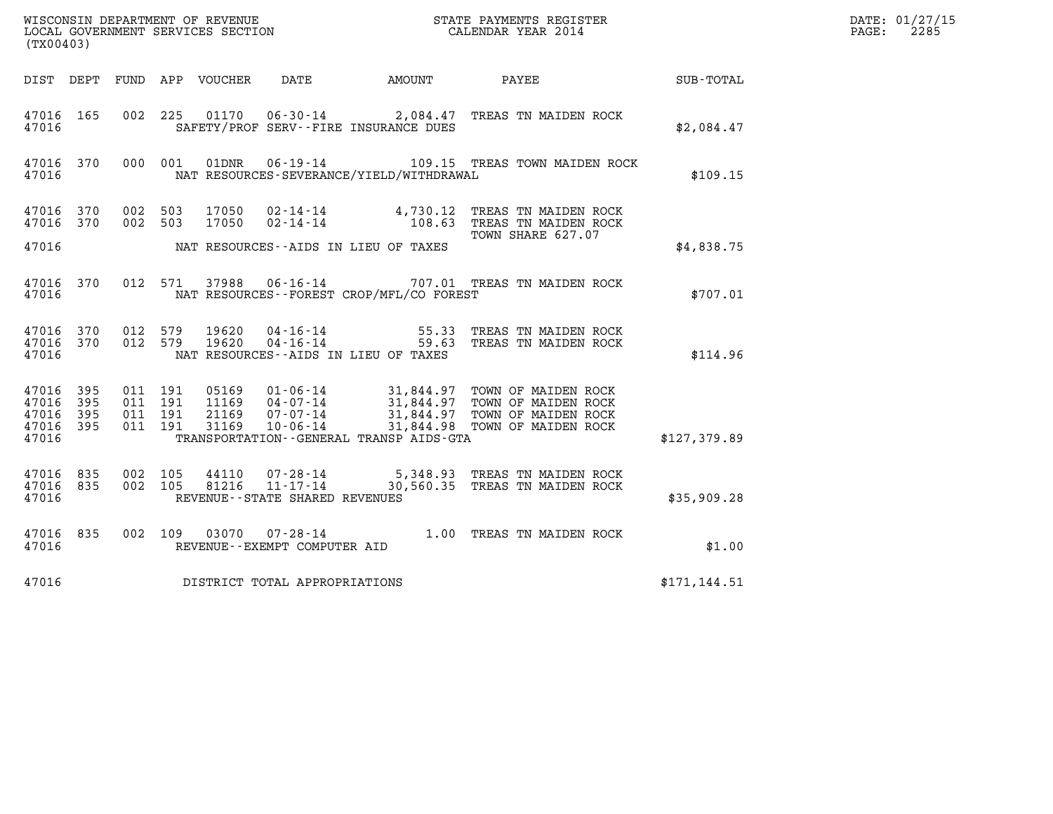| (TX00403)                            |                   |                                          |         |                                  |                                                  |                                          |                                                                                                                                                                      |               | DATE: 01/27/15<br>$\mathtt{PAGE:}$<br>2285 |
|--------------------------------------|-------------------|------------------------------------------|---------|----------------------------------|--------------------------------------------------|------------------------------------------|----------------------------------------------------------------------------------------------------------------------------------------------------------------------|---------------|--------------------------------------------|
|                                      |                   |                                          |         |                                  |                                                  |                                          | DIST DEPT FUND APP VOUCHER  DATE          AMOUNT          PAYEE                                                                                                      | SUB-TOTAL     |                                            |
| 47016 165<br>47016                   |                   |                                          |         |                                  |                                                  | SAFETY/PROF SERV--FIRE INSURANCE DUES    | 002 225 01170 06-30-14 2,084.47 TREAS TN MAIDEN ROCK                                                                                                                 | \$2,084.47    |                                            |
| 47016                                | 47016 370         |                                          | 000 001 |                                  |                                                  | NAT RESOURCES-SEVERANCE/YIELD/WITHDRAWAL | 01DNR  06-19-14  109.15 TREAS TOWN MAIDEN ROCK                                                                                                                       | \$109.15      |                                            |
| 47016 370<br>47016 370               |                   | 002 503                                  | 002 503 |                                  |                                                  |                                          | $17050$ 02-14-14   4,730.12 TREAS TN MAIDEN ROCK<br>17050   02-14-14   108.63 TREAS TN MAIDEN ROCK<br>TOWN SHARE 627.07                                              |               |                                            |
| 47016                                |                   |                                          |         |                                  |                                                  | NAT RESOURCES--AIDS IN LIEU OF TAXES     |                                                                                                                                                                      | \$4,838.75    |                                            |
| 47016                                | 47016 370         |                                          |         |                                  |                                                  | NAT RESOURCES--FOREST CROP/MFL/CO FOREST | 012 571 37988 06-16-14 707.01 TREAS TN MAIDEN ROCK                                                                                                                   | \$707.01      |                                            |
| 47016 370<br>47016 370<br>47016      |                   | 012 579<br>012 579                       |         | 19620<br>19620                   |                                                  | NAT RESOURCES--AIDS IN LIEU OF TAXES     | 04-16-14 55.33 TREAS TN MAIDEN ROCK<br>04-16-14 59.63 TREAS TN MAIDEN ROCK                                                                                           | \$114.96      |                                            |
| 47016 395<br>47016<br>47016<br>47016 | 395<br>395<br>395 | 011 191<br>011 191<br>011 191<br>011 191 |         | 05169<br>11169<br>21169<br>31169 |                                                  |                                          | 01-06-14 31,844.97 TOWN OF MAIDEN ROCK<br>04-07-14 31,844.97 TOWN OF MAIDEN ROCK<br>07-07-14 31,844.97 TOWN OF MAIDEN ROCK<br>10-06-14 31,844.98 TOWN OF MAIDEN ROCK |               |                                            |
| 47016                                |                   |                                          |         |                                  |                                                  | TRANSPORTATION--GENERAL TRANSP AIDS-GTA  |                                                                                                                                                                      | \$127,379.89  |                                            |
| 47016 835<br>47016 835<br>47016      |                   | 002 105<br>002 105                       |         | 44110<br>81216                   | $11 - 17 - 14$<br>REVENUE--STATE SHARED REVENUES |                                          | 07-28-14 5,348.93 TREAS TN MAIDEN ROCK<br>30,560.35 TREAS TN MAIDEN ROCK                                                                                             | \$35,909.28   |                                            |
| 47016 835<br>47016                   |                   |                                          |         |                                  | REVENUE--EXEMPT COMPUTER AID                     |                                          | 002 109 03070 07-28-14 1.00 TREAS TN MAIDEN ROCK                                                                                                                     | \$1.00        |                                            |
| 47016                                |                   |                                          |         |                                  | DISTRICT TOTAL APPROPRIATIONS                    |                                          |                                                                                                                                                                      | \$171, 144.51 |                                            |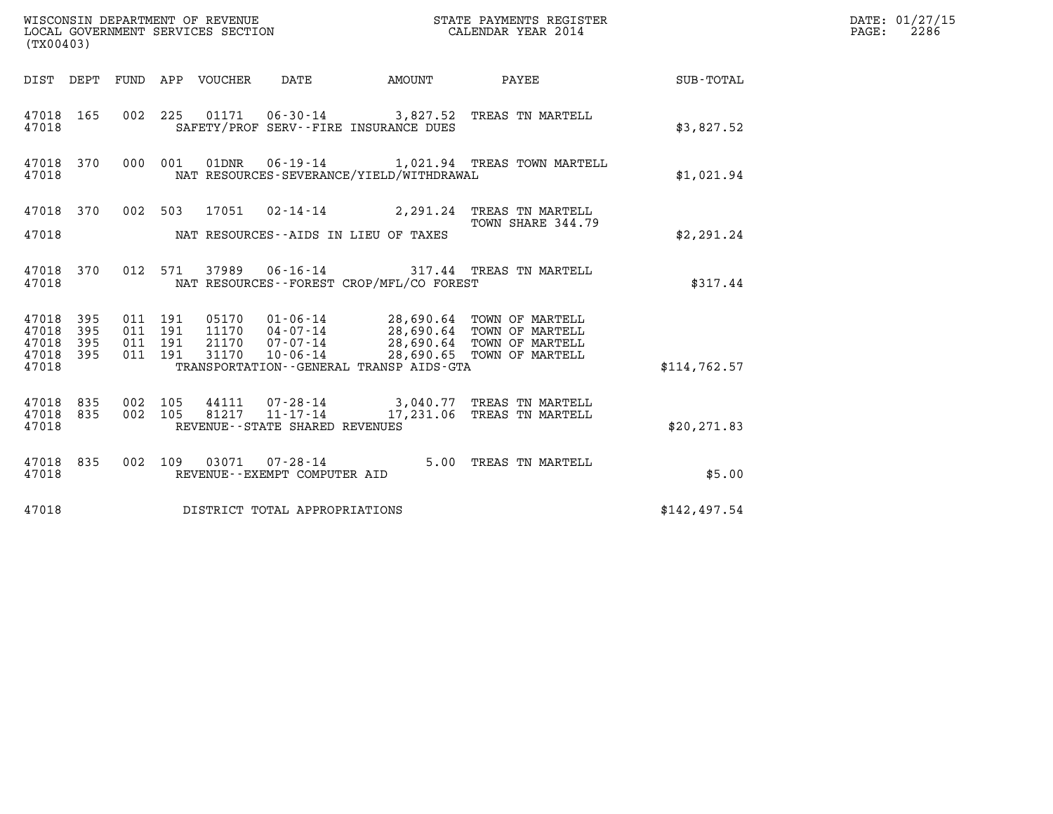| WISCONSIN DEPARTMENT OF REVENUE<br>LOCAL GOVERNMENT SERVICES SECTION<br>(TX00403) |            |                    |  |       |                                                        |                                             | STATE PAYMENTS REGISTER<br>CALENDAR YEAR 2014                                                                                                      |                 | DATE: 01/27/15<br>2286<br>$\mathtt{PAGE:}$ |
|-----------------------------------------------------------------------------------|------------|--------------------|--|-------|--------------------------------------------------------|---------------------------------------------|----------------------------------------------------------------------------------------------------------------------------------------------------|-----------------|--------------------------------------------|
|                                                                                   |            |                    |  |       |                                                        | DIST DEPT FUND APP VOUCHER DATE AMOUNT      |                                                                                                                                                    | PAYEE SUB-TOTAL |                                            |
| 47018 165<br>47018                                                                |            |                    |  |       |                                                        | SAFETY/PROF SERV--FIRE INSURANCE DUES       | 002 225 01171 06-30-14 3,827.52 TREAS TN MARTELL                                                                                                   | \$3,827.52      |                                            |
| 47018 370<br>47018                                                                |            |                    |  |       |                                                        | NAT RESOURCES-SEVERANCE/YIELD/WITHDRAWAL    | 000 001 01DNR 06-19-14 1,021.94 TREAS TOWN MARTELL                                                                                                 | \$1,021.94      |                                            |
| 47018 370                                                                         |            |                    |  |       |                                                        |                                             | 002 503 17051 02-14-14 2,291.24 TREAS TN MARTELL<br>TOWN SHARE 344.79                                                                              |                 |                                            |
| 47018                                                                             |            |                    |  |       |                                                        | NAT RESOURCES--AIDS IN LIEU OF TAXES        |                                                                                                                                                    | \$2,291.24      |                                            |
| 47018 370<br>47018                                                                |            |                    |  |       |                                                        | NAT RESOURCES - - FOREST CROP/MFL/CO FOREST | 012 571 37989 06-16-14 317.44 TREAS TN MARTELL                                                                                                     | \$317.44        |                                            |
| 47018 395<br>47018                                                                | 395        | 011 191<br>011 191 |  |       |                                                        |                                             | 05170   01-06-14   28,690.64   TOWN OF MARTELL<br>11170   04-07-14   28,690.64   TOWN OF MARTELL<br>21170   07-07-14   28,690.64   TOWN OF MARTELL |                 |                                            |
| 47018<br>47018                                                                    | 395<br>395 | 011 191<br>011 191 |  | 31170 | $10 - 06 - 14$                                         |                                             | 28,690.65 TOWN OF MARTELL                                                                                                                          |                 |                                            |
| 47018                                                                             |            |                    |  |       |                                                        | TRANSPORTATION--GENERAL TRANSP AIDS-GTA     |                                                                                                                                                    | \$114.762.57    |                                            |
| 47018 835<br>47018 835<br>47018                                                   |            | 002 105<br>002 105 |  |       | REVENUE - - STATE SHARED REVENUES                      |                                             | 44111  07-28-14  3,040.77  TREAS TN MARTELL<br>81217  11-17-14   17,231.06 TREAS TN MARTELL                                                        | \$20, 271.83    |                                            |
|                                                                                   |            |                    |  |       |                                                        |                                             |                                                                                                                                                    |                 |                                            |
| 47018 835<br>47018                                                                |            |                    |  |       | 002 109 03071 07-28-14<br>REVENUE--EXEMPT COMPUTER AID |                                             | 5.00 TREAS TN MARTELL                                                                                                                              | \$5.00          |                                            |
| 47018                                                                             |            |                    |  |       | DISTRICT TOTAL APPROPRIATIONS                          |                                             |                                                                                                                                                    | \$142,497.54    |                                            |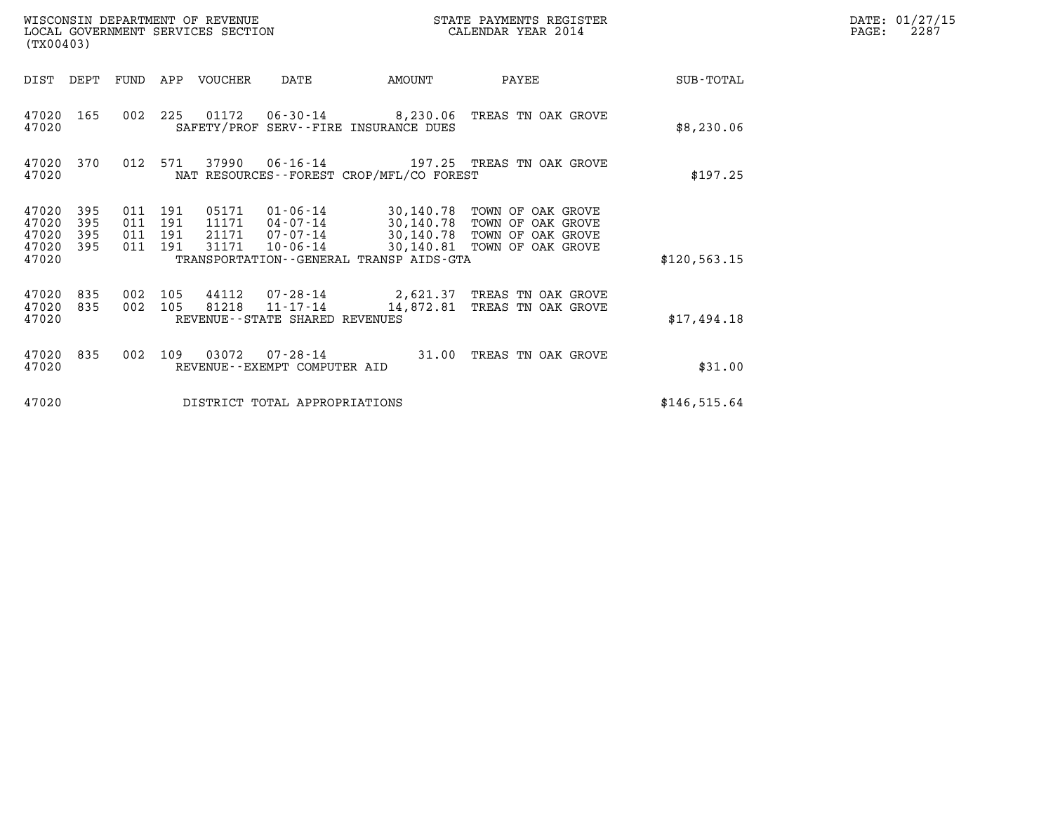| WISCONSIN DEPARTMENT OF REVENUE<br>LOCAL GOVERNMENT SERVICES SECTION<br>(TX00403)                                             |                                                                                                                                                                                           | STATE PAYMENTS REGISTER<br>CALENDAR YEAR 2014              |              | DATE: 01/27/15<br>PAGE:<br>2287 |
|-------------------------------------------------------------------------------------------------------------------------------|-------------------------------------------------------------------------------------------------------------------------------------------------------------------------------------------|------------------------------------------------------------|--------------|---------------------------------|
| FUND APP VOUCHER<br>DIST<br>DEPT                                                                                              | DATE<br>AMOUNT                                                                                                                                                                            | PAYEE                                                      | SUB-TOTAL    |                                 |
| 47020<br>165<br>47020                                                                                                         | 002 225 01172 06-30-14 8,230.06 TREAS TN OAK GROVE<br>SAFETY/PROF SERV--FIRE INSURANCE DUES                                                                                               |                                                            | \$8,230.06   |                                 |
| 012 571<br>47020<br>370<br>47020                                                                                              | 37990<br>06-16-14 197.25 TREAS TN OAK GROVE<br>NAT RESOURCES - - FOREST CROP/MFL/CO FOREST                                                                                                |                                                            | \$197.25     |                                 |
| 47020<br>395<br>011<br>191<br>191<br>47020<br>395<br>011<br>47020<br>395<br>011<br>191<br>47020<br>395<br>011<br>191<br>47020 | 05171<br>01-06-14 30,140.78 TOWN OF OAK GROVE<br>11171<br>04-07-14<br>21171<br>07-07-14 30,140.78 TOWN OF OAK GROVE<br>31171<br>$10 - 06 - 14$<br>TRANSPORTATION--GENERAL TRANSP AIDS-GTA | 30,140.78 TOWN OF OAK GROVE<br>30,140.81 TOWN OF OAK GROVE | \$120,563.15 |                                 |
| 47020<br>835<br>105<br>002<br>47020<br>002 105<br>835<br>47020                                                                | 44112<br>07-28-14<br>81218 11-17-14<br>14,872.81<br>REVENUE - - STATE SHARED REVENUES                                                                                                     | 2,621.37 TREAS TN OAK GROVE<br>TREAS TN OAK GROVE          | \$17,494.18  |                                 |
| 47020<br>835<br>002<br>109<br>47020                                                                                           | 03072<br>$07 - 28 - 14$<br>REVENUE--EXEMPT COMPUTER AID                                                                                                                                   | 31.00 TREAS TN OAK GROVE                                   | \$31.00      |                                 |
| 47020                                                                                                                         | DISTRICT TOTAL APPROPRIATIONS                                                                                                                                                             |                                                            | \$146,515.64 |                                 |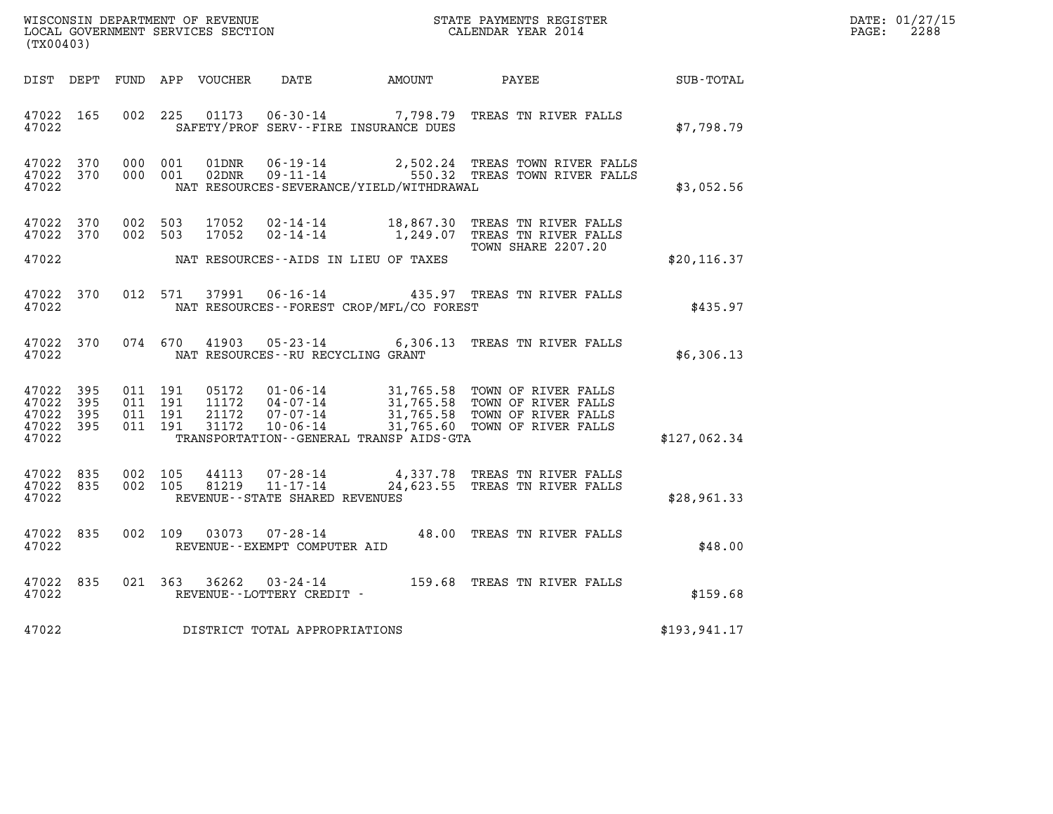| DATE: | 01/27/15 |
|-------|----------|
| PAGE: | 2288     |

| WISCONSIN DEPARTMENT OF REVENUE<br>LOCAL GOVERNMENT SERVICES SECTION<br>CALENDAR YEAR 2014<br>(TX00403) |     |                                          |         |                |                                                  |                                             |                                                                                                                                                                                                          |               | DATE: 01/27/15<br>$\mathtt{PAGE:}$<br>2288 |
|---------------------------------------------------------------------------------------------------------|-----|------------------------------------------|---------|----------------|--------------------------------------------------|---------------------------------------------|----------------------------------------------------------------------------------------------------------------------------------------------------------------------------------------------------------|---------------|--------------------------------------------|
|                                                                                                         |     |                                          |         |                |                                                  |                                             | DIST DEPT FUND APP VOUCHER DATE AMOUNT PAYEE                                                                                                                                                             | SUB-TOTAL     |                                            |
| 47022 165<br>47022                                                                                      |     |                                          |         |                |                                                  | SAFETY/PROF SERV--FIRE INSURANCE DUES       | 002 225 01173 06-30-14 7,798.79 TREAS TN RIVER FALLS                                                                                                                                                     | \$7,798.79    |                                            |
| 47022 370<br>47022 370<br>47022                                                                         |     | 000 001                                  | 000 001 | 01DNR<br>02DNR |                                                  | NAT RESOURCES-SEVERANCE/YIELD/WITHDRAWAL    | 06-19-14 2,502.24 TREAS TOWN RIVER FALLS<br>09-11-14 550.32 TREAS TOWN RIVER FALLS                                                                                                                       | \$3,052.56    |                                            |
| 47022 370<br>47022 370<br>47022                                                                         |     | 002 503<br>002 503                       |         | 17052<br>17052 |                                                  | NAT RESOURCES--AIDS IN LIEU OF TAXES        | 02-14-14 18,867.30 TREAS TN RIVER FALLS<br>02-14-14 1,249.07 TREAS TN RIVER FALLS<br>TOWN SHARE 2207.20                                                                                                  | \$20, 116.37  |                                            |
|                                                                                                         |     |                                          |         |                |                                                  |                                             |                                                                                                                                                                                                          |               |                                            |
| 47022 370<br>47022                                                                                      |     | 012 571                                  |         | 37991          |                                                  | NAT RESOURCES - - FOREST CROP/MFL/CO FOREST | 06-16-14 435.97 TREAS TN RIVER FALLS                                                                                                                                                                     | \$435.97      |                                            |
| 47022 370<br>47022                                                                                      |     |                                          | 074 670 |                |                                                  | NAT RESOURCES--RU RECYCLING GRANT           | 41903  05-23-14  6,306.13  TREAS TN RIVER FALLS                                                                                                                                                          | \$6,306.13    |                                            |
| 47022 395<br>47022<br>47022 395<br>47022 395<br>47022                                                   | 395 | 011 191<br>011 191<br>011 191<br>011 191 |         |                |                                                  | TRANSPORTATION--GENERAL TRANSP AIDS-GTA     | 05172  01-06-14  31,765.58  TOWN OF RIVER FALLS<br>11172  04-07-14  31,765.58  TOWN OF RIVER FALLS<br>21172  07-07-14  31,765.58  TOWN OF RIVER FALLS<br>31172  10-06-14  31,765.60  TOWN OF RIVER FALLS | \$127,062.34  |                                            |
|                                                                                                         |     |                                          |         |                |                                                  |                                             |                                                                                                                                                                                                          |               |                                            |
| 47022 835<br>47022 835<br>47022                                                                         |     | 002 105<br>002 105                       |         | 44113          | 81219 11-17-14<br>REVENUE--STATE SHARED REVENUES |                                             | 07-28-14 4,337.78 TREAS TN RIVER FALLS<br>24,623.55 TREAS TN RIVER FALLS                                                                                                                                 | \$28,961.33   |                                            |
| 47022 835<br>47022                                                                                      |     |                                          | 002 109 |                | REVENUE--EXEMPT COMPUTER AID                     |                                             | 03073  07-28-14  48.00 TREAS TN RIVER FALLS                                                                                                                                                              | \$48.00       |                                            |
| 47022 835<br>47022                                                                                      |     |                                          |         |                | REVENUE--LOTTERY CREDIT -                        |                                             | 021 363 36262 03-24-14 159.68 TREAS TN RIVER FALLS                                                                                                                                                       | \$159.68      |                                            |
| 47022                                                                                                   |     |                                          |         |                | DISTRICT TOTAL APPROPRIATIONS                    |                                             |                                                                                                                                                                                                          | \$193, 941.17 |                                            |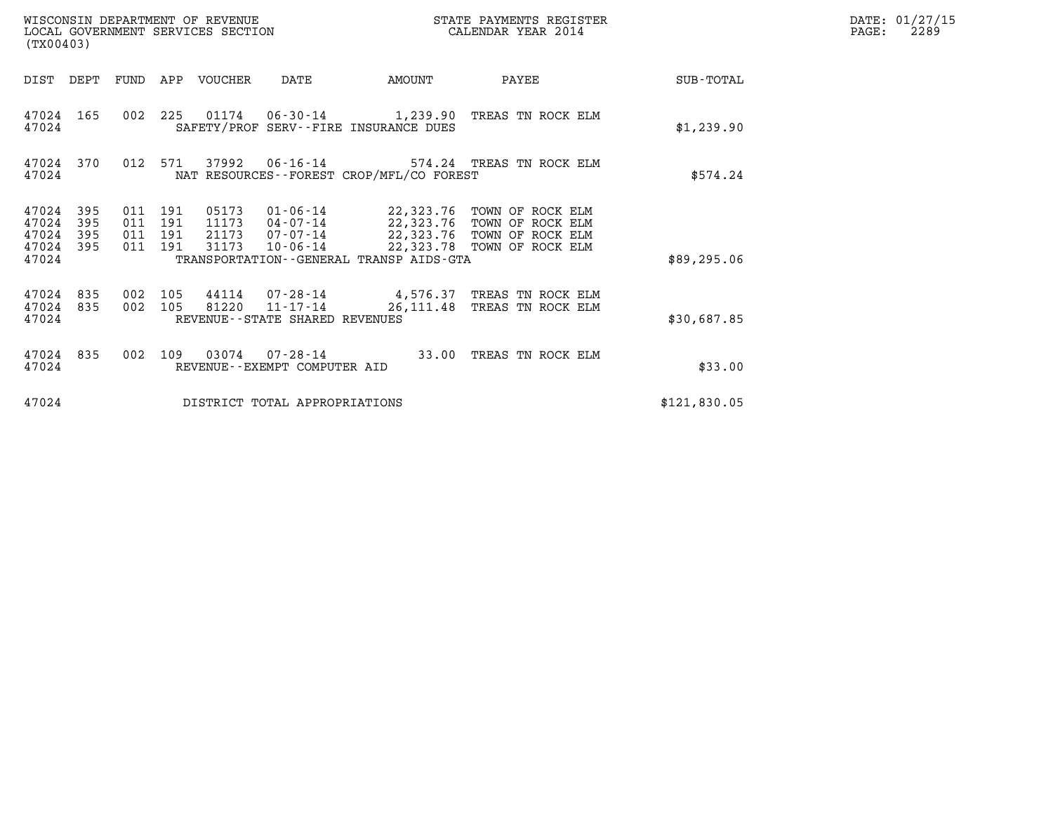| WISCONSIN DEPARTMENT OF REVENUE<br>LOCAL GOVERNMENT SERVICES SECTION<br>(TX00403)                                                                     |                                                                                                                                                     | STATE PAYMENTS REGISTER<br>CALENDAR YEAR 2014            |              | DATE: 01/27/15<br>PAGE:<br>2289 |
|-------------------------------------------------------------------------------------------------------------------------------------------------------|-----------------------------------------------------------------------------------------------------------------------------------------------------|----------------------------------------------------------|--------------|---------------------------------|
| DIST DEPT<br>FUND<br>APP VOUCHER                                                                                                                      | DATE<br>AMOUNT                                                                                                                                      | PAYEE                                                    | SUB-TOTAL    |                                 |
| 47024 165<br>47024                                                                                                                                    | 002 225 01174 06-30-14 1,239.90 TREAS TN ROCK ELM<br>SAFETY/PROF SERV--FIRE INSURANCE DUES                                                          |                                                          | \$1,239.90   |                                 |
| 37992<br>47024 370<br>012 571<br>47024                                                                                                                | 06-16-14 574.24 TREAS TN ROCK ELM<br>NAT RESOURCES--FOREST CROP/MFL/CO FOREST                                                                       |                                                          | \$574.24     |                                 |
| 47024<br>395<br>011 191<br>05173<br>47024<br>395<br>011 191<br>11173<br>47024<br>395<br>011 191<br>21173<br>011 191<br>31173<br>47024<br>395<br>47024 | 01-06-14 22,323.76 TOWN OF ROCK ELM<br>04-07-14 22,323.76 TOWN OF ROCK ELM<br>$07 - 07 - 14$<br>10-06-14<br>TRANSPORTATION--GENERAL TRANSP AIDS-GTA | 22,323.76 TOWN OF ROCK ELM<br>22,323.78 TOWN OF ROCK ELM | \$89, 295.06 |                                 |
| 47024<br>835<br>002<br>105<br>002<br>47024<br>835<br>105<br>47024                                                                                     | 44114 07-28-14<br>81220 11-17-14<br>26,111.48<br>REVENUE--STATE SHARED REVENUES                                                                     | 4,576.37 TREAS TN ROCK ELM<br>TREAS TN ROCK ELM          | \$30,687.85  |                                 |
| 47024<br>835<br>002<br>109<br>47024                                                                                                                   | 03074 07-28-14<br>33.00<br>REVENUE - - EXEMPT COMPUTER AID                                                                                          | TREAS TN ROCK ELM                                        | \$33.00      |                                 |
| 47024                                                                                                                                                 | DISTRICT TOTAL APPROPRIATIONS                                                                                                                       |                                                          | \$121,830.05 |                                 |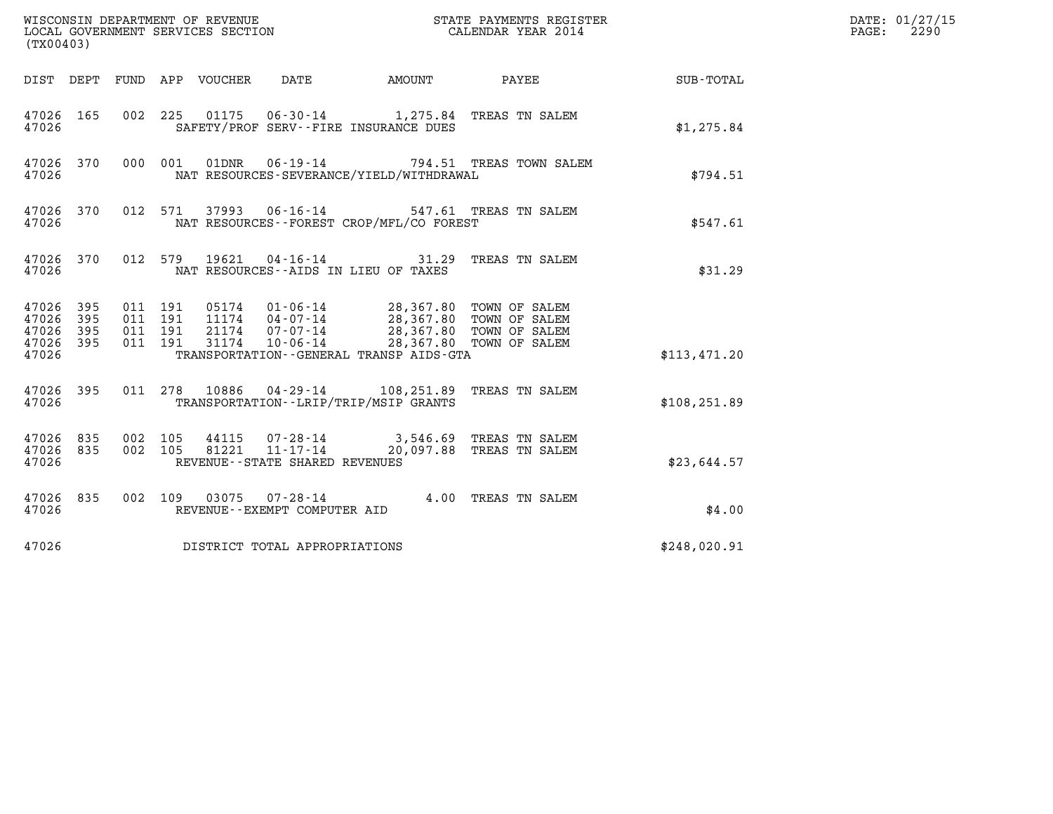| (TX00403)                                             |     |                               |         |                                 |                                      |                                          |                                                                                                                                                                                      |                        | DATE: 01/27/15<br>$\mathtt{PAGE:}$<br>2290 |
|-------------------------------------------------------|-----|-------------------------------|---------|---------------------------------|--------------------------------------|------------------------------------------|--------------------------------------------------------------------------------------------------------------------------------------------------------------------------------------|------------------------|--------------------------------------------|
|                                                       |     |                               |         | DIST DEPT FUND APP VOUCHER DATE |                                      |                                          |                                                                                                                                                                                      | AMOUNT PAYEE SUB-TOTAL |                                            |
| 47026 165<br>47026                                    |     |                               |         |                                 |                                      | SAFETY/PROF SERV--FIRE INSURANCE DUES    | 002 225 01175 06-30-14 1,275.84 TREAS TN SALEM                                                                                                                                       | \$1,275.84             |                                            |
| 47026 370<br>47026                                    |     |                               |         |                                 |                                      | NAT RESOURCES-SEVERANCE/YIELD/WITHDRAWAL | 000 001 01DNR 06-19-14 794.51 TREAS TOWN SALEM                                                                                                                                       | \$794.51               |                                            |
| 47026 370<br>47026                                    |     |                               |         |                                 |                                      | NAT RESOURCES--FOREST CROP/MFL/CO FOREST | 012 571 37993 06-16-14 547.61 TREAS TN SALEM                                                                                                                                         | \$547.61               |                                            |
| 47026                                                 |     |                               |         |                                 | NAT RESOURCES--AIDS IN LIEU OF TAXES |                                          | 47026 370 012 579 19621 04-16-14 31.29 TREAS TN SALEM                                                                                                                                | \$31.29                |                                            |
| 47026 395<br>47026<br>47026 395<br>47026 395<br>47026 | 395 | 011 191<br>011 191<br>011 191 | 011 191 |                                 |                                      | TRANSPORTATION--GENERAL TRANSP AIDS-GTA  | 05174   01-06-14   28,367.80 TOWN OF SALEM<br>11174   04-07-14   28,367.80 TOWN OF SALEM<br>21174   07-07-14   28,367.80 TOWN OF SALEM<br>31174   10-06-14   28,367.80 TOWN OF SALEM | \$113,471.20           |                                            |
| 47026 395<br>47026                                    |     |                               |         |                                 |                                      | TRANSPORTATION - - LRIP/TRIP/MSIP GRANTS | 011 278 10886 04-29-14 108, 251.89 TREAS TN SALEM                                                                                                                                    | \$108, 251.89          |                                            |
| 47026 835<br>47026 835<br>47026                       |     | 002 105<br>002 105            |         |                                 | REVENUE--STATE SHARED REVENUES       |                                          | 44115  07-28-14  3,546.69  TREAS TN SALEM<br>81221  11-17-14  20,097.88  TREAS TN SALEM                                                                                              | \$23,644.57            |                                            |
| 47026 835<br>47026                                    |     |                               |         |                                 | REVENUE--EXEMPT COMPUTER AID         |                                          | 002 109 03075 07-28-14 4.00 TREAS TN SALEM                                                                                                                                           | \$4.00                 |                                            |
| 47026                                                 |     |                               |         |                                 | DISTRICT TOTAL APPROPRIATIONS        |                                          |                                                                                                                                                                                      | \$248,020.91           |                                            |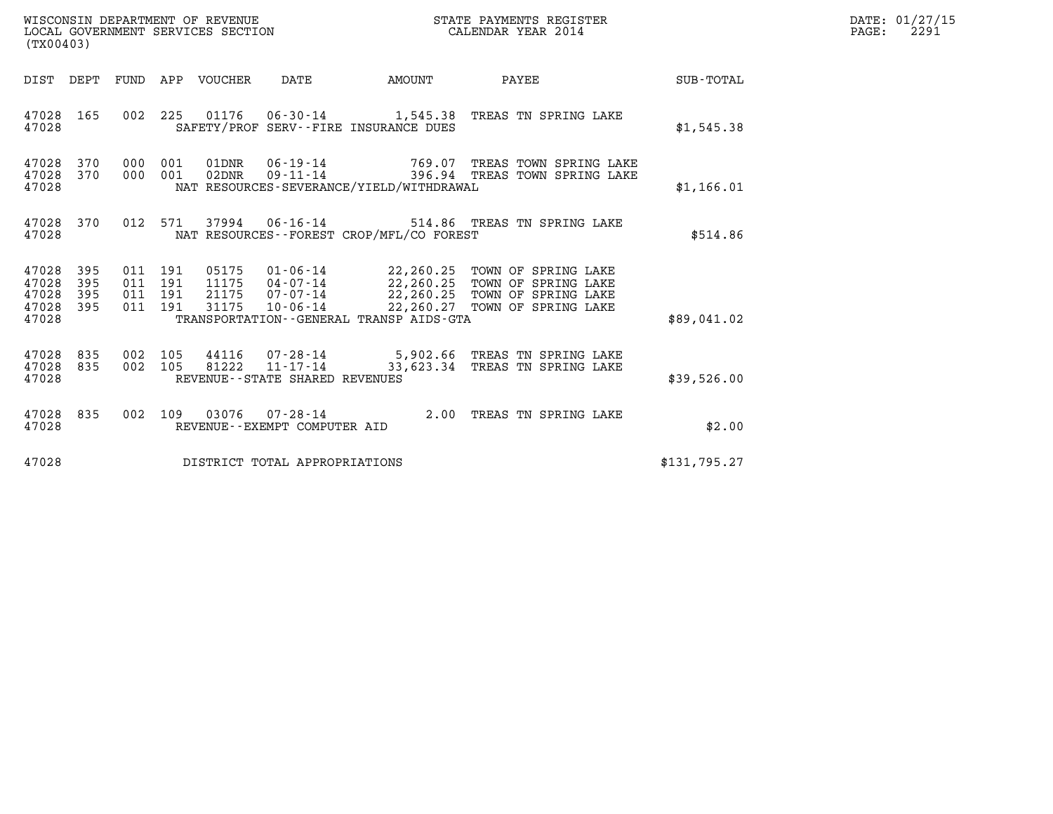| WISCONSIN DEPARTMENT OF REVENUE<br>LOCAL GOVERNMENT SERVICES SECTION<br>(TX00403)                           |                                                                                                                                                                                                                                               | STATE PAYMENTS REGISTER<br>CALENDAR YEAR 2014 | DATE: 01/27/15<br>$\mathtt{PAGE:}$<br>2291 |
|-------------------------------------------------------------------------------------------------------------|-----------------------------------------------------------------------------------------------------------------------------------------------------------------------------------------------------------------------------------------------|-----------------------------------------------|--------------------------------------------|
| DIST DEPT FUND APP VOUCHER DATE                                                                             | <b>EXAMPLE THE AMOUNT</b>                                                                                                                                                                                                                     | <b>PAYEE</b><br>SUB-TOTAL                     |                                            |
| 47028 165<br>47028                                                                                          | 002 225 01176 06-30-14 1,545.38 TREAS TN SPRING LAKE<br>SAFETY/PROF SERV--FIRE INSURANCE DUES                                                                                                                                                 | \$1,545.38                                    |                                            |
| 47028 370<br>000 001<br>47028 370<br>000 001<br>47028                                                       | 06-19-14 769.07 TREAS TOWN SPRING LAKE<br>01DNR<br>$09 - 11 - 14$<br>02DNR<br>NAT RESOURCES-SEVERANCE/YIELD/WITHDRAWAL                                                                                                                        | 396.94 TREAS TOWN SPRING LAKE<br>\$1,166.01   |                                            |
| 370<br>012 571<br>47028<br>47028                                                                            | 37994  06-16-14  514.86  TREAS TN SPRING LAKE<br>NAT RESOURCES--FOREST CROP/MFL/CO FOREST                                                                                                                                                     |                                               | \$514.86                                   |
| 47028 395<br>011 191<br>47028<br>395<br>011 191<br>47028<br>395<br>011 191<br>47028 395<br>011 191<br>47028 | 05175 01-06-14 22,260.25 TOWN OF SPRING LAKE<br>11175 04-07-14 22,260.25 TOWN OF SPRING LAKE<br>21175<br>07-07-14 22,260.25 TOWN OF SPRING LAKE<br>31175<br>10-06-14 22,260.27 TOWN OF SPRING LAKE<br>TRANSPORTATION--GENERAL TRANSP AIDS-GTA | \$89,041.02                                   |                                            |
| 47028<br>835<br>002 105<br>47028 835<br>002 105<br>47028                                                    | 44116  07-28-14  5,902.66  TREAS TN SPRING LAKE<br>81222  11-17-14  33,623.34  TREAS TN SPRING LAKE<br>REVENUE--STATE SHARED REVENUES                                                                                                         | \$39,526.00                                   |                                            |
| 47028<br>835<br>002 109<br>47028                                                                            | 03076  07-28-14  2.00 TREAS TN SPRING LAKE<br>REVENUE--EXEMPT COMPUTER AID                                                                                                                                                                    |                                               | \$2.00                                     |
| 47028                                                                                                       | DISTRICT TOTAL APPROPRIATIONS                                                                                                                                                                                                                 | \$131,795.27                                  |                                            |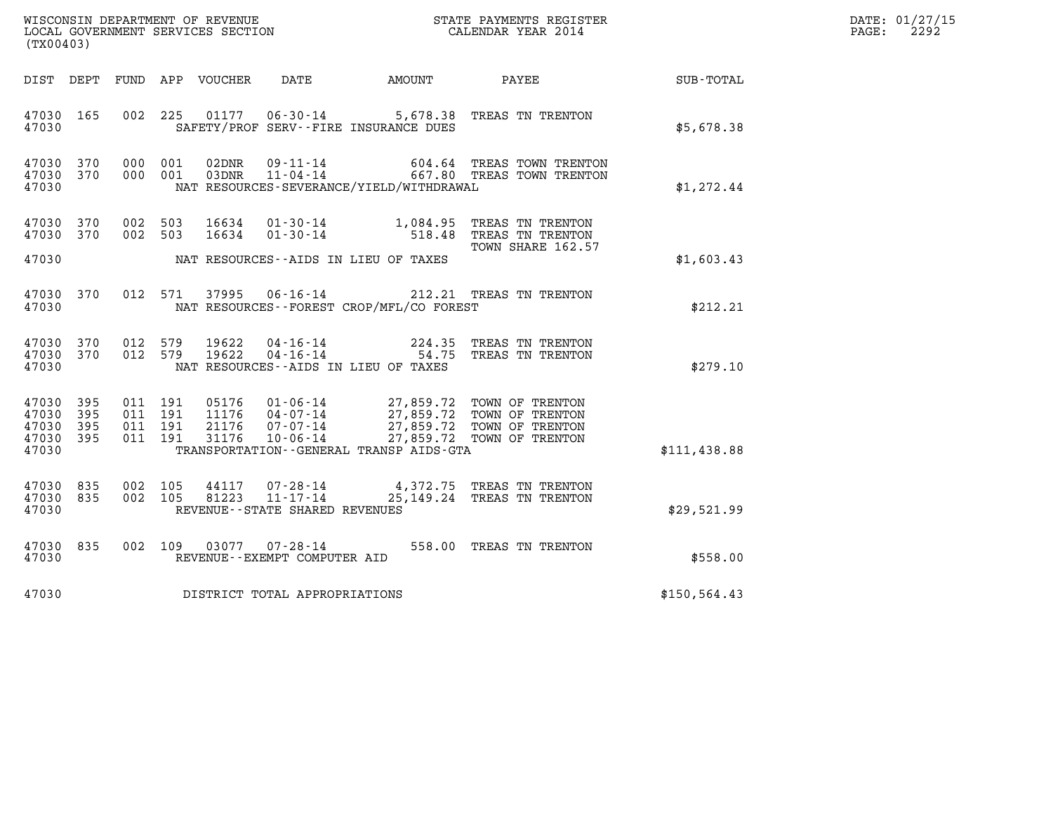| DATE: | 01/27/15 |
|-------|----------|
| PAGE: | 2292     |

| (TX00403)                                             |           |                                          |         |                            |                                                                 |                                             |                                                                                                                                                                                                                            |               | DATE: 01/27/15<br>$\mathtt{PAGE}$ :<br>2292 |
|-------------------------------------------------------|-----------|------------------------------------------|---------|----------------------------|-----------------------------------------------------------------|---------------------------------------------|----------------------------------------------------------------------------------------------------------------------------------------------------------------------------------------------------------------------------|---------------|---------------------------------------------|
|                                                       |           |                                          |         | DIST DEPT FUND APP VOUCHER | DATE                                                            | AMOUNT                                      | PAYEE                                                                                                                                                                                                                      | SUB-TOTAL     |                                             |
| 47030 165<br>47030                                    |           |                                          | 002 225 |                            | 01177   06-30-14                                                | SAFETY/PROF SERV--FIRE INSURANCE DUES       | 5,678.38 TREAS TN TRENTON                                                                                                                                                                                                  | \$5,678.38    |                                             |
| 47030 370<br>47030 370<br>47030                       |           | 000 001<br>000 001                       |         | 02DNR<br>03DNR             | 09-11-14                                                        | NAT RESOURCES-SEVERANCE/YIELD/WITHDRAWAL    | 604.64 TREAS TOWN TRENTON<br>11-04-14 667.80 TREAS TOWN TRENTON                                                                                                                                                            | \$1,272.44    |                                             |
| 47030 370<br>47030 370                                |           | 002 503<br>002 503                       |         | 16634<br>16634             |                                                                 |                                             | 01-30-14 1,084.95 TREAS TN TRENTON<br>01-30-14 518.48 TREAS TN TRENTON                                                                                                                                                     |               |                                             |
| 47030                                                 |           |                                          |         |                            |                                                                 | NAT RESOURCES--AIDS IN LIEU OF TAXES        | TOWN SHARE 162.57                                                                                                                                                                                                          | \$1,603.43    |                                             |
| 47030 370<br>47030                                    |           |                                          | 012 571 |                            |                                                                 | NAT RESOURCES - - FOREST CROP/MFL/CO FOREST | 37995  06-16-14  212.21  TREAS TN TRENTON                                                                                                                                                                                  | \$212.21      |                                             |
| 47030 370<br>47030                                    | 47030 370 | 012 579<br>012 579                       |         | 19622<br>19622             |                                                                 | NAT RESOURCES--AIDS IN LIEU OF TAXES        | 04-16-14 224.35 TREAS TN TRENTON<br>04-16-14 54.75 TREAS TN TRENTON                                                                                                                                                        | \$279.10      |                                             |
| 47030 395<br>47030<br>47030 395<br>47030 395<br>47030 | 395       | 011 191<br>011 191<br>011 191<br>011 191 |         |                            | 11176 04-07-14<br>21176 07-07-14                                | TRANSPORTATION--GENERAL TRANSP AIDS-GTA     | 05176  01-06-14  27,859.72  TOWN OF TRENTON<br>27,859.72 TOWN OF TRENTON<br>27,859.72 TOWN OF TRENTON<br>27,859.72 TOWN OF TRENTON<br>21176 07-07-14 27,859.72 TOWN OF TRENTON<br>31176 10-06-14 27,859.72 TOWN OF TRENTON | \$111,438.88  |                                             |
| 47030 835<br>47030 835<br>47030                       |           | 002 105<br>002 105                       |         | 44117<br>81223             | 07-28-14<br>$11 - 17 - 14$<br>REVENUE - - STATE SHARED REVENUES |                                             | 4,372.75 TREAS TN TRENTON<br>25,149.24 TREAS TN TRENTON                                                                                                                                                                    | \$29,521.99   |                                             |
| 47030 835<br>47030                                    |           |                                          | 002 109 |                            | REVENUE--EXEMPT COMPUTER AID                                    |                                             | 558.00 TREAS TN TRENTON                                                                                                                                                                                                    | \$558.00      |                                             |
| 47030                                                 |           |                                          |         |                            | DISTRICT TOTAL APPROPRIATIONS                                   |                                             |                                                                                                                                                                                                                            | \$150, 564.43 |                                             |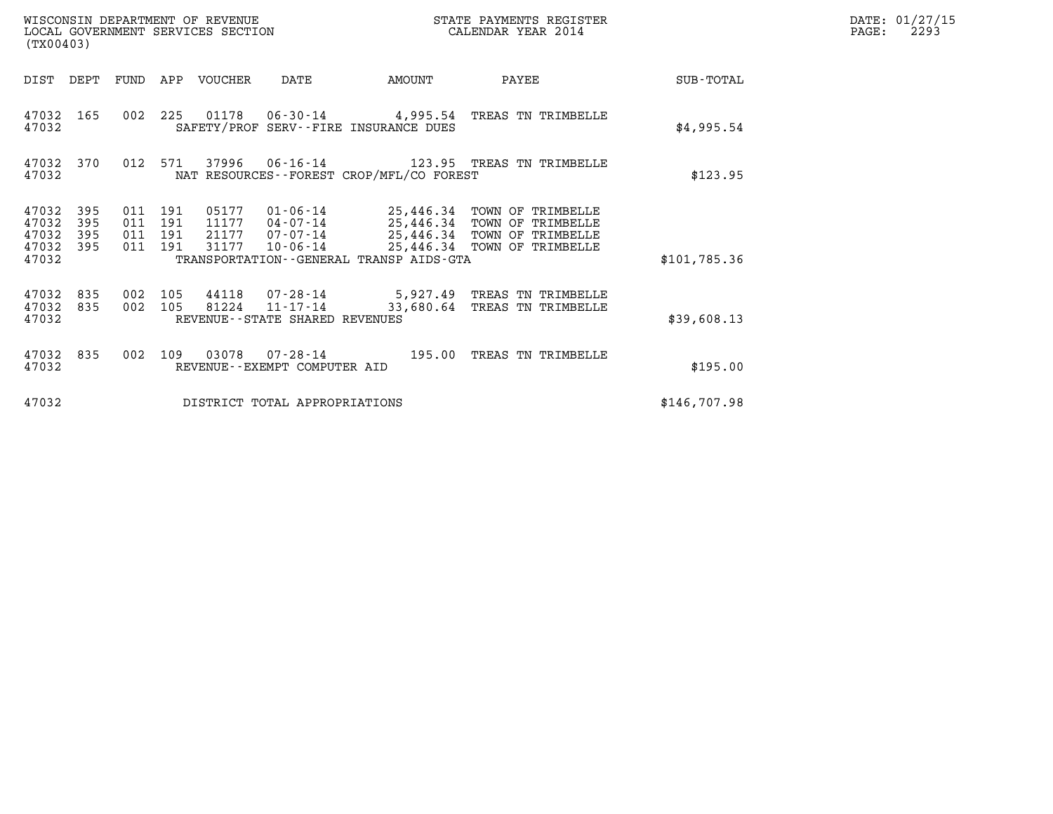| (TX00403)                                                             | WISCONSIN DEPARTMENT OF REVENUE<br>LOCAL GOVERNMENT SERVICES SECTION                                                                                                    | STATE PAYMENTS REGISTER<br>CALENDAR YEAR 2014                                                                                     |              | DATE: 01/27/15<br>PAGE:<br>2293 |
|-----------------------------------------------------------------------|-------------------------------------------------------------------------------------------------------------------------------------------------------------------------|-----------------------------------------------------------------------------------------------------------------------------------|--------------|---------------------------------|
| DIST DEPT<br>FUND                                                     | APP VOUCHER<br>DATE                                                                                                                                                     | AMOUNT<br>PAYEE                                                                                                                   | SUB-TOTAL    |                                 |
| 47032 165<br>47032                                                    | 002 225<br>SAFETY/PROF SERV--FIRE INSURANCE DUES                                                                                                                        | 01178  06-30-14  4,995.54  TREAS TN TRIMBELLE                                                                                     | \$4,995.54   |                                 |
| 47032 370<br>47032                                                    | 012<br>571<br>NAT RESOURCES--FOREST CROP/MFL/CO FOREST                                                                                                                  |                                                                                                                                   | \$123.95     |                                 |
| 47032<br>395<br>47032<br>395<br>47032<br>395<br>395<br>47032<br>47032 | 011 191<br>05177<br>011 191<br>11177<br>04-07-14<br>$07 - 07 - 14$<br>011 191<br>21177<br>011 191<br>31177<br>$10 - 06 - 14$<br>TRANSPORTATION--GENERAL TRANSP AIDS-GTA | 01-06-14 25,446.34 TOWN OF TRIMBELLE<br>25,446.34 TOWN OF TRIMBELLE<br>25,446.34 TOWN OF TRIMBELLE<br>25,446.34 TOWN OF TRIMBELLE | \$101,785.36 |                                 |
| 47032<br>835<br>47032<br>835<br>47032                                 | 002<br>105<br>44118<br>002<br>81224<br>$11 - 17 - 14$<br>105<br>REVENUE - - STATE SHARED REVENUES                                                                       | 07-28-14 5,927.49 TREAS TN TRIMBELLE<br>33,680.64<br>TREAS TN TRIMBELLE                                                           | \$39,608.13  |                                 |
| 47032<br>835<br>47032                                                 | 002<br>109<br>REVENUE - - EXEMPT COMPUTER AID                                                                                                                           | 195.00<br>TREAS TN TRIMBELLE                                                                                                      | \$195.00     |                                 |
| 47032                                                                 | DISTRICT TOTAL APPROPRIATIONS                                                                                                                                           |                                                                                                                                   | \$146,707.98 |                                 |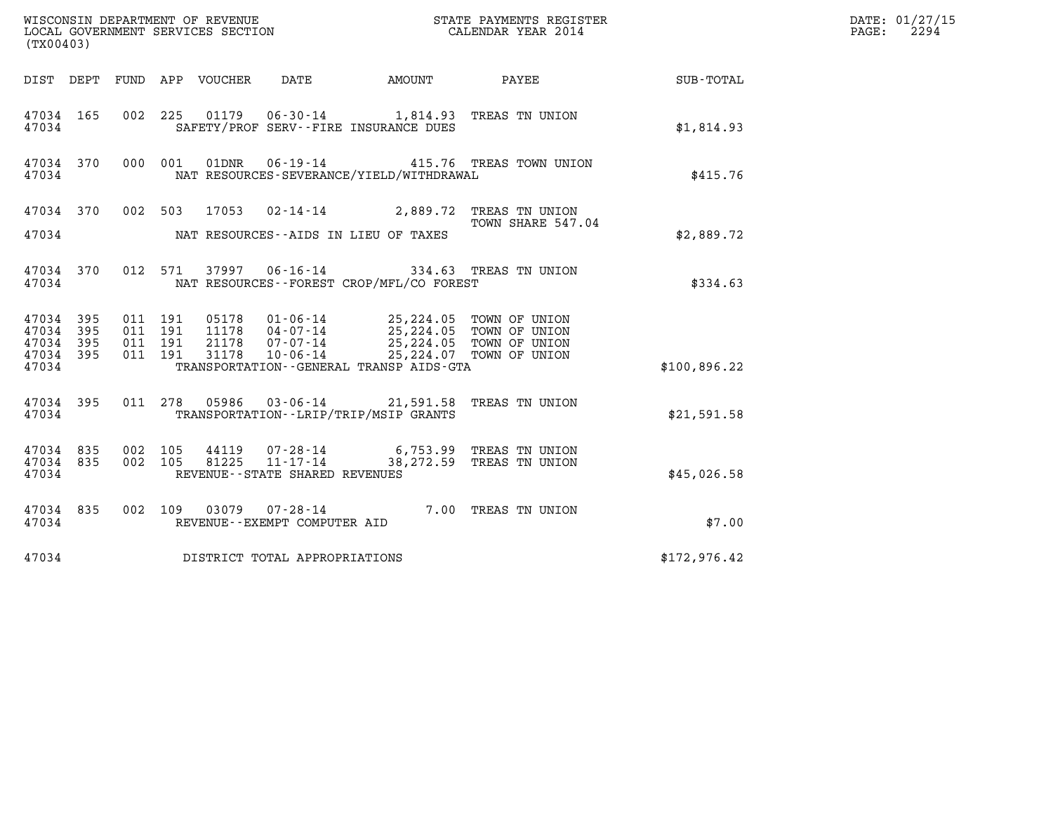| (TX00403)                       |     |                               |  |                            |                                                             |                                                                                                                                                                                                          |                                                                                                               |              | DATE: 01/27/15<br>2294<br>$\mathtt{PAGE:}$ |
|---------------------------------|-----|-------------------------------|--|----------------------------|-------------------------------------------------------------|----------------------------------------------------------------------------------------------------------------------------------------------------------------------------------------------------------|---------------------------------------------------------------------------------------------------------------|--------------|--------------------------------------------|
|                                 |     |                               |  | DIST DEPT FUND APP VOUCHER | DATE                                                        | <b>AMOUNT</b>                                                                                                                                                                                            | PAYEE                                                                                                         | SUB-TOTAL    |                                            |
| 47034 165<br>47034              |     |                               |  |                            |                                                             | SAFETY/PROF SERV--FIRE INSURANCE DUES                                                                                                                                                                    | 002 225 01179 06-30-14 1,814.93 TREAS TN UNION                                                                | \$1,814.93   |                                            |
| 47034 370<br>47034              |     | 000 001                       |  |                            |                                                             | NAT RESOURCES-SEVERANCE/YIELD/WITHDRAWAL                                                                                                                                                                 | 01DNR  06-19-14  415.76  TREAS TOWN UNION                                                                     | \$415.76     |                                            |
|                                 |     |                               |  |                            |                                                             |                                                                                                                                                                                                          | 47034 370 002 503 17053 02-14-14 2,889.72 TREAS TN UNION<br>TOWN SHARE 547.04                                 |              |                                            |
| 47034                           |     |                               |  |                            |                                                             | NAT RESOURCES--AIDS IN LIEU OF TAXES                                                                                                                                                                     |                                                                                                               | \$2,889.72   |                                            |
| 47034 370<br>47034              |     |                               |  |                            |                                                             | NAT RESOURCES - - FOREST CROP/MFL/CO FOREST                                                                                                                                                              | 012 571 37997 06-16-14 334.63 TREAS TN UNION                                                                  | \$334.63     |                                            |
| 47034 395<br>47034<br>47034 395 | 395 | 011 191<br>011 191<br>011 191 |  |                            |                                                             | 05178    01-06-14    25,224.05    TOWN OF UNION<br>11178    04-07-14    25,224.05    TOWN OF UNION<br>21178    07-07-14    25,224.05    TOWN OF UNION<br>31178    10-06-14    25,224.07    TOWN OF UNION |                                                                                                               |              |                                            |
| 47034 395<br>47034              |     | 011 191                       |  |                            |                                                             | TRANSPORTATION--GENERAL TRANSP AIDS-GTA                                                                                                                                                                  |                                                                                                               | \$100,896.22 |                                            |
| 47034 395<br>47034              |     |                               |  |                            |                                                             | TRANSPORTATION--LRIP/TRIP/MSIP GRANTS                                                                                                                                                                    | 011 278 05986 03-06-14 21,591.58 TREAS TN UNION                                                               | \$21,591.58  |                                            |
| 47034 835<br>47034 835<br>47034 |     | 002 105                       |  |                            | 002 105 81225 11-17-14<br>REVENUE - - STATE SHARED REVENUES |                                                                                                                                                                                                          | 44119 07-28-14 6,753.99 TREAS TN UNION<br>81225 11-17-14 38.272.59 TREAS TN UNION<br>38,272.59 TREAS TN UNION | \$45,026.58  |                                            |
| 47034 835<br>47034              |     |                               |  |                            | REVENUE--EXEMPT COMPUTER AID                                |                                                                                                                                                                                                          | 002 109 03079 07-28-14 7.00 TREAS TN UNION                                                                    | \$7.00       |                                            |
| 47034                           |     |                               |  |                            | DISTRICT TOTAL APPROPRIATIONS                               |                                                                                                                                                                                                          |                                                                                                               | \$172,976.42 |                                            |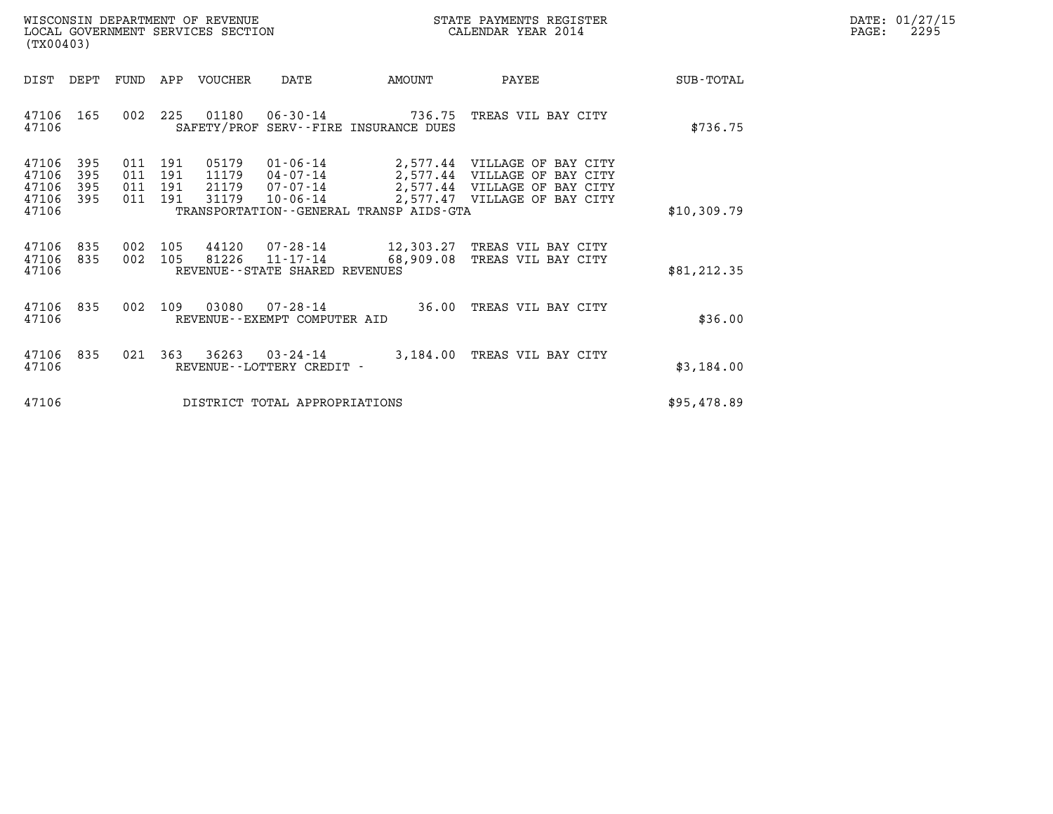| WISCONSIN DEPARTMENT OF REVENUE   | STATE PAYMENTS REGISTER | DATE: 01/27/15 |
|-----------------------------------|-------------------------|----------------|
| LOCAL GOVERNMENT SERVICES SECTION | CALENDAR YEAR 2014      | 2295<br>PAGE:  |

| (TX00403)                                                                                         | WISCONSIN DEPARTMENT OF REVENUE<br>STATE PAYMENTS REGISTER<br>LOCAL GOVERNMENT SERVICES SECTION<br>CALENDAR YEAR 2014                             |                      |                                                                                                                                       |                  |  |  |  |  |  |
|---------------------------------------------------------------------------------------------------|---------------------------------------------------------------------------------------------------------------------------------------------------|----------------------|---------------------------------------------------------------------------------------------------------------------------------------|------------------|--|--|--|--|--|
| DIST<br>DEPT<br><b>FUND</b>                                                                       | APP<br>VOUCHER<br>DATE                                                                                                                            | AMOUNT               | PAYEE                                                                                                                                 | <b>SUB-TOTAL</b> |  |  |  |  |  |
| 165<br>002<br>47106<br>47106                                                                      | 225<br>01180  06-30-14  736.75  TREAS VIL BAY CITY<br>SAFETY/PROF SERV--FIRE INSURANCE DUES                                                       |                      |                                                                                                                                       | \$736.75         |  |  |  |  |  |
| 47106<br>395<br>011<br>47106<br>395<br>011<br>47106<br>395<br>011<br>47106<br>395<br>011<br>47106 | 01-06-14<br>191<br>05179<br>191<br>11179<br>04-07-14<br>191<br>21179<br>$10 - 06 - 14$<br>31179<br>191<br>TRANSPORTATION--GENERAL TRANSP AIDS-GTA |                      | 2,577.44 VILLAGE OF BAY CITY<br>2,577.44 VILLAGE OF BAY CITY<br>07-07-14 2,577.44 VILLAGE OF BAY CITY<br>2,577.47 VILLAGE OF BAY CITY | \$10,309.79      |  |  |  |  |  |
| 835<br>002<br>47106<br>002<br>47106<br>835<br>47106                                               | 105<br>44120<br>105<br>81226<br>REVENUE - - STATE SHARED REVENUES                                                                                 |                      | 07-28-14 12,303.27 TREAS VIL BAY CITY<br>11-17-14 68,909.08 TREAS VIL BAY CITY                                                        | \$81, 212.35     |  |  |  |  |  |
| 835<br>002<br>47106<br>47106                                                                      | 109<br>03080<br>REVENUE - - EXEMPT COMPUTER AID                                                                                                   | $07 - 28 - 14$ 36.00 | TREAS VIL BAY CITY                                                                                                                    | \$36.00          |  |  |  |  |  |
| 835<br>47106<br>021<br>47106                                                                      | 363<br>$36263$ $03 - 24 - 14$<br>REVENUE - - LOTTERY CREDIT -                                                                                     | 3,184.00             | TREAS VIL BAY CITY                                                                                                                    | \$3,184.00       |  |  |  |  |  |
| 47106                                                                                             | DISTRICT TOTAL APPROPRIATIONS                                                                                                                     |                      |                                                                                                                                       | \$95,478.89      |  |  |  |  |  |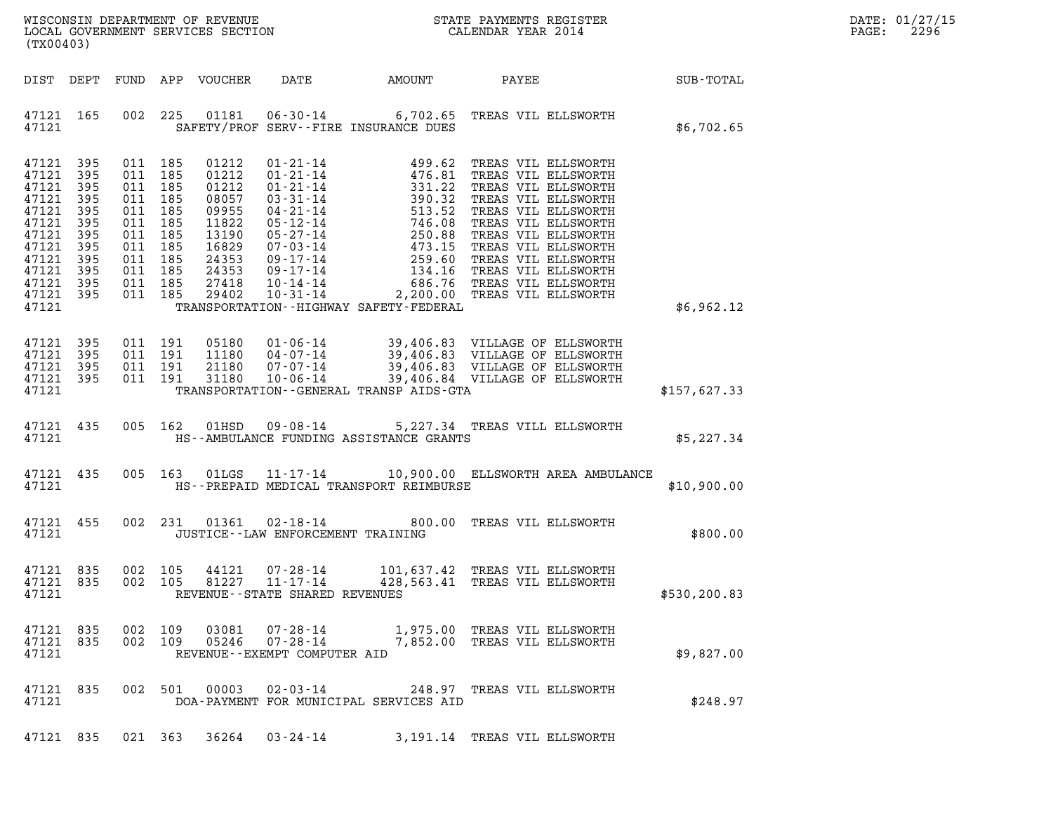| $\mathtt{DATE}$ : | 01/27/15 |
|-------------------|----------|
| PAGE:             | 2296     |

| WISCONSIN DEPARTMENT OF REVENUE<br>LOCAL GOVERNMENT SERVICES SECTION $\rm CALENDAR$ YEAR 2014<br>(TX00403)                    |                                                             |                                                                                                                                  |         |                                                                                                          |                                                                      |                                               |                                                                                                                                                                                                                                                                            |              | DATE: 01/27/15<br>2296<br>$\mathtt{PAGE}$ : |
|-------------------------------------------------------------------------------------------------------------------------------|-------------------------------------------------------------|----------------------------------------------------------------------------------------------------------------------------------|---------|----------------------------------------------------------------------------------------------------------|----------------------------------------------------------------------|-----------------------------------------------|----------------------------------------------------------------------------------------------------------------------------------------------------------------------------------------------------------------------------------------------------------------------------|--------------|---------------------------------------------|
|                                                                                                                               | DIST DEPT                                                   |                                                                                                                                  |         | FUND APP VOUCHER                                                                                         | DATE                                                                 |                                               | AMOUNT PAYEE SUB-TOTAL                                                                                                                                                                                                                                                     |              |                                             |
| 47121 165<br>47121                                                                                                            |                                                             |                                                                                                                                  |         |                                                                                                          |                                                                      | SAFETY/PROF SERV--FIRE INSURANCE DUES         | 002 225 01181 06-30-14 6,702.65 TREAS VIL ELLSWORTH                                                                                                                                                                                                                        | \$6,702.65   |                                             |
| 47121 395<br>47121<br>47121<br>47121<br>47121<br>47121<br>47121<br>47121<br>47121<br>47121<br>47121 395<br>47121 395<br>47121 | 395<br>395<br>395<br>395<br>395<br>395<br>395<br>395<br>395 | 011 185<br>011 185<br>011 185<br>011 185<br>011 185<br>011 185<br>011 185<br>011 185<br>011 185<br>011 185<br>011 185<br>011 185 |         | 01212<br>01212<br>01212<br>08057<br>09955<br>11822<br>13190<br>16829<br>24353<br>24353<br>27418<br>29402 |                                                                      | TRANSPORTATION - - HIGHWAY SAFETY - FEDERAL   | 01-21-14<br>01-21-14<br>01-21-14<br>01-21-14<br>03-31-14<br>03-31-14<br>04-21-14<br>05-12-14<br>05-27-14<br>05-27-14<br>05-27-14<br>05-27-14<br>05-27-14<br>05-17-14<br>05-17-14<br>09-17-14<br>09-17-14<br>09-17-14<br>09-17-14<br>09-17-14<br>09-17-14<br>09-17-14<br>09 | \$6,962.12   |                                             |
| 47121 395<br>47121 395<br>47121 395<br>47121 395<br>47121                                                                     |                                                             | 011 191<br>011 191<br>011 191<br>011 191                                                                                         |         | 05180<br>11180<br>21180<br>31180                                                                         |                                                                      | TRANSPORTATION--GENERAL TRANSP AIDS-GTA       | $\begin{tabular}{c c c c c c c c} \hline 01-06-14 & 39,406.83 & VILLAGE OF ELLSWORTH \\ 04-07-14 & 39,406.83 & VILLAGE OF ELLSWORTH \\ 07-07-14 & 39,406.83 & VILLAGE OF ELLSWORTH \\ 10-06-14 & 39,406.84 & VILLAGE OF ELLSWORTH \\ \hline \end{tabular}$                 | \$157,627.33 |                                             |
| 47121                                                                                                                         | 47121 435                                                   |                                                                                                                                  | 005 162 | 01HSD                                                                                                    |                                                                      | HS--AMBULANCE FUNDING ASSISTANCE GRANTS       | 09-08-14 5,227.34 TREAS VILL ELLSWORTH                                                                                                                                                                                                                                     | \$5,227.34   |                                             |
|                                                                                                                               | 47121 435                                                   |                                                                                                                                  |         |                                                                                                          |                                                                      | 47121 HS--PREPAID MEDICAL TRANSPORT REIMBURSE | 005 163 01LGS 11-17-14 10,900.00 ELLSWORTH AREA AMBULANCE                                                                                                                                                                                                                  | \$10,900.00  |                                             |
| 47121                                                                                                                         | 47121 455                                                   |                                                                                                                                  |         | 002 231 01361                                                                                            | JUSTICE - - LAW ENFORCEMENT TRAINING                                 |                                               | 02-18-14 800.00 TREAS VIL ELLSWORTH                                                                                                                                                                                                                                        | \$800.00     |                                             |
| 47121 835<br>47121 835<br>47121                                                                                               |                                                             | 002 105                                                                                                                          |         | 44121                                                                                                    | 07-28-14<br>002 105 81227 11-17-14<br>REVENUE--STATE SHARED REVENUES |                                               | 101,637.42 TREAS VIL ELLSWORTH<br>428,563.41 TREAS VIL ELLSWORTH                                                                                                                                                                                                           | \$530,200.83 |                                             |
| 47121 835<br>47121 835<br>47121                                                                                               |                                                             | 002 109<br>002 109                                                                                                               |         | 03081<br>05246                                                                                           | 07-28-14<br>REVENUE - - EXEMPT COMPUTER AID                          |                                               | 07-28-14 1,975.00 TREAS VIL ELLSWORTH<br>7,852.00 TREAS VIL ELLSWORTH                                                                                                                                                                                                      | \$9,827.00   |                                             |
| 47121 835<br>47121                                                                                                            |                                                             |                                                                                                                                  |         | 002 501 00003                                                                                            | $02 - 03 - 14$                                                       | DOA-PAYMENT FOR MUNICIPAL SERVICES AID        | 248.97 TREAS VIL ELLSWORTH                                                                                                                                                                                                                                                 | \$248.97     |                                             |
|                                                                                                                               |                                                             |                                                                                                                                  |         |                                                                                                          | 47121 835 021 363 36264 03-24-14                                     |                                               | 3,191.14 TREAS VIL ELLSWORTH                                                                                                                                                                                                                                               |              |                                             |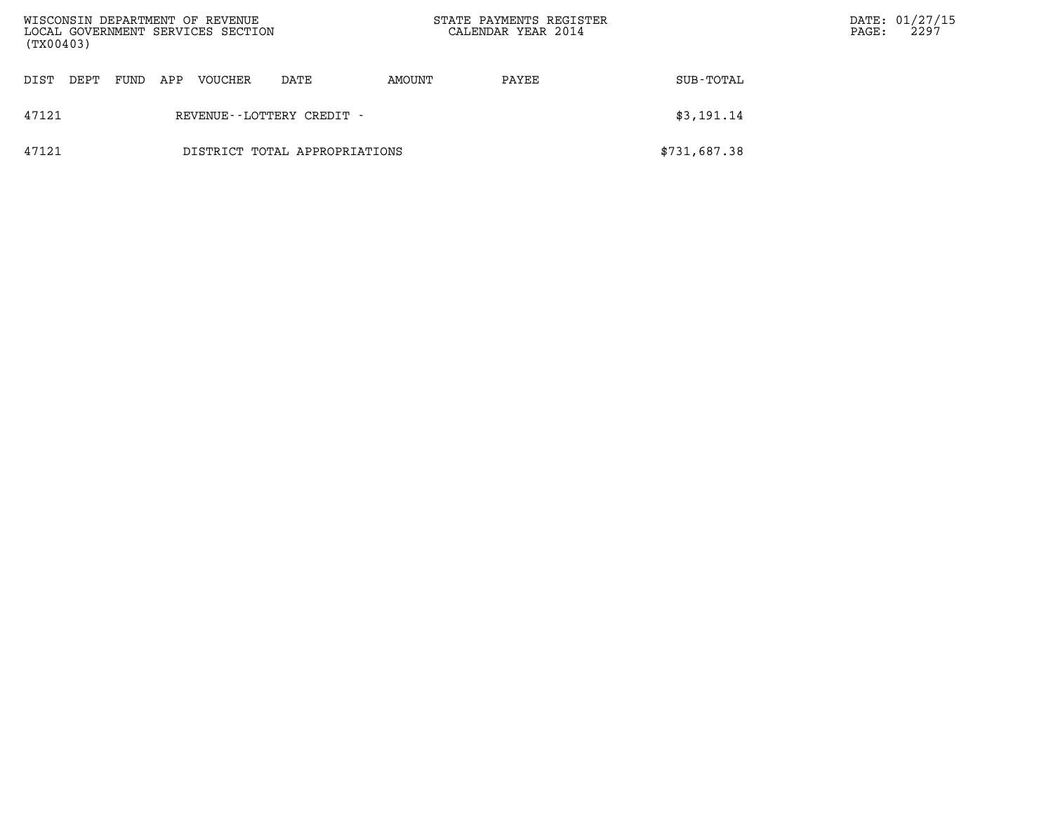| WISCONSIN DEPARTMENT OF REVENUE<br>LOCAL GOVERNMENT SERVICES SECTION<br>(TX00403) |      |      |     |                |                               |        | STATE PAYMENTS REGISTER<br>CALENDAR YEAR 2014 |              | PAGE: | DATE: 01/27/15<br>2297 |
|-----------------------------------------------------------------------------------|------|------|-----|----------------|-------------------------------|--------|-----------------------------------------------|--------------|-------|------------------------|
| DIST                                                                              | DEPT | FUND | APP | <b>VOUCHER</b> | DATE                          | AMOUNT | PAYEE                                         | SUB-TOTAL    |       |                        |
| 47121                                                                             |      |      |     |                | REVENUE - - LOTTERY CREDIT -  |        |                                               | \$3,191.14   |       |                        |
| 47121                                                                             |      |      |     |                | DISTRICT TOTAL APPROPRIATIONS |        |                                               | \$731,687.38 |       |                        |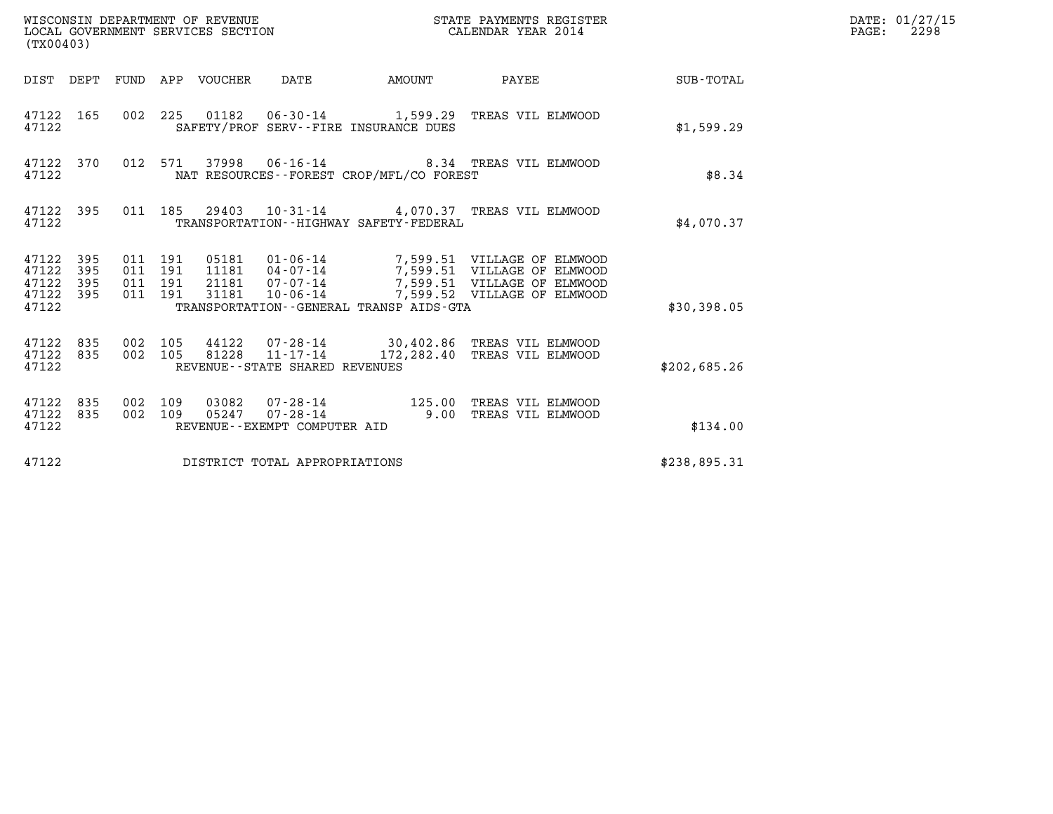| (TX00403)                                                    |                                          |                                |                                             |                                                                                                                                                                                                                          |              | DATE: 01/27/15<br>$\mathtt{PAGE:}$<br>2298 |
|--------------------------------------------------------------|------------------------------------------|--------------------------------|---------------------------------------------|--------------------------------------------------------------------------------------------------------------------------------------------------------------------------------------------------------------------------|--------------|--------------------------------------------|
| DIST DEPT FUND APP VOUCHER DATE                              |                                          |                                |                                             | AMOUNT PAYEE SUB-TOTAL                                                                                                                                                                                                   |              |                                            |
| 47122 165<br>47122                                           |                                          |                                | SAFETY/PROF SERV--FIRE INSURANCE DUES       | 002  225  01182  06-30-14  1,599.29  TREAS VIL ELMWOOD                                                                                                                                                                   | \$1,599.29   |                                            |
| 47122                                                        |                                          |                                | NAT RESOURCES - - FOREST CROP/MFL/CO FOREST | 47122 370 012 571 37998 06-16-14 8.34 TREAS VIL ELMWOOD                                                                                                                                                                  | \$8.34       |                                            |
| 47122                                                        |                                          |                                | TRANSPORTATION - - HIGHWAY SAFETY - FEDERAL | 47122 395 011 185 29403 10-31-14 4,070.37 TREAS VIL ELMWOOD                                                                                                                                                              | \$4,070.37   |                                            |
| 47122 395<br>395<br>47122<br>47122 395<br>47122 395<br>47122 | 011 191<br>011 191<br>011 191<br>011 191 |                                | TRANSPORTATION--GENERAL TRANSP AIDS-GTA     | 05181    01-06-14    7,599.51    VILLAGE OF ELMWOOD<br>11181    04-07-14    7,599.51    VILLAGE OF ELMWOOD<br>21181    07-07-14    7,599.51    VILLAGE OF ELMWOOD<br>31181    10-06-14    7,599.52    VILLAGE OF ELMWOOD | \$30,398.05  |                                            |
| 47122 835<br>47122 835<br>47122                              | 002 105<br>002 105                       | REVENUE--STATE SHARED REVENUES |                                             | 44122  07-28-14  30,402.86  TREAS VIL ELMWOOD<br>81228  11-17-14  172,282.40 TREAS VIL ELMWOOD                                                                                                                           | \$202,685.26 |                                            |
| 47122 835<br>47122 835<br>47122                              | 002 109<br>002 109                       | REVENUE--EXEMPT COMPUTER AID   |                                             |                                                                                                                                                                                                                          | \$134.00     |                                            |
| 47122                                                        |                                          | DISTRICT TOTAL APPROPRIATIONS  |                                             |                                                                                                                                                                                                                          | \$238,895.31 |                                            |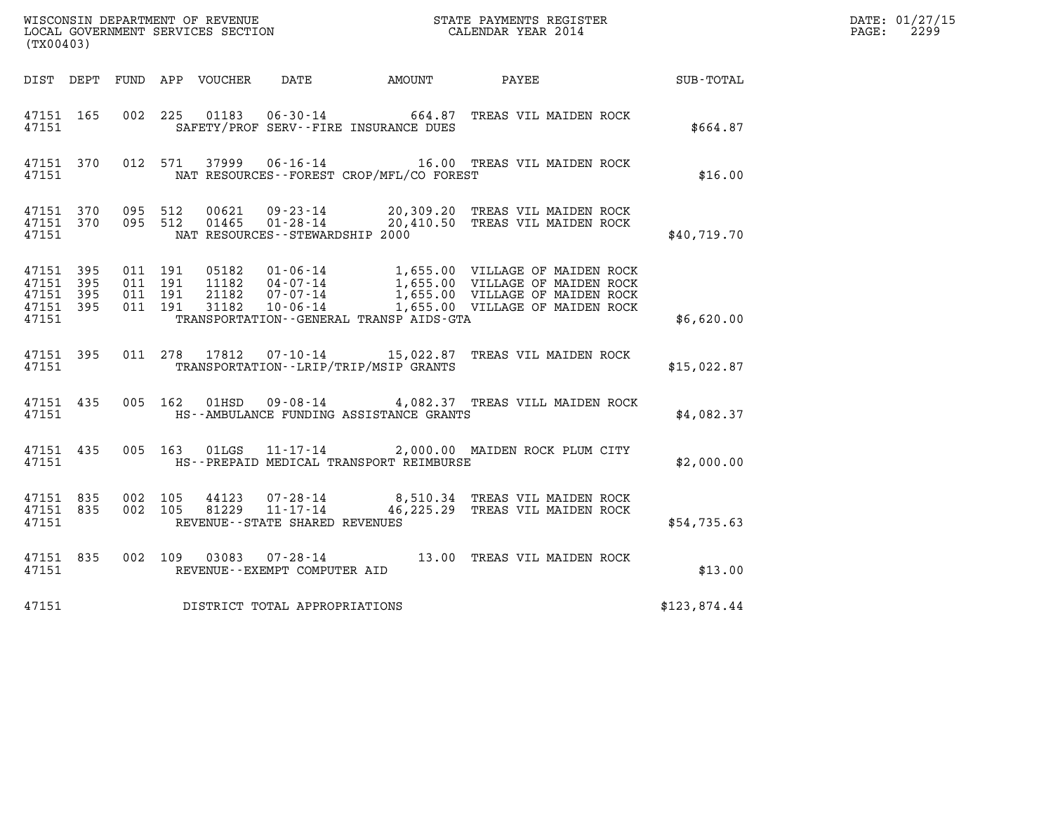| DATE: | 01/27/15 |
|-------|----------|
| PAGE: | 2299     |

| WISCONSIN DEPARTMENT OF REVENUE<br>LOCAL GOVERNMENT SERVICES SECTION<br>CALENDAR YEAR 2014<br>(TX00403) |                    |                                          |  |       |                                    |                                             |                                                                                                                                                                                                                  |              | DATE: 01/27/15<br>$\mathtt{PAGE:}$<br>2299 |
|---------------------------------------------------------------------------------------------------------|--------------------|------------------------------------------|--|-------|------------------------------------|---------------------------------------------|------------------------------------------------------------------------------------------------------------------------------------------------------------------------------------------------------------------|--------------|--------------------------------------------|
|                                                                                                         |                    |                                          |  |       |                                    |                                             |                                                                                                                                                                                                                  |              |                                            |
|                                                                                                         |                    |                                          |  |       |                                    |                                             | DIST DEPT FUND APP VOUCHER DATE AMOUNT PAYEE PATE SUB-TOTAL                                                                                                                                                      |              |                                            |
| 47151 165<br>47151                                                                                      |                    |                                          |  |       |                                    | SAFETY/PROF SERV--FIRE INSURANCE DUES       | 002 225 01183 06-30-14 664.87 TREAS VIL MAIDEN ROCK                                                                                                                                                              | \$664.87     |                                            |
| 47151                                                                                                   | 47151 370          |                                          |  |       |                                    | NAT RESOURCES - - FOREST CROP/MFL/CO FOREST | 012 571 37999 06-16-14 16.00 TREAS VIL MAIDEN ROCK                                                                                                                                                               | \$16.00      |                                            |
| 47151                                                                                                   |                    |                                          |  |       | NAT RESOURCES - - STEWARDSHIP 2000 |                                             | 47151 370 095 512 00621 09-23-14 20,309.20 TREAS VIL MAIDEN ROCK 47151 370 095 512 01465 01-28-14 20,410.50 TREAS VIL MAIDEN ROCK                                                                                | \$40,719.70  |                                            |
| 47151 395<br>47151 395<br>47151 395<br>47151                                                            | 47151 395          | 011 191<br>011 191<br>011 191<br>011 191 |  |       |                                    | TRANSPORTATION--GENERAL TRANSP AIDS-GTA     | 05182  01-06-14  1,655.00  VILLAGE OF MAIDEN ROCK<br>11182  04-07-14  1,655.00  VILLAGE OF MAIDEN ROCK<br>21182  07-07-14  1,655.00  VILLAGE OF MAIDEN ROCK<br>31182  10-06-14  1,655.00  VILLAGE OF MAIDEN ROCK | \$6,620.00   |                                            |
|                                                                                                         |                    |                                          |  |       |                                    |                                             |                                                                                                                                                                                                                  |              |                                            |
| 47151                                                                                                   | 47151 395          |                                          |  |       |                                    | TRANSPORTATION - - LRIP/TRIP/MSIP GRANTS    | 011 278 17812 07-10-14 15,022.87 TREAS VIL MAIDEN ROCK                                                                                                                                                           | \$15,022.87  |                                            |
| 47151                                                                                                   | 47151 435          |                                          |  |       |                                    | HS--AMBULANCE FUNDING ASSISTANCE GRANTS     | 005 162 01HSD 09-08-14 4,082.37 TREAS VILL MAIDEN ROCK                                                                                                                                                           | \$4,082.37   |                                            |
|                                                                                                         | 47151 435<br>47151 |                                          |  |       |                                    | HS--PREPAID MEDICAL TRANSPORT REIMBURSE     | 005 163 01LGS 11-17-14 2,000.00 MAIDEN ROCK PLUM CITY                                                                                                                                                            | \$2,000.00   |                                            |
| 47151 835<br>47151                                                                                      | 47151 835          | 002 105<br>002 105                       |  | 44123 | REVENUE--STATE SHARED REVENUES     |                                             | 07-28-14 8,510.34 TREAS VIL MAIDEN ROCK<br>81229  11-17-14  46,225.29  TREAS VIL MAIDEN ROCK                                                                                                                     | \$54,735.63  |                                            |
| 47151                                                                                                   | 47151 835          |                                          |  |       | REVENUE--EXEMPT COMPUTER AID       |                                             | 002 109 03083 07-28-14 13.00 TREAS VIL MAIDEN ROCK                                                                                                                                                               | \$13.00      |                                            |
| 47151                                                                                                   |                    |                                          |  |       | DISTRICT TOTAL APPROPRIATIONS      |                                             |                                                                                                                                                                                                                  | \$123,874.44 |                                            |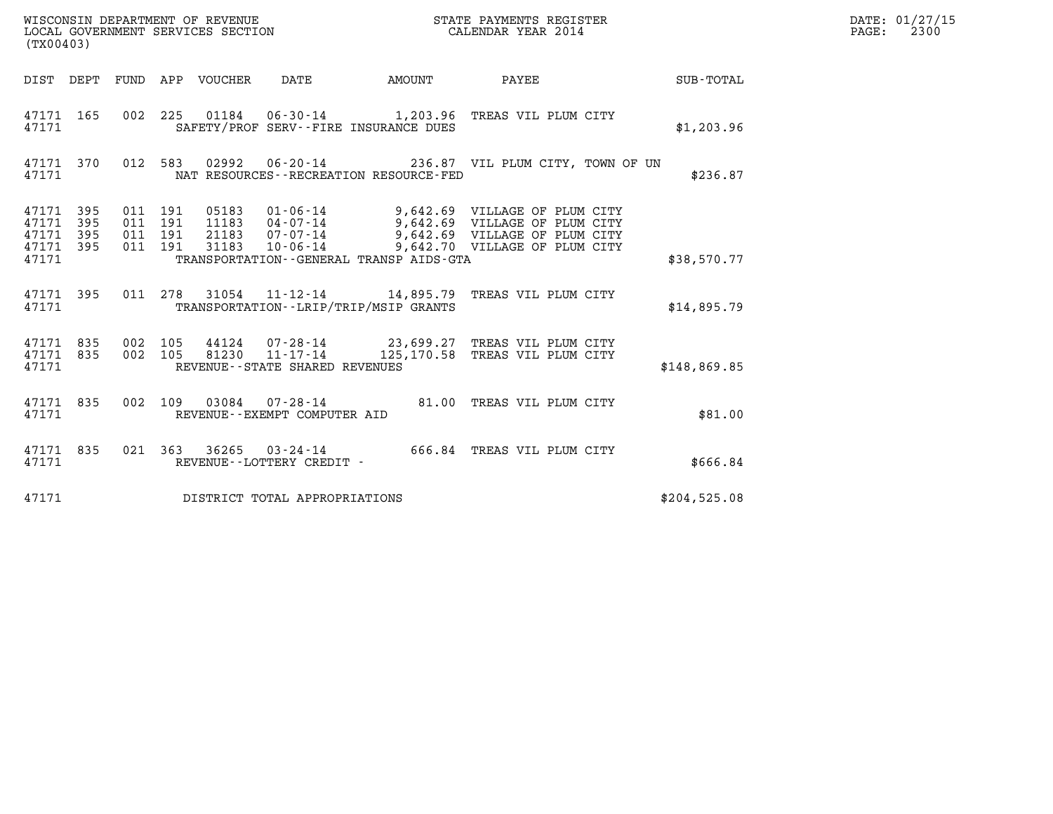| (TX00403)                                                 |  | WISCONSIN DEPARTMENT OF REVENUE<br>LOCAL GOVERNMENT SERVICES SECTION | STATE PAYMENTS REGISTER<br>CALENDAR YEAR 2014 |                                                                                                                                                                                                                              | DATE: 01/27/15<br>PAGE: 2300 |  |
|-----------------------------------------------------------|--|----------------------------------------------------------------------|-----------------------------------------------|------------------------------------------------------------------------------------------------------------------------------------------------------------------------------------------------------------------------------|------------------------------|--|
|                                                           |  |                                                                      |                                               |                                                                                                                                                                                                                              | SUB-TOTAL                    |  |
| 47171                                                     |  | SAFETY/PROF SERV--FIRE INSURANCE DUES                                |                                               | 47171 165 002 225 01184 06-30-14 1,203.96 TREAS VIL PLUM CITY                                                                                                                                                                | \$1,203.96                   |  |
| 47171                                                     |  | NAT RESOURCES - - RECREATION RESOURCE - FED                          |                                               | 47171 370 012 583 02992 06–20–14               236.87 VIL PLUM CITY, TOWN OF UN                                                                                                                                              | \$236.87                     |  |
| 47171 395<br>47171 395<br>47171 395<br>47171 395<br>47171 |  | TRANSPORTATION--GENERAL TRANSP AIDS-GTA                              |                                               | 011 191 05183 01-06-14 9,642.69 VILLAGE OF PLUM CITY<br>011 191 11183 04-07-14 9,642.69 VILLAGE OF PLUM CITY<br>011 191 21183 07-07-14 9,642.69 VILLAGE OF PLUM CITY<br>011 191 31183 10-06-14 9,642.70 VILLAGE OF PLUM CITY | \$38,570.77                  |  |
| 47171                                                     |  | TRANSPORTATION--LRIP/TRIP/MSIP GRANTS                                |                                               | 47171 395 011 278 31054 11-12-14 14,895.79 TREAS VIL PLUM CITY                                                                                                                                                               | \$14,895.79                  |  |
| 47171                                                     |  | REVENUE--STATE SHARED REVENUES                                       |                                               | 47171 835 002 105 44124 07–28–14 23,699.27 TREAS VIL PLUM CITY<br>47171 835 002 105 81230 11–17–14 125,170.58 TREAS VIL PLUM CITY                                                                                            | \$148,869.85                 |  |
| 47171                                                     |  | REVENUE--EXEMPT COMPUTER AID                                         |                                               | 47171 835 002 109 03084 07-28-14 81.00 TREAS VIL PLUM CITY                                                                                                                                                                   | \$81.00                      |  |
| 47171                                                     |  | REVENUE--LOTTERY CREDIT -                                            |                                               | 47171 835 021 363 36265 03-24-14 666.84 TREAS VIL PLUM CITY                                                                                                                                                                  | \$666.84                     |  |
| 47171                                                     |  | DISTRICT TOTAL APPROPRIATIONS                                        |                                               |                                                                                                                                                                                                                              | \$204,525.08                 |  |
|                                                           |  |                                                                      |                                               |                                                                                                                                                                                                                              |                              |  |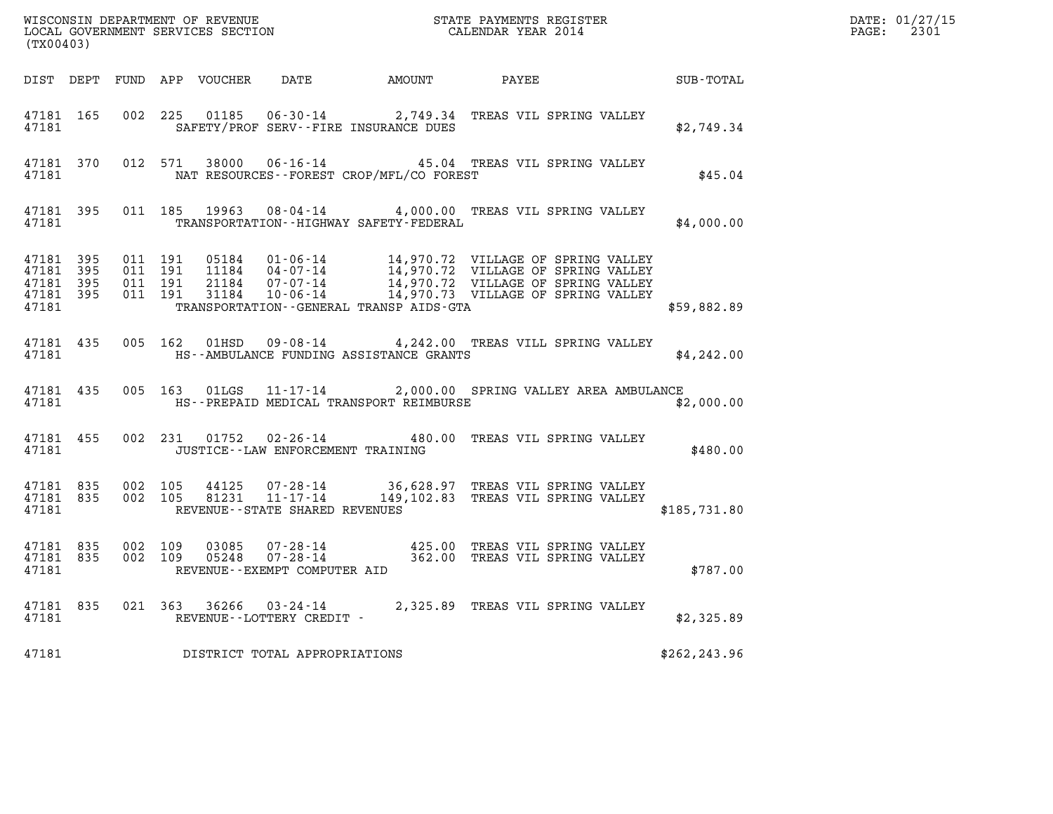| %WISCONSIN DEPARTMENT OF REVENUE $$\tt STATE$ PAYMENTS REGISTER LOCAL GOVERNMENT SERVICES SECTION $$\tt CALEINDAR$ YEAR 2014<br>(TX00403) |  |       |  |  |                                            |                                                  |                                                                                                                                                                                                                                                                                                                                            | PATE: 01/27/1<br>PAGE: 2301 | DATE: 01/27/15 |
|-------------------------------------------------------------------------------------------------------------------------------------------|--|-------|--|--|--------------------------------------------|--------------------------------------------------|--------------------------------------------------------------------------------------------------------------------------------------------------------------------------------------------------------------------------------------------------------------------------------------------------------------------------------------------|-----------------------------|----------------|
|                                                                                                                                           |  |       |  |  |                                            |                                                  | DIST DEPT FUND APP VOUCHER DATE AMOUNT PAYEE PATE SUB-TOTAL                                                                                                                                                                                                                                                                                |                             |                |
|                                                                                                                                           |  |       |  |  |                                            | 47181 SAFETY/PROF SERV--FIRE INSURANCE DUES      | 47181 165 002 225 01185 06-30-14 2,749.34 TREAS VIL SPRING VALLEY                                                                                                                                                                                                                                                                          | \$2,749.34                  |                |
|                                                                                                                                           |  |       |  |  |                                            | 47181 NAT RESOURCES--FOREST CROP/MFL/CO FOREST   | 47181 370 012 571 38000 06-16-14 45.04 TREAS VIL SPRING VALLEY                                                                                                                                                                                                                                                                             | \$45.04                     |                |
|                                                                                                                                           |  | 47181 |  |  |                                            |                                                  | 47181 395 011 185 19963 08-04-14 4,000.00 TREAS VIL SPRING VALLEY<br>TRANSPORTATION - - HIGHWAY SAFETY - FEDERAL                                                                                                                                                                                                                           | \$4,000.00                  |                |
|                                                                                                                                           |  |       |  |  |                                            | 47181 TRANSPORTATION - GENERAL TRANSP AIDS - GTA | $\begin{array}{cccccccc} 47181 & 395 & 011 & 191 & 05184 & 01\cdot 06\cdot 14 & 14\,, 970\,.72 & \text{VILLAGE OF SPRING VALLEY} \\ 47181 & 395 & 011 & 191 & 11184 & 04\cdot 07\cdot 14 & 14\,, 970\,.72 & \text{VILLAGE OF SPRING VALLEY} \\ 47181 & 395 & 011 & 191 & 21184 & 07\cdot 07\cdot 14 & 14\,, 970\,.72 & \text{VILLAGE OF S$ | \$59,882.89                 |                |
|                                                                                                                                           |  |       |  |  |                                            | 47181 THIS--AMBULANCE FUNDING ASSISTANCE GRANTS  | 47181 435 005 162 01HSD 09-08-14 4,242.00 TREAS VILL SPRING VALLEY                                                                                                                                                                                                                                                                         | \$4,242.00                  |                |
|                                                                                                                                           |  |       |  |  |                                            |                                                  | 47181 435 005 163 01LGS 11-17-14 2,000.00 SPRING VALLEY AREA AMBULANCE<br>47181 MES-PREPAID MEDICAL TRANSPORT REIMBURSE                                                                                                                                                                                                                    | \$2,000.00                  |                |
|                                                                                                                                           |  |       |  |  | 47181 JUSTICE - - LAW ENFORCEMENT TRAINING |                                                  | 47181 455 002 231 01752 02-26-14 480.00 TREAS VIL SPRING VALLEY                                                                                                                                                                                                                                                                            | \$480.00                    |                |
|                                                                                                                                           |  |       |  |  | 47181 REVENUE - STATE SHARED REVENUES      |                                                  | 47181 835 002 105 44125 07-28-14 36,628.97 TREAS VIL SPRING VALLEY<br>47181 835 002 105 81231 11-17-14 149,102.83 TREAS VIL SPRING VALLEY                                                                                                                                                                                                  | \$185,731.80                |                |
|                                                                                                                                           |  |       |  |  | 47181 REVENUE - - EXEMPT COMPUTER AID      |                                                  | $\begin{array}{cccccccc} 47181 & 835 & 002 & 109 & 03085 & 07\,\text{-}\,28\,\text{-}\,14 & & & & 425\,\text{-}\,00 & \text{TREAS VII SPRING VALLEY} \\ 47181 & 835 & 002 & 109 & 05248 & 07\,\text{-}\,28\,\text{-}\,14 & & & & 362\,\text{-}\,00 & \text{TREAS VII SPRING VALLEY} \end{array}$                                           | \$787.00                    |                |
|                                                                                                                                           |  |       |  |  | 47181 REVENUE--LOTTERY CREDIT -            |                                                  | 47181 835 021 363 36266 03-24-14 2,325.89 TREAS VIL SPRING VALLEY                                                                                                                                                                                                                                                                          | \$2,325.89                  |                |
| 47181                                                                                                                                     |  |       |  |  | DISTRICT TOTAL APPROPRIATIONS              |                                                  |                                                                                                                                                                                                                                                                                                                                            | \$262, 243.96               |                |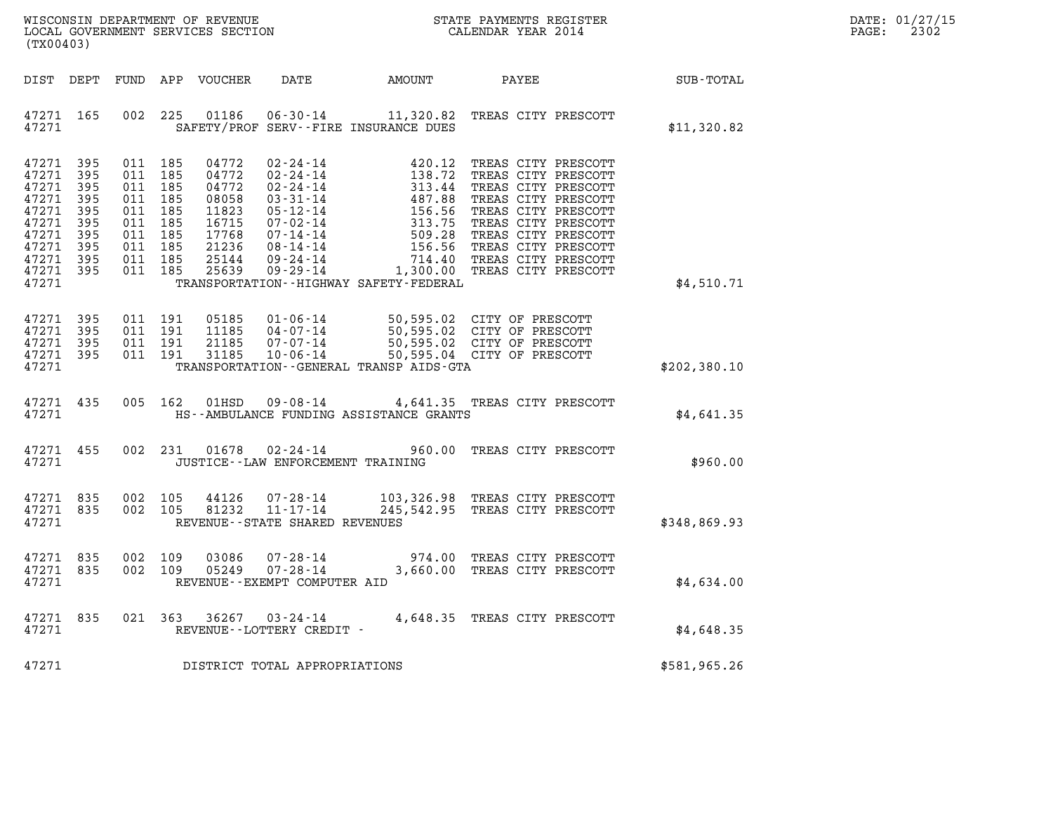| $\mathtt{DATE}$ : | 01/27/15 |
|-------------------|----------|
| PAGE:             | 2302     |

| ${\tt WISCONSIM\ DEPARTMENT\ OF\ REVENUE}\qquad \qquad {\tt STATE\ PAYMENTS\ REGISTER} \\ {\tt LOCAL\ GOVERNMENT\ SERVICES\ SECTION}\qquad \qquad {\tt CALENDAR\ YEAR\ 2014}$<br>(TX00403) |                                                             |                                                                                                            |         |                                                                                        |                                                               |                                             |                                                                                                                                                                                                                                                          |                 | DATE: 01/27/15<br>2302<br>PAGE: |
|--------------------------------------------------------------------------------------------------------------------------------------------------------------------------------------------|-------------------------------------------------------------|------------------------------------------------------------------------------------------------------------|---------|----------------------------------------------------------------------------------------|---------------------------------------------------------------|---------------------------------------------|----------------------------------------------------------------------------------------------------------------------------------------------------------------------------------------------------------------------------------------------------------|-----------------|---------------------------------|
| DIST DEPT                                                                                                                                                                                  |                                                             |                                                                                                            |         | FUND APP VOUCHER                                                                       | DATE                                                          | AMOUNT                                      |                                                                                                                                                                                                                                                          | PAYEE SUB-TOTAL |                                 |
| 47271 165<br>47271                                                                                                                                                                         |                                                             |                                                                                                            | 002 225 |                                                                                        |                                                               | SAFETY/PROF SERV--FIRE INSURANCE DUES       | 01186  06-30-14   11,320.82   TREAS CITY PRESCOTT                                                                                                                                                                                                        | \$11,320.82     |                                 |
| 47271<br>47271<br>47271<br>47271<br>47271<br>47271<br>47271<br>47271<br>47271<br>47271 395<br>47271                                                                                        | 395<br>395<br>395<br>395<br>395<br>395<br>395<br>395<br>395 | 011 185<br>011 185<br>011 185<br>011 185<br>011 185<br>011 185<br>011 185<br>011 185<br>011 185<br>011 185 |         | 04772<br>04772<br>04772<br>08058<br>11823<br>16715<br>17768<br>21236<br>25144<br>25639 |                                                               | TRANSPORTATION - - HIGHWAY SAFETY - FEDERAL | 02-24-14<br>02-24-14<br>02-24-14<br>138.72 TREAS CITY PRESCOTT<br>02-24-14<br>138.72 TREAS CITY PRESCOTT<br>03-31-14<br>487.88 TREAS CITY PRESCOTT<br>05-12-14<br>156.56 TREAS CITY PRESCOTT<br>07-02-14<br>08-14-14<br>156.56 TREAS CITY PRESCOTT<br>09 | \$4,510.71      |                                 |
| 47271<br>47271<br>47271<br>47271<br>47271                                                                                                                                                  | 395<br>395<br>395<br>395                                    | 011 191<br>011 191<br>011 191<br>011 191                                                                   |         | 05185<br>11185<br>21185<br>31185                                                       | 10-06-14                                                      | TRANSPORTATION--GENERAL TRANSP AIDS-GTA     | 01-06-14 50,595.02 CITY OF PRESCOTT<br>04-07-14 50,595.02 CITY OF PRESCOTT<br>07-07-14 50,595.02 CITY OF PRESCOTT<br>50,595.04 CITY OF PRESCOTT                                                                                                          | \$202,380.10    |                                 |
| 47271 435<br>47271                                                                                                                                                                         |                                                             |                                                                                                            | 005 162 | 01HSD                                                                                  |                                                               | HS--AMBULANCE FUNDING ASSISTANCE GRANTS     | 09-08-14 4,641.35 TREAS CITY PRESCOTT                                                                                                                                                                                                                    | \$4,641.35      |                                 |
| 47271 455<br>47271                                                                                                                                                                         |                                                             |                                                                                                            |         |                                                                                        | JUSTICE - - LAW ENFORCEMENT TRAINING                          |                                             | 002 231 01678 02-24-14 960.00 TREAS CITY PRESCOTT                                                                                                                                                                                                        | \$960.00        |                                 |
| 47271 835<br>47271 835<br>47271                                                                                                                                                            |                                                             | 002 105<br>002 105                                                                                         |         |                                                                                        | REVENUE--STATE SHARED REVENUES                                |                                             | 44126  07-28-14  103,326.98 TREAS CITY PRESCOTT<br>81232  11-17-14  245,542.95 TREAS CITY PRESCOTT                                                                                                                                                       | \$348,869.93    |                                 |
| 47271 835<br>47271 835<br>47271                                                                                                                                                            |                                                             | 002 109<br>002 109                                                                                         |         | 03086<br>05249                                                                         | $07 - 28 - 14$<br>07-28-14<br>REVENUE - - EXEMPT COMPUTER AID |                                             | 974.00 TREAS CITY PRESCOTT<br>3,660.00 TREAS CITY PRESCOTT                                                                                                                                                                                               | \$4,634.00      |                                 |
| 47271 835<br>47271                                                                                                                                                                         |                                                             |                                                                                                            |         |                                                                                        | 021 363 36267 03-24-14<br>REVENUE--LOTTERY CREDIT -           |                                             | 4,648.35 TREAS CITY PRESCOTT                                                                                                                                                                                                                             | \$4.648.35      |                                 |
| 47271                                                                                                                                                                                      |                                                             |                                                                                                            |         |                                                                                        | DISTRICT TOTAL APPROPRIATIONS                                 |                                             |                                                                                                                                                                                                                                                          | \$581,965.26    |                                 |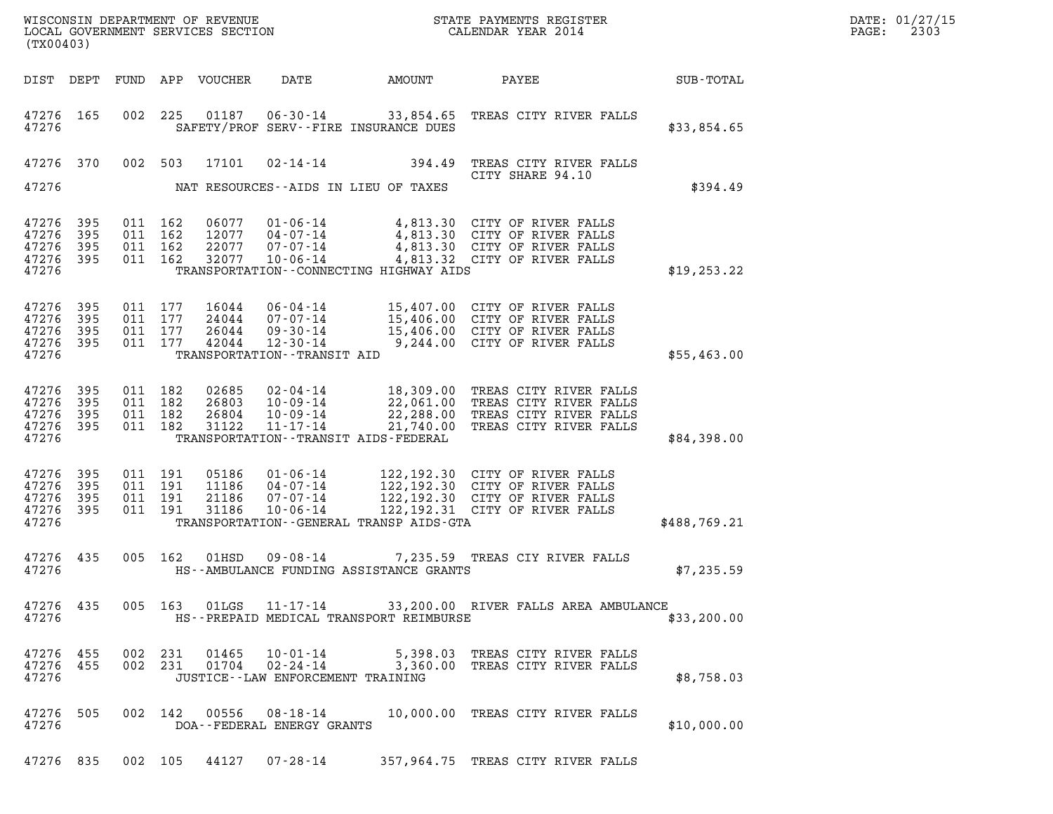| WISCONSIN DEPARTMENT OF REVENUE<br>LOCAL GOVERNMENT SERVICES SECTION<br>LOCAL GOVERNMENT SERVICES SECTION<br>(TX00403) |                          |  |                                          |                                  |                                                                                            |                                           | STATE PAYMENTS REGISTER<br>CALENDAR YEAR 2014                                                                                                                           |              | DATE: 01/27/15<br>$\mathtt{PAGE}$ :<br>2303 |
|------------------------------------------------------------------------------------------------------------------------|--------------------------|--|------------------------------------------|----------------------------------|--------------------------------------------------------------------------------------------|-------------------------------------------|-------------------------------------------------------------------------------------------------------------------------------------------------------------------------|--------------|---------------------------------------------|
|                                                                                                                        |                          |  |                                          | DIST DEPT FUND APP VOUCHER       | DATE                                                                                       | AMOUNT                                    | PAYEE                                                                                                                                                                   | SUB-TOTAL    |                                             |
| 47276 165<br>47276                                                                                                     |                          |  |                                          |                                  |                                                                                            | SAFETY/PROF SERV--FIRE INSURANCE DUES     | 002 225 01187 06-30-14 33,854.65 TREAS CITY RIVER FALLS                                                                                                                 | \$33,854.65  |                                             |
| 47276 370<br>47276                                                                                                     |                          |  | 002 503                                  | 17101                            | 02-14-14                                                                                   | NAT RESOURCES--AIDS IN LIEU OF TAXES      | 394.49 TREAS CITY RIVER FALLS<br>CITY SHARE 94.10                                                                                                                       | \$394.49     |                                             |
| 47276<br>47276<br>47276<br>47276<br>47276                                                                              | 395<br>395<br>395<br>395 |  | 011 162<br>011 162<br>011 162<br>011 162 | 06077<br>12077<br>22077<br>32077 | $04 - 07 - 14$<br>07-07-14<br>10-06-14                                                     | TRANSPORTATION - CONNECTING HIGHWAY AIDS  | 01-06-14 4,813.30 CITY OF RIVER FALLS<br>4,813.30 CITY OF RIVER FALLS<br>4,813.30 CITY OF RIVER FALLS<br>4,813.32 CITY OF RIVER FALLS                                   | \$19, 253.22 |                                             |
| 47276<br>47276<br>47276<br>47276<br>47276                                                                              | 395<br>395<br>395<br>395 |  | 011 177<br>011 177<br>011 177<br>011 177 | 16044<br>24044<br>26044<br>42044 | $06 - 04 - 14$<br>07-07-14<br>09-30-14<br>$12 - 30 - 14$<br>TRANSPORTATION - - TRANSIT AID |                                           | 15,407.00 CITY OF RIVER FALLS<br>15,406.00 CITY OF RIVER FALLS<br>15,406.00 CITY OF RIVER FALLS<br>9,244.00 CITY OF RIVER FALLS                                         | \$55,463.00  |                                             |
| 47276<br>47276<br>47276<br>47276<br>47276                                                                              | 395<br>395<br>395<br>395 |  | 011 182<br>011 182<br>011 182<br>011 182 | 02685<br>26803<br>26804<br>31122 | 11-17-14                                                                                   | TRANSPORTATION - - TRANSIT AIDS - FEDERAL | 02-04-14 18,309.00 TREAS CITY RIVER FALLS<br>10-09-14 22,061.00 TREAS CITY RIVER FALLS<br>10-09-14 22,288.00 TREAS CITY RIVER FALLS<br>21,740.00 TREAS CITY RIVER FALLS | \$84,398.00  |                                             |
| 47276<br>47276<br>47276<br>47276<br>47276                                                                              | 395<br>395<br>395<br>395 |  | 011 191<br>011 191<br>011 191<br>011 191 | 05186<br>11186<br>21186<br>31186 | $01 - 06 - 14$<br>04-07-14<br>07-07-14<br>$10 - 06 - 14$                                   | TRANSPORTATION--GENERAL TRANSP AIDS-GTA   | 122,192.30 CITY OF RIVER FALLS<br>122,192.30 CITY OF RIVER FALLS<br>122,192.30 CITY OF RIVER FALLS<br>122, 192.31 CITY OF RIVER FALLS                                   | \$488,769.21 |                                             |
| 47276 435<br>47276                                                                                                     |                          |  | 005 162                                  | 01HSD                            | $09 - 08 - 14$                                                                             | HS--AMBULANCE FUNDING ASSISTANCE GRANTS   | 7,235.59 TREAS CIY RIVER FALLS                                                                                                                                          | \$7,235.59   |                                             |
| 47276                                                                                                                  |                          |  |                                          | 47276 435 005 163 01LGS          |                                                                                            | HS--PREPAID MEDICAL TRANSPORT REIMBURSE   | 11-17-14 33,200.00 RIVER FALLS AREA AMBULANCE                                                                                                                           | \$33,200.00  |                                             |
| 47276 455<br>47276 455<br>47276                                                                                        |                          |  | 002 231                                  | 01465<br>002 231 01704           |                                                                                            | JUSTICE -- LAW ENFORCEMENT TRAINING       | 10-01-14 5,398.03 TREAS CITY RIVER FALLS<br>02-24-14 3,360.00 TREAS CITY RIVER FALLS                                                                                    | \$8,758.03   |                                             |
| 47276 505<br>47276                                                                                                     |                          |  |                                          |                                  | DOA--FEDERAL ENERGY GRANTS                                                                 |                                           | 002 142 00556 08-18-14 10,000.00 TREAS CITY RIVER FALLS                                                                                                                 | \$10,000.00  |                                             |
|                                                                                                                        |                          |  |                                          |                                  |                                                                                            |                                           | 47276 835 002 105 44127 07-28-14 357,964.75 TREAS CITY RIVER FALLS                                                                                                      |              |                                             |